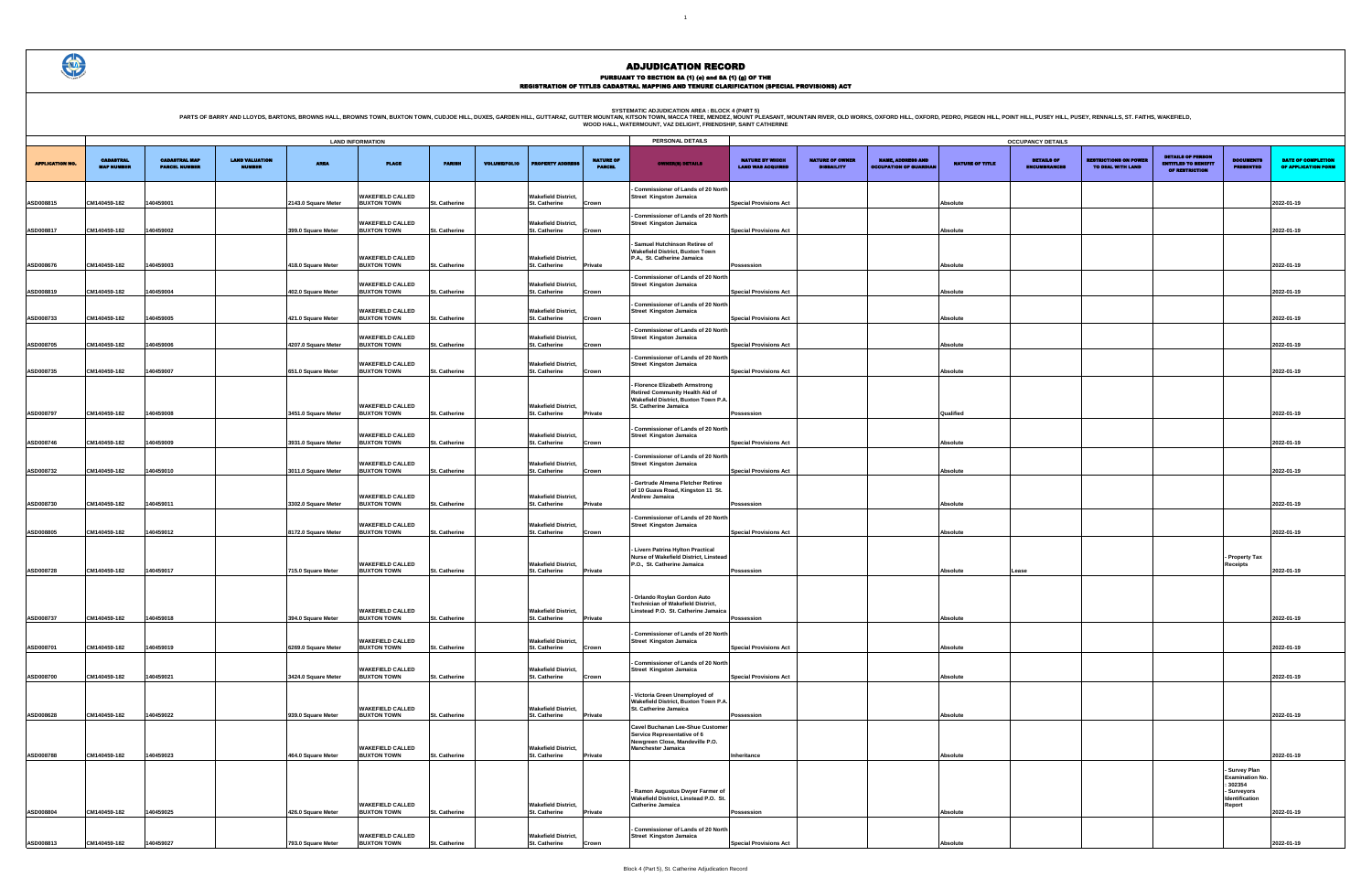PURSUANT TO SECTION 8A (1) (0) and 8A (1) (g) OF THE<br>REGISTRATION OF TITLES CADASTRAL MAPPING AND TENURE CLARIFICATION (SPECIAL PROVISIONS) ACT

PARTS OF BARRY AND LLOYDS, BARTONS, BROWNS HALL, BROWNS TOWN, BUXTON TOWN, CUDJOE HILL, DUXES, GARDEN HILL, GUTTARAZ, GUTTER MOUNTAIN, KITSON AREA : BLOCK 4 (PART 5)<br>WOOD HALL, WATERMOUNT, VAZ DELIGHT, FRIENDSHIP, SANT CAT

3

|                                                    |                                             |                                                           |                             | <b>OCCUPANCY DETAILS</b>                 |                                                   |                                                                          |                                                                     |                                           |
|----------------------------------------------------|---------------------------------------------|-----------------------------------------------------------|-----------------------------|------------------------------------------|---------------------------------------------------|--------------------------------------------------------------------------|---------------------------------------------------------------------|-------------------------------------------|
| <b>NATURE BY WHICH</b><br><b>LAND WAS ACQUIRED</b> | <b>NATURE OF OWNER</b><br><b>DISBAILITY</b> | <b>NAME, ADDRESS AND</b><br><b>OCCUPATION OF GUARDIAN</b> | <b>NATURE OF TITLE</b>      | <b>DETAILS OF</b><br><b>ENCUMBRANCES</b> | <b>RESTRICTIONS ON POWER</b><br>TO DEAL WITH LAND | <b>DETAILS OF PERSON</b><br><b>ENTITLED TO BENEFIT</b><br>OF RESTRICTION | <b>DOCUMENTS</b><br><b>PRESENTED</b>                                | DATE OF COMPLETION<br>OF APPLICATION FORM |
| <b>Special Provisions Act</b>                      |                                             |                                                           | <b>Absolute</b>             |                                          |                                                   |                                                                          |                                                                     | 2022-01-19                                |
| <b>Special Provisions Act</b>                      |                                             |                                                           | <b>Absolute</b>             |                                          |                                                   |                                                                          |                                                                     | 2022-01-19                                |
|                                                    |                                             |                                                           |                             |                                          |                                                   |                                                                          |                                                                     |                                           |
| Possession<br><b>Special Provisions Act</b>        |                                             |                                                           | Absolute<br><b>Absolute</b> |                                          |                                                   |                                                                          |                                                                     | 2022-01-19<br>2022-01-19                  |
| <b>Special Provisions Act</b>                      |                                             |                                                           | <b>Absolute</b>             |                                          |                                                   |                                                                          |                                                                     | 2022-01-19                                |
| <b>Special Provisions Act</b>                      |                                             |                                                           | <b>Absolute</b>             |                                          |                                                   |                                                                          |                                                                     | 2022-01-19                                |
| <b>Special Provisions Act</b>                      |                                             |                                                           | <b>Absolute</b>             |                                          |                                                   |                                                                          |                                                                     | 2022-01-19                                |
|                                                    |                                             |                                                           |                             |                                          |                                                   |                                                                          |                                                                     |                                           |
| Possession                                         |                                             |                                                           | Qualified                   |                                          |                                                   |                                                                          |                                                                     | 2022-01-19                                |
| <b>Special Provisions Act</b>                      |                                             |                                                           | <b>Absolute</b>             |                                          |                                                   |                                                                          |                                                                     | 2022-01-19                                |
| <b>Special Provisions Act</b>                      |                                             |                                                           | <b>Absolute</b>             |                                          |                                                   |                                                                          |                                                                     | 2022-01-19                                |
| Possession                                         |                                             |                                                           | <b>Absolute</b>             |                                          |                                                   |                                                                          |                                                                     | 2022-01-19                                |
| <b>Special Provisions Act</b>                      |                                             |                                                           | Absolute                    |                                          |                                                   |                                                                          |                                                                     | 2022-01-19                                |
| Possession                                         |                                             |                                                           | <b>Absolute</b>             | Lease                                    |                                                   |                                                                          | - Property Tax<br><b>Receipts</b>                                   | 2022-01-19                                |
|                                                    |                                             |                                                           |                             |                                          |                                                   |                                                                          |                                                                     |                                           |
| Possession                                         |                                             |                                                           | Absolute                    |                                          |                                                   |                                                                          |                                                                     | 2022-01-19                                |
| <b>Special Provisions Act</b>                      |                                             |                                                           | Absolute                    |                                          |                                                   |                                                                          |                                                                     | 2022-01-19                                |
| <b>Special Provisions Act</b>                      |                                             |                                                           | Absolute                    |                                          |                                                   |                                                                          |                                                                     | 2022-01-19                                |
| Possession                                         |                                             |                                                           | Absolute                    |                                          |                                                   |                                                                          |                                                                     | 2022-01-19                                |
|                                                    |                                             |                                                           |                             |                                          |                                                   |                                                                          |                                                                     |                                           |
| Inheritance                                        |                                             |                                                           | Absolute                    |                                          |                                                   |                                                                          | Survey Plan                                                         | 2022-01-19                                |
|                                                    |                                             |                                                           |                             |                                          |                                                   |                                                                          | <b>Examination No.</b><br>: 302354<br>- Surveyors<br>Identification |                                           |
| Possession                                         |                                             |                                                           | <b>Absolute</b>             |                                          |                                                   |                                                                          | Report                                                              | 2022-01-19                                |
| <b>Special Provisions Act</b>                      |                                             |                                                           | Absolute                    |                                          |                                                   |                                                                          |                                                                     | 2022-01-19                                |

|                        |                                       |                                              |                                        |                                            | <b>LAND INFORMATION</b>                                             |                                       |                     |                                                              |                                   | PERSONAL DETAILS                                                                                                                       |                                                                |                                             |                                                           |                        | <b>OCCUPANCY DETAILS</b>                 |
|------------------------|---------------------------------------|----------------------------------------------|----------------------------------------|--------------------------------------------|---------------------------------------------------------------------|---------------------------------------|---------------------|--------------------------------------------------------------|-----------------------------------|----------------------------------------------------------------------------------------------------------------------------------------|----------------------------------------------------------------|---------------------------------------------|-----------------------------------------------------------|------------------------|------------------------------------------|
| <b>APPLICATION NO.</b> | <b>CADASTRAL</b><br><b>MAP NUMBER</b> | <b>CADASTRAL MAP</b><br><b>PARCEL NUMBER</b> | <b>LAND VALUATION</b><br><b>NUMBER</b> | <b>AREA</b>                                | <b>PLACE</b>                                                        | <b>PARISH</b>                         | <b>VOLUME/FOLIO</b> | <b>PROPERTY ADDRES</b>                                       | <b>NATURE OF</b><br><b>PARCEL</b> | <b>OWNER(8) DETAILS</b>                                                                                                                | <b>NATURE BY WHICH</b><br><b>LAND WAS ACQUIRED</b>             | <b>NATURE OF OWNER</b><br><b>DISBAILITY</b> | <b>NAME, ADDRESS AND</b><br><b>DCCUPATION OF GUARDIAN</b> | <b>NATURE OF TITLE</b> | <b>DETAILS OF</b><br><b>ENCUMBRANCES</b> |
| ASD008815              | CM140459-182                          | 140459001                                    |                                        | 2143.0 Square Meter                        | <b>WAKEFIELD CALLED</b><br><b>BUXTON TOWN</b>                       | <b>St. Catherine</b>                  |                     | <b>Wakefield District,</b><br>St. Catherine                  | Crown                             | - Commissioner of Lands of 20 North<br><b>Street Kingston Jamaica</b>                                                                  | <b>Special Provisions Act</b>                                  |                                             |                                                           | <b>Absolute</b>        |                                          |
| ASD008817              | CM140459-182                          | 140459002                                    |                                        | 399.0 Square Meter                         | <b>WAKEFIELD CALLED</b><br><b>BUXTON TOWN</b>                       | <b>St. Catherine</b>                  |                     | <b>Wakefield District,</b><br>St. Catherine                  | Crown                             | - Commissioner of Lands of 20 North<br><b>Street Kingston Jamaica</b>                                                                  | <b>Special Provisions Act</b>                                  |                                             |                                                           | Absolute               |                                          |
|                        |                                       |                                              |                                        |                                            | <b>WAKEFIELD CALLED</b>                                             |                                       |                     | <b>Wakefield District,</b>                                   |                                   | Samuel Hutchinson Retiree of<br><b>Wakefield District, Buxton Town</b><br>P.A., St. Catherine Jamaica                                  |                                                                |                                             |                                                           |                        |                                          |
| ASD008676              | CM140459-182                          | 140459003                                    |                                        | 418.0 Square Meter                         | <b>BUXTON TOWN</b><br><b>WAKEFIELD CALLED</b>                       | <b>St. Catherine</b>                  |                     | St. Catherine<br><b>Wakefield District,</b>                  | Private                           | - Commissioner of Lands of 20 North<br><b>Street Kingston Jamaica</b>                                                                  | Possession                                                     |                                             |                                                           | <b>Absolute</b>        |                                          |
| ASD008819              | CM140459-182                          | 140459004                                    |                                        | 402.0 Square Meter                         | <b>BUXTON TOWN</b><br><b>WAKEFIELD CALLED</b>                       | St. Catherine                         |                     | St. Catherine<br><b>Wakefield District,</b>                  | Crown                             | - Commissioner of Lands of 20 North<br><b>Street Kingston Jamaica</b>                                                                  | <b>Special Provisions Act</b>                                  |                                             |                                                           | <b>Absolute</b>        |                                          |
| ASD008733<br>ASD008705 | CM140459-182<br>CM140459-182          | 140459005<br>140459006                       |                                        | 421.0 Square Meter<br>4207.0 Square Meter  | <b>BUXTON TOWN</b><br><b>WAKEFIELD CALLED</b><br><b>BUXTON TOWN</b> | St. Catherine<br><b>St. Catherine</b> |                     | St. Catherine<br><b>Wakefield District,</b><br>St. Catherine | Crown<br>Crown                    | - Commissioner of Lands of 20 North<br><b>Street Kingston Jamaica</b>                                                                  | <b>Special Provisions Act</b><br><b>Special Provisions Act</b> |                                             |                                                           | Absolute<br>Absolute   |                                          |
| ASD008735              | CM140459-182                          | 140459007                                    |                                        | 651.0 Square Meter                         | <b>WAKEFIELD CALLED</b><br><b>BUXTON TOWN</b>                       | St. Catherine                         |                     | <b>Wakefield District,</b><br>St. Catherine                  | Crown                             | - Commissioner of Lands of 20 North<br>Street Kingston Jamaica                                                                         | <b>Special Provisions Act</b>                                  |                                             |                                                           | Absolute               |                                          |
|                        | CM140459-182                          | 140459008                                    |                                        |                                            | <b>WAKEFIELD CALLED</b><br><b>BUXTON TOWN</b>                       |                                       |                     | <b>Wakefield District,</b>                                   |                                   | - Florence Elizabeth Armstrong<br>Retired Community Health Aid of<br>Wakefield District, Buxton Town P.A.<br>St. Catherine Jamaica     |                                                                |                                             |                                                           |                        |                                          |
| ASD008797<br>ASD008746 | CM140459-182                          | 140459009                                    |                                        | 3451.0 Square Meter<br>3931.0 Square Meter | <b>WAKEFIELD CALLED</b><br><b>BUXTON TOWN</b>                       | <b>St. Catherine</b><br>St. Catherine |                     | St. Catherine<br><b>Wakefield District,</b><br>St. Catherine | Private<br>Crown                  | - Commissioner of Lands of 20 North<br><b>Street Kingston Jamaica</b>                                                                  | Possession<br><b>Special Provisions Act</b>                    |                                             |                                                           | Qualified<br>Absolute  |                                          |
| ASD008732              | CM140459-182                          | 140459010                                    |                                        | 3011.0 Square Meter                        | <b>WAKEFIELD CALLED</b><br><b>BUXTON TOWN</b>                       | St. Catherine                         |                     | <b>Wakefield District,</b><br>St. Catherine                  | Crown                             | - Commissioner of Lands of 20 North<br><b>Street Kingston Jamaica</b>                                                                  | <b>Special Provisions Act</b>                                  |                                             |                                                           | Absolute               |                                          |
| ASD008730              | CM140459-182                          | 140459011                                    |                                        | 3302.0 Square Meter                        | <b>WAKEFIELD CALLED</b><br><b>BUXTON TOWN</b>                       | St. Catherine                         |                     | <b>Wakefield District,</b><br>St. Catherine                  | Private                           | Gertrude Almena Fletcher Retiree<br>of 10 Guava Road, Kingston 11 St.<br>Andrew Jamaica                                                | Possession                                                     |                                             |                                                           | Absolute               |                                          |
| ASD008805              | CM140459-182                          | 140459012                                    |                                        | 8172.0 Square Meter                        | <b>WAKEFIELD CALLED</b><br><b>BUXTON TOWN</b>                       | <b>St. Catherine</b>                  |                     | <b>Wakefield District,</b><br>St. Catherine                  | Crown                             | - Commissioner of Lands of 20 North<br><b>Street Kingston Jamaica</b>                                                                  | <b>Special Provisions Act</b>                                  |                                             |                                                           | Absolute               |                                          |
|                        |                                       |                                              |                                        |                                            | <b>WAKEFIELD CALLED</b>                                             |                                       |                     | <b>Wakefield District,</b>                                   |                                   | - Livern Patrina Hylton Practical<br>Nurse of Wakefield District, Linstead<br>P.O., St. Catherine Jamaica                              |                                                                |                                             |                                                           |                        |                                          |
| ASD008728              | CM140459-182                          | 140459017                                    |                                        | 715.0 Square Meter                         | <b>BUXTON TOWN</b>                                                  | <b>St. Catherine</b>                  |                     | St. Catherine                                                | Private                           |                                                                                                                                        | Possession                                                     |                                             |                                                           | Absolute               | Lease                                    |
| ASD008737              | CM140459-182                          | 140459018                                    |                                        | 394.0 Square Meter                         | <b>WAKEFIELD CALLED</b><br><b>BUXTON TOWN</b>                       | St. Catherine                         |                     | <b>Wakefield District,</b><br>St. Catherine                  | Private                           | - Orlando Roylan Gordon Auto<br><b>Technician of Wakefield District,</b><br>Linstead P.O. St. Catherine Jamaica                        | Possession                                                     |                                             |                                                           | Absolute               |                                          |
| ASD008701              | CM140459-182                          | 140459019                                    |                                        | 6269.0 Square Meter                        | <b>WAKEFIELD CALLED</b><br><b>BUXTON TOWN</b>                       | St. Catherine                         |                     | <b>Wakefield District,</b><br>St. Catherine                  | Crown                             | - Commissioner of Lands of 20 North<br><b>Street Kingston Jamaica</b>                                                                  | <b>Special Provisions Act</b>                                  |                                             |                                                           | Absolute               |                                          |
| ASD008700              | CM140459-182                          | 140459021                                    |                                        | 3424.0 Square Meter                        | <b>WAKEFIELD CALLED</b><br><b>BUXTON TOWN</b>                       | St. Catherine                         |                     | <b>Wakefield District,</b><br>St. Catherine                  | Crown                             | - Commissioner of Lands of 20 North<br><b>Street Kingston Jamaica</b>                                                                  | <b>Special Provisions Act</b>                                  |                                             |                                                           | Absolute               |                                          |
| ASD008628              | CM140459-182                          | 140459022                                    |                                        | 939.0 Square Meter                         | <b>WAKEFIELD CALLED</b><br><b>BUXTON TOWN</b>                       | St. Catherine                         |                     | <b>Wakefield District,</b><br>St. Catherine                  | Private                           | Victoria Green Unemployed of<br>Wakefield District, Buxton Town P.A.<br>St. Catherine Jamaica                                          | Possession                                                     |                                             |                                                           | Absolute               |                                          |
| ASD008788              | CM140459-182                          | 140459023                                    |                                        | 464.0 Square Meter                         | <b>WAKEFIELD CALLED</b><br><b>BUXTON TOWN</b>                       | St. Catherine                         |                     | <b>Wakefield District,</b><br>St. Catherine                  | Private                           | <b>Cavel Buchanan Lee-Shue Customer</b><br>Service Representative of 6<br>Newgreen Close, Mandeville P.O.<br><b>Manchester Jamaica</b> | Inheritance                                                    |                                             |                                                           | Absolute               |                                          |
|                        |                                       |                                              |                                        |                                            |                                                                     |                                       |                     |                                                              |                                   | - Ramon Augustus Dwyer Farmer of                                                                                                       |                                                                |                                             |                                                           |                        |                                          |
| ASD008804              | CM140459-182                          | 140459025                                    |                                        | 426.0 Square Meter                         | <b>WAKEFIELD CALLED</b><br><b>BUXTON TOWN</b>                       | St. Catherine                         |                     | <b>Wakefield District,</b><br><b>St. Catherine</b>           | Private                           | Wakefield District, Linstead P.O. St.<br><b>Catherine Jamaica</b>                                                                      | Possession                                                     |                                             |                                                           | Absolute               |                                          |
| ASD008813              | CM140459-182                          | 140459027                                    |                                        | 793.0 Square Meter                         | <b>WAKEFIELD CALLED</b><br><b>BUXTON TOWN</b>                       | <b>St. Catherine</b>                  |                     | <b>Wakefield District,</b><br>St. Catherine                  | Crown                             | <b>Commissioner of Lands of 20 North</b><br><b>Street Kingston Jamaica</b>                                                             | <b>Special Provisions Act</b>                                  |                                             |                                                           | Absolute               |                                          |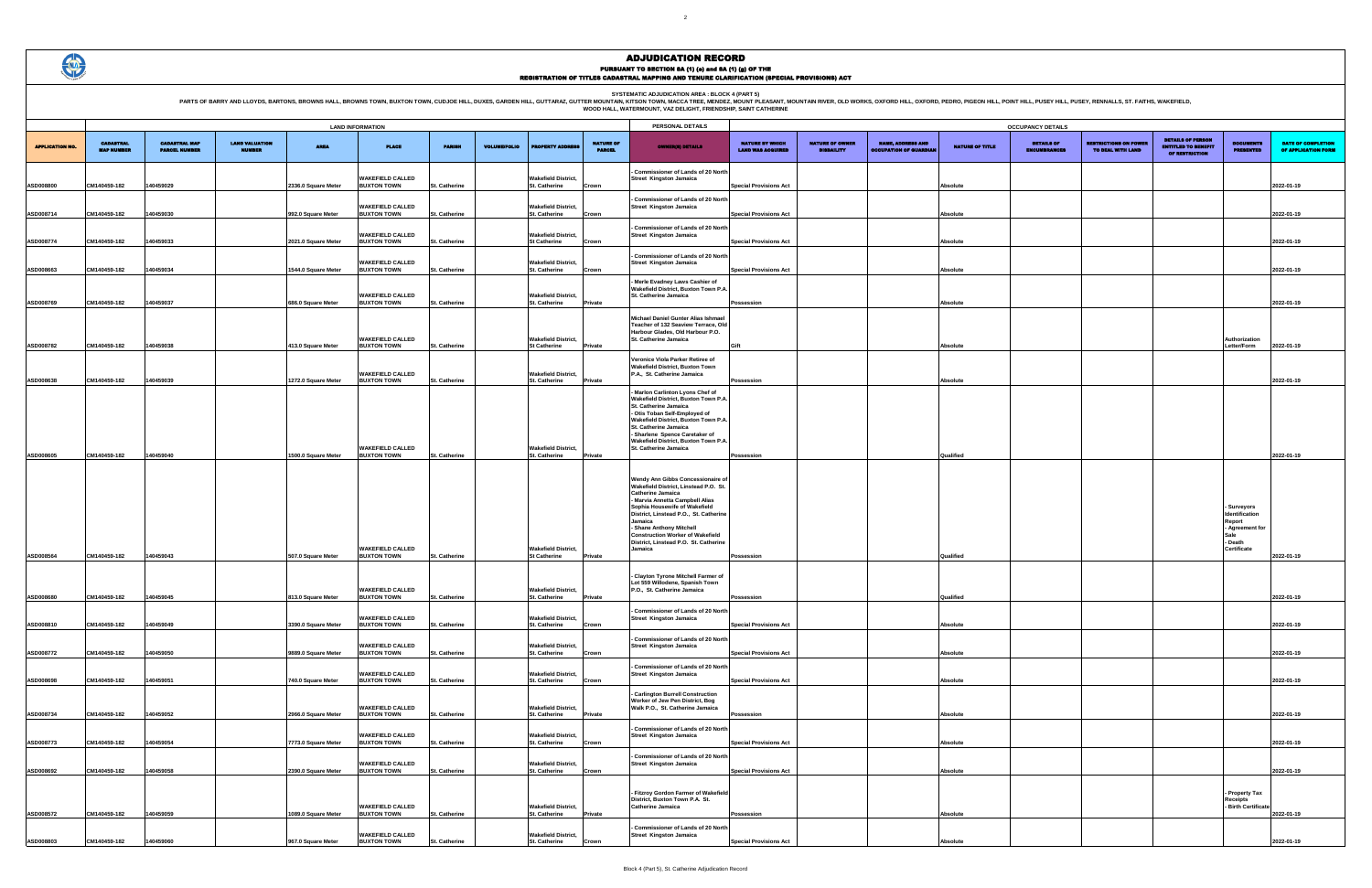PARTS OF BARRY AND LLOYDS, BARTONS, BROWNS HALL, BROWNS TOWN, BUXTON TOWN, CUDJOE HILL, DUXES, GARDEN HILL, GUTTARAZ, GUTTER MOUNTAIN R. WESCA TREE MENDELATION AREA : BLOCK 4 (PART 5)<br>WOOD HALL, WATERMOUNT, VAZ DELIGHT, FR

|                                                    |                                             |                                                           |                        | <b>OCCUPANCY DETAILS</b>                 |                                                   |                                                                          |                                           |                                                  |
|----------------------------------------------------|---------------------------------------------|-----------------------------------------------------------|------------------------|------------------------------------------|---------------------------------------------------|--------------------------------------------------------------------------|-------------------------------------------|--------------------------------------------------|
| <b>NATURE BY WHICH</b><br><b>LAND WAS ACQUIRED</b> | <b>NATURE OF OWNER</b><br><b>DISBAILITY</b> | <b>NAME, ADDRESS AND</b><br><b>OCCUPATION OF GUARDIAN</b> | <b>NATURE OF TITLE</b> | <b>DETAILS OF</b><br><b>ENCUMBRANCES</b> | <b>RESTRICTIONS ON POWER</b><br>TO DEAL WITH LAND | <b>DETAILS OF PERSON</b><br><b>ENTITLED TO BENEFIT</b><br>OF RESTRICTION | <b>DOCUMENTS</b><br><b>PRESENTED</b>      | <b>DATE OF COMPLETION</b><br>OF APPLICATION FORM |
|                                                    |                                             |                                                           |                        |                                          |                                                   |                                                                          |                                           |                                                  |
| <b>Special Provisions Act</b>                      |                                             |                                                           | Absolute               |                                          |                                                   |                                                                          |                                           | 2022-01-19                                       |
|                                                    |                                             |                                                           | <b>Absolute</b>        |                                          |                                                   |                                                                          |                                           |                                                  |
| <b>Special Provisions Act</b>                      |                                             |                                                           |                        |                                          |                                                   |                                                                          |                                           | 2022-01-19                                       |
| <b>Special Provisions Act</b>                      |                                             |                                                           | Absolute               |                                          |                                                   |                                                                          |                                           | 2022-01-19                                       |
|                                                    |                                             |                                                           |                        |                                          |                                                   |                                                                          |                                           |                                                  |
| <b>Special Provisions Act</b>                      |                                             |                                                           | Absolute               |                                          |                                                   |                                                                          |                                           | 2022-01-19                                       |
|                                                    |                                             |                                                           |                        |                                          |                                                   |                                                                          |                                           |                                                  |
| Possession                                         |                                             |                                                           | <b>Absolute</b>        |                                          |                                                   |                                                                          |                                           | 2022-01-19                                       |
|                                                    |                                             |                                                           |                        |                                          |                                                   |                                                                          |                                           |                                                  |
| Gift                                               |                                             |                                                           | Absolute               |                                          |                                                   |                                                                          | Authorization<br>Letter/Form              | 2022-01-19                                       |
|                                                    |                                             |                                                           |                        |                                          |                                                   |                                                                          |                                           |                                                  |
| Possession                                         |                                             |                                                           | Absolute               |                                          |                                                   |                                                                          |                                           | 2022-01-19                                       |
|                                                    |                                             |                                                           |                        |                                          |                                                   |                                                                          |                                           |                                                  |
|                                                    |                                             |                                                           |                        |                                          |                                                   |                                                                          |                                           |                                                  |
|                                                    |                                             |                                                           |                        |                                          |                                                   |                                                                          |                                           |                                                  |
|                                                    |                                             |                                                           |                        |                                          |                                                   |                                                                          |                                           |                                                  |
| Possession                                         |                                             |                                                           | Qualified              |                                          |                                                   |                                                                          |                                           | 2022-01-19                                       |
|                                                    |                                             |                                                           |                        |                                          |                                                   |                                                                          |                                           |                                                  |
|                                                    |                                             |                                                           |                        |                                          |                                                   |                                                                          |                                           |                                                  |
|                                                    |                                             |                                                           |                        |                                          |                                                   |                                                                          | - Surveyors                               |                                                  |
|                                                    |                                             |                                                           |                        |                                          |                                                   |                                                                          | Identification<br>Report<br>Agreement for |                                                  |
|                                                    |                                             |                                                           |                        |                                          |                                                   |                                                                          | Sale<br>- Death                           |                                                  |
| Possession                                         |                                             |                                                           | Qualified              |                                          |                                                   |                                                                          | Certificate                               | 2022-01-19                                       |
|                                                    |                                             |                                                           |                        |                                          |                                                   |                                                                          |                                           |                                                  |
| Possession                                         |                                             |                                                           | Qualified              |                                          |                                                   |                                                                          |                                           | 2022-01-19                                       |
|                                                    |                                             |                                                           |                        |                                          |                                                   |                                                                          |                                           |                                                  |
| <b>Special Provisions Act</b>                      |                                             |                                                           | Absolute               |                                          |                                                   |                                                                          |                                           | 2022-01-19                                       |
|                                                    |                                             |                                                           |                        |                                          |                                                   |                                                                          |                                           |                                                  |
| <b>Special Provisions Act</b>                      |                                             |                                                           | Absolute               |                                          |                                                   |                                                                          |                                           | 2022-01-19                                       |
|                                                    |                                             |                                                           |                        |                                          |                                                   |                                                                          |                                           |                                                  |
| <b>Special Provisions Act</b>                      |                                             |                                                           | <b>Absolute</b>        |                                          |                                                   |                                                                          |                                           | 2022-01-19                                       |
|                                                    |                                             |                                                           |                        |                                          |                                                   |                                                                          |                                           |                                                  |
| Possession                                         |                                             |                                                           | Absolute               |                                          |                                                   |                                                                          |                                           | 2022-01-19                                       |
| <b>Special Provisions Act</b>                      |                                             |                                                           | <b>Absolute</b>        |                                          |                                                   |                                                                          |                                           | 2022-01-19                                       |
|                                                    |                                             |                                                           |                        |                                          |                                                   |                                                                          |                                           |                                                  |
| <b>Special Provisions Act</b>                      |                                             |                                                           | Absolute               |                                          |                                                   |                                                                          |                                           | 2022-01-19                                       |
|                                                    |                                             |                                                           |                        |                                          |                                                   |                                                                          | - Property Tax                            |                                                  |
|                                                    |                                             |                                                           |                        |                                          |                                                   |                                                                          | Receipts<br>Birth Certificate             |                                                  |
| Possession                                         |                                             |                                                           | <b>Absolute</b>        |                                          |                                                   |                                                                          |                                           | 2022-01-19                                       |
| <b>Special Provisions Act</b>                      |                                             |                                                           | Absolute               |                                          |                                                   |                                                                          |                                           | 2022-01-19                                       |

|                        | <b>LAND INFORMATION</b>               |                                              |                                        |                                            |                                                                     |                                       |                     |                                                                    |                                   | PERSONAL DETAILS                                                                                                                                                                                                                                                                                                                                              |                                                    |                                             |                                                           |                        | <b>OCCUPANCY DETAILS</b>                 |
|------------------------|---------------------------------------|----------------------------------------------|----------------------------------------|--------------------------------------------|---------------------------------------------------------------------|---------------------------------------|---------------------|--------------------------------------------------------------------|-----------------------------------|---------------------------------------------------------------------------------------------------------------------------------------------------------------------------------------------------------------------------------------------------------------------------------------------------------------------------------------------------------------|----------------------------------------------------|---------------------------------------------|-----------------------------------------------------------|------------------------|------------------------------------------|
| <b>APPLICATION NO.</b> | <b>CADASTRAL</b><br><b>MAP NUMBER</b> | <b>CADASTRAL MAP</b><br><b>PARCEL NUMBER</b> | <b>LAND VALUATION</b><br><b>NUMBER</b> | <b>AREA</b>                                | <b>PLACE</b>                                                        | <b>PARISH</b>                         | <b>VOLUME/FOLIO</b> | <b>ROPERTY ADDRESS</b>                                             | <b>NATURE OF</b><br><b>PARCEL</b> | <b>OWNER(8) DETAILS</b>                                                                                                                                                                                                                                                                                                                                       | <b>NATURE BY WHICH</b><br><b>LAND WAS ACQUIRED</b> | <b>NATURE OF OWNER</b><br><b>DISBAILITY</b> | <b>NAME, ADDRESS AND</b><br><b>OCCUPATION OF GUARDIAL</b> | <b>NATURE OF TITLE</b> | <b>DETAILS OF</b><br><b>ENCUMBRANCES</b> |
| ASD008800              | CM140459-182                          | 140459029                                    |                                        | 2336.0 Square Meter                        | <b>WAKEFIELD CALLED</b><br><b>BUXTON TOWN</b>                       | St. Catherine                         |                     | <b>Wakefield District,</b><br>St. Catherine                        | Crown                             | Commissioner of Lands of 20 North<br><b>Street Kingston Jamaica</b>                                                                                                                                                                                                                                                                                           | <b>Special Provisions Act</b>                      |                                             |                                                           | Absolute               |                                          |
| ASD008714              | CM140459-182                          | 140459030                                    |                                        | 992.0 Square Meter                         | <b>WAKEFIELD CALLED</b><br><b>BUXTON TOWN</b>                       | St. Catherine                         |                     | <b>Wakefield District,</b><br>St. Catherine                        | Crown                             | Commissioner of Lands of 20 North<br><b>Street Kingston Jamaica</b>                                                                                                                                                                                                                                                                                           | <b>Special Provisions Act</b>                      |                                             |                                                           | Absolute               |                                          |
| ASD008774              | CM140459-182                          | 140459033                                    |                                        | 2021.0 Square Meter                        | <b>WAKEFIELD CALLED</b><br><b>BUXTON TOWN</b>                       | St. Catherine                         |                     | <b>Wakefield District,</b><br><b>St Catherine</b>                  | Crown                             | Commissioner of Lands of 20 North<br><b>Street Kingston Jamaica</b>                                                                                                                                                                                                                                                                                           | <b>Special Provisions Act</b>                      |                                             |                                                           | Absolute               |                                          |
| ASD008663              | CM140459-182                          | 140459034                                    |                                        | 1544.0 Square Meter                        | <b>WAKEFIELD CALLED</b><br><b>BUXTON TOWN</b>                       | St. Catherine                         |                     | <b>Wakefield District,</b><br>St. Catherine                        | Crown                             | Commissioner of Lands of 20 North<br><b>Street Kingston Jamaica</b>                                                                                                                                                                                                                                                                                           | <b>Special Provisions Act</b>                      |                                             |                                                           | Absolute               |                                          |
|                        |                                       |                                              |                                        |                                            | <b>WAKEFIELD CALLED</b>                                             |                                       |                     | <b>Wakefield District,</b>                                         |                                   | Merle Evadney Laws Cashier of<br>Wakefield District, Buxton Town P.A.<br>St. Catherine Jamaica                                                                                                                                                                                                                                                                |                                                    |                                             |                                                           |                        |                                          |
| ASD008769              | CM140459-182                          | 140459037                                    |                                        | 686.0 Square Meter                         | <b>BUXTON TOWN</b>                                                  | St. Catherine                         |                     | St. Catherine                                                      | Private                           | Michael Daniel Gunter Alias Ishmael                                                                                                                                                                                                                                                                                                                           | Possession                                         |                                             |                                                           | Absolute               |                                          |
| ASD008782              | CM140459-182                          | 140459038                                    |                                        | 413.0 Square Meter                         | <b>WAKEFIELD CALLED</b><br><b>BUXTON TOWN</b>                       | St. Catherine                         |                     | <b>Wakefield District,</b><br><b>St Catherine</b>                  | Private                           | Teacher of 132 Seaview Terrace, Old<br>Harbour Glades, Old Harbour P.O.<br>St. Catherine Jamaica                                                                                                                                                                                                                                                              | Gift                                               |                                             |                                                           | Absolute               |                                          |
|                        |                                       |                                              |                                        |                                            | <b>WAKEFIELD CALLED</b>                                             |                                       |                     | <b>Wakefield District,</b>                                         |                                   | Veronice Viola Parker Retiree of<br><b>Wakefield District, Buxton Town</b><br>P.A., St. Catherine Jamaica                                                                                                                                                                                                                                                     |                                                    |                                             |                                                           |                        |                                          |
| ASD008638<br>ASD008605 | CM140459-182<br>CM140459-182          | 140459039<br>140459040                       |                                        | 1272.0 Square Meter<br>1500.0 Square Meter | <b>BUXTON TOWN</b><br><b>WAKEFIELD CALLED</b><br><b>BUXTON TOWN</b> | St. Catherine<br><b>St. Catherine</b> |                     | St. Catherine<br><b>Wakefield District,</b><br>St. Catherine       | Private<br>Private                | Marlon Carlinton Lyons Chef of<br>Wakefield District, Buxton Town P.A.<br>St. Catherine Jamaica<br>Otis Toban Self-Employed of<br>Wakefield District, Buxton Town P.A.<br>St. Catherine Jamaica<br>Sharlene Spence Caretaker of<br>Wakefield District, Buxton Town P.A.<br>St. Catherine Jamaica                                                              | Possession<br>Possession                           |                                             |                                                           | Absolute<br>Qualified  |                                          |
|                        |                                       |                                              |                                        |                                            | <b>WAKEFIELD CALLED</b>                                             |                                       |                     | <b>Wakefield District,</b>                                         |                                   | Wendy Ann Gibbs Concessionaire of<br>Wakefield District, Linstead P.O. St.<br><b>Catherine Jamaica</b><br>Marvia Annetta Campbell Alias<br>Sophia Housewife of Wakefield<br>District, Linstead P.O., St. Catherine<br>Jamaica<br><b>Shane Anthony Mitchell</b><br><b>Construction Worker of Wakefield</b><br>District, Linstead P.O. St. Catherine<br>Jamaica |                                                    |                                             |                                                           |                        |                                          |
| ASD008564<br>ASD008680 | CM140459-182<br>CM140459-182          | 140459043<br>140459045                       |                                        | 507.0 Square Meter<br>813.0 Square Meter   | <b>BUXTON TOWN</b><br><b>WAKEFIELD CALLED</b><br><b>BUXTON TOWN</b> | St. Catherine<br>St. Catherine        |                     | <b>St Catherine</b><br><b>Wakefield District,</b><br>St. Catherine | Private<br>Private                | - Clayton Tyrone Mitchell Farmer of<br>Lot 559 Willodene, Spanish Town<br>P.O., St. Catherine Jamaica                                                                                                                                                                                                                                                         | Possession<br>Possession                           |                                             |                                                           | Qualified<br>Qualified |                                          |
| ASD008810              | CM140459-182                          | 140459049                                    |                                        | 3390.0 Square Meter                        | <b>WAKEFIELD CALLED</b><br><b>BUXTON TOWN</b>                       | <b>St. Catherine</b>                  |                     | <b>Wakefield District,</b><br>St. Catherine                        | Crown                             | Commissioner of Lands of 20 North<br><b>Street Kingston Jamaica</b>                                                                                                                                                                                                                                                                                           | <b>Special Provisions Act</b>                      |                                             |                                                           | Absolute               |                                          |
| ASD008772              | CM140459-182                          | 140459050                                    |                                        | 9889.0 Square Meter                        | <b>WAKEFIELD CALLED</b><br><b>BUXTON TOWN</b>                       | St. Catherine                         |                     | <b>Wakefield District,</b><br>St. Catherine                        | Crown                             | <b>Commissioner of Lands of 20 North</b><br><b>Street Kingston Jamaica</b>                                                                                                                                                                                                                                                                                    | <b>Special Provisions Act</b>                      |                                             |                                                           | Absolute               |                                          |
| ASD008698              | CM140459-182                          | 140459051                                    |                                        | 740.0 Square Meter                         | <b>WAKEFIELD CALLED</b><br><b>BUXTON TOWN</b>                       | St. Catherine                         |                     | <b>Wakefield District,</b><br>St. Catherine                        | Crown                             | <b>Commissioner of Lands of 20 North</b><br><b>Street Kingston Jamaica</b>                                                                                                                                                                                                                                                                                    | <b>Special Provisions Act</b>                      |                                             |                                                           | Absolute               |                                          |
| ASD008734              | CM140459-182                          | 140459052                                    |                                        | 2966.0 Square Meter                        | <b>WAKEFIELD CALLED</b><br><b>BUXTON TOWN</b>                       | St. Catherine                         |                     | <b>Wakefield District,</b><br>St. Catherine                        | Private                           | <b>Carlington Burrell Construction</b><br>Worker of Jew Pen District, Bog<br>Walk P.O., St. Catherine Jamaica                                                                                                                                                                                                                                                 | Possession                                         |                                             |                                                           | Absolute               |                                          |
| ASD008773              | CM140459-182                          | 140459054                                    |                                        | 7773.0 Square Meter                        | <b>WAKEFIELD CALLED</b><br><b>BUXTON TOWN</b>                       | St. Catherine                         |                     | <b>Wakefield District,</b><br>St. Catherine                        | Crown                             | <b>Commissioner of Lands of 20 North</b><br><b>Street Kingston Jamaica</b>                                                                                                                                                                                                                                                                                    | <b>Special Provisions Act</b>                      |                                             |                                                           | Absolute               |                                          |
| ASD008692              | CM140459-182                          | 140459058                                    |                                        | 2390.0 Square Meter                        | <b>WAKEFIELD CALLED</b><br><b>BUXTON TOWN</b>                       | St. Catherine                         |                     | <b>Wakefield District,</b><br>St. Catherine                        | Crown                             | Commissioner of Lands of 20 North<br><b>Street Kingston Jamaica</b>                                                                                                                                                                                                                                                                                           | <b>Special Provisions Act</b>                      |                                             |                                                           | Absolute               |                                          |
|                        |                                       |                                              |                                        |                                            | <b>WAKEFIELD CALLED</b>                                             |                                       |                     | <b>Wakefield District,</b>                                         |                                   | Fitzroy Gordon Farmer of Wakefield<br>District, Buxton Town P.A. St.<br><b>Catherine Jamaica</b>                                                                                                                                                                                                                                                              |                                                    |                                             |                                                           |                        |                                          |
| ASD008572<br>ASD008803 | CM140459-182<br>CM140459-182          | 140459059<br>140459060                       |                                        | 1089.0 Square Meter<br>967.0 Square Meter  | <b>BUXTON TOWN</b><br><b>WAKEFIELD CALLED</b><br><b>BUXTON TOWN</b> | St. Catherine<br>St. Catherine        |                     | St. Catherine<br><b>Wakefield District,</b><br>St. Catherine       | Private<br>Crown                  | <b>Commissioner of Lands of 20 North</b><br><b>Street Kingston Jamaica</b>                                                                                                                                                                                                                                                                                    | Possession<br><b>Special Provisions Act</b>        |                                             |                                                           | Absolute<br>Absolute   |                                          |
|                        |                                       |                                              |                                        |                                            |                                                                     |                                       |                     |                                                                    |                                   |                                                                                                                                                                                                                                                                                                                                                               |                                                    |                                             |                                                           |                        |                                          |

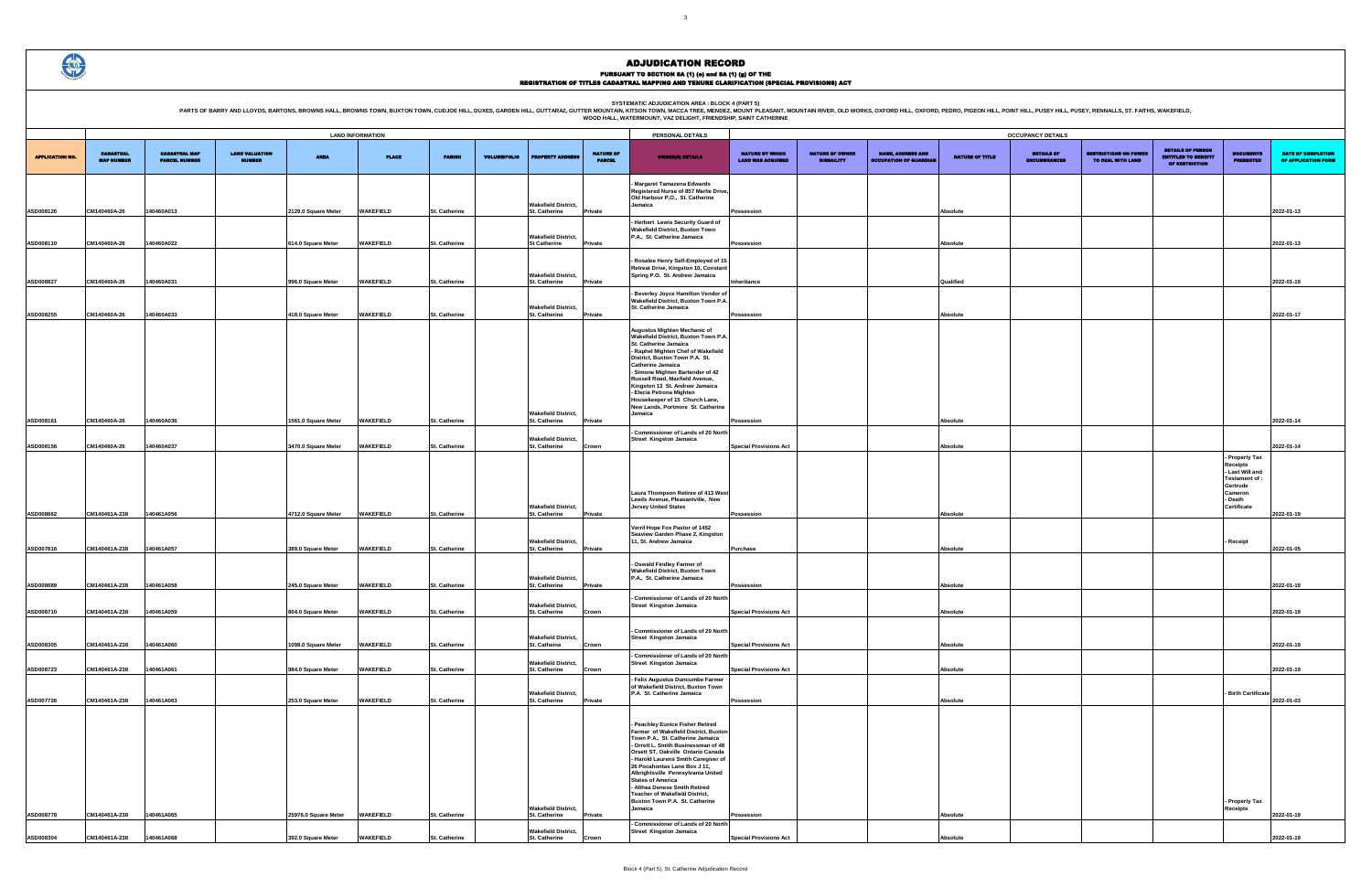PURSUANT TO SECTION 8A (1) (0) and 8A (1) (g) OF THE<br>REGISTRATION OF TITLES CADASTRAL MAPPING AND TENURE CLARIFICATION (SPECIAL PROVISIONS) ACT

PARTS OF BARRY AND LLOYDS, BARTONS, BROWNS HALL, BROWNS TOWN, BUXTON TOWN, CUDJOE HILL, DUXES, GARDEN HILL, GUTTARAZ, GUTTER MOUNTAIN R. WESCA TREE MENDELATION AREA : BLOCK 4 (PART 5)<br>WOOD HALL, WATERMOUNT, VAZ DELIGHT, FR

|                                             |                                             |                                                           |                        | <b>OCCUPANCY DETAILS</b>                 |                                                   |                                                                          |                                                               |                                           |
|---------------------------------------------|---------------------------------------------|-----------------------------------------------------------|------------------------|------------------------------------------|---------------------------------------------------|--------------------------------------------------------------------------|---------------------------------------------------------------|-------------------------------------------|
| NATURE BY WHICH<br><b>LAND WAS ACQUIRED</b> | <b>NATURE OF OWNER</b><br><b>DISBAILITY</b> | <b>NAME, ADDRESS AND</b><br><b>OCCUPATION OF GUARDIAN</b> | <b>NATURE OF TITLE</b> | <b>DETAILS OF</b><br><b>ENCUMBRANCES</b> | <b>RESTRICTIONS ON POWER</b><br>TO DEAL WITH LAND | <b>DETAILS OF PERSON</b><br><b>ENTITLED TO BENEFIT</b><br>OF RESTRICTION | <b>DOCUMENTS</b><br><b>PRESENTED</b>                          | DATE OF COMPLETION<br>OF APPLICATION FORM |
|                                             |                                             |                                                           |                        |                                          |                                                   |                                                                          |                                                               |                                           |
| Possession                                  |                                             |                                                           | Absolute               |                                          |                                                   |                                                                          |                                                               | 2022-01-13                                |
| Possession                                  |                                             |                                                           | Absolute               |                                          |                                                   |                                                                          |                                                               | 2022-01-13                                |
|                                             |                                             |                                                           |                        |                                          |                                                   |                                                                          |                                                               |                                           |
| Inheritance                                 |                                             |                                                           | Qualified              |                                          |                                                   |                                                                          |                                                               | 2022-01-19                                |
| Possession                                  |                                             |                                                           | Absolute               |                                          |                                                   |                                                                          |                                                               | 2022-01-17                                |
|                                             |                                             |                                                           |                        |                                          |                                                   |                                                                          |                                                               |                                           |
|                                             |                                             |                                                           |                        |                                          |                                                   |                                                                          |                                                               |                                           |
|                                             |                                             |                                                           |                        |                                          |                                                   |                                                                          |                                                               |                                           |
|                                             |                                             |                                                           |                        |                                          |                                                   |                                                                          |                                                               |                                           |
| Possession                                  |                                             |                                                           | Absolute               |                                          |                                                   |                                                                          |                                                               | 2022-01-14                                |
| <b>Special Provisions Act</b>               |                                             |                                                           | Absolute               |                                          |                                                   |                                                                          | Property Tax<br>Receipts<br>- Last Will and<br>Testament of : | 2022-01-14                                |
| Possession                                  |                                             |                                                           | Absolute               |                                          |                                                   |                                                                          | Gertrude<br>Cameron<br>- Death<br>Certificate                 | 2022-01-19                                |
| Purchase                                    |                                             |                                                           | Absolute               |                                          |                                                   |                                                                          | Receipt                                                       | 2022-01-05                                |
|                                             |                                             |                                                           |                        |                                          |                                                   |                                                                          |                                                               |                                           |
| Possession                                  |                                             |                                                           | Absolute               |                                          |                                                   |                                                                          |                                                               | 2022-01-19                                |
| <b>Special Provisions Act</b>               |                                             |                                                           | Absolute               |                                          |                                                   |                                                                          |                                                               | 2022-01-19                                |
| <b>Special Provisions Act</b>               |                                             |                                                           | Absolute               |                                          |                                                   |                                                                          |                                                               | 2022-01-19                                |
| <b>Special Provisions Act</b>               |                                             |                                                           | Absolute               |                                          |                                                   |                                                                          |                                                               | 2022-01-19                                |
| Possession                                  |                                             |                                                           | Absolute               |                                          |                                                   |                                                                          | <b>Birth Certificate</b>                                      | 2022-01-03                                |
|                                             |                                             |                                                           |                        |                                          |                                                   |                                                                          |                                                               |                                           |
|                                             |                                             |                                                           |                        |                                          |                                                   |                                                                          |                                                               |                                           |
|                                             |                                             |                                                           |                        |                                          |                                                   |                                                                          |                                                               |                                           |
|                                             |                                             |                                                           |                        |                                          |                                                   |                                                                          | - Property Tax                                                |                                           |
| Possession                                  |                                             |                                                           | Absolute               |                                          |                                                   |                                                                          | Receipts                                                      | 2022-01-19                                |
| <b>Special Provisions Act</b>               |                                             |                                                           | Absolute               |                                          |                                                   |                                                                          |                                                               | 2022-01-19                                |

|                        |                                       |                                              |                                        |                      | <b>LAND INFORMATION</b> |                      |                     |                                                    |                                   | PERSONAL DETAILS                                                                                                                                                                                                                                                                                                                                                                                                                                          |                                                    |                                             |                                                           |                 | <b>OCCUPANCY DETAILS</b>                 |
|------------------------|---------------------------------------|----------------------------------------------|----------------------------------------|----------------------|-------------------------|----------------------|---------------------|----------------------------------------------------|-----------------------------------|-----------------------------------------------------------------------------------------------------------------------------------------------------------------------------------------------------------------------------------------------------------------------------------------------------------------------------------------------------------------------------------------------------------------------------------------------------------|----------------------------------------------------|---------------------------------------------|-----------------------------------------------------------|-----------------|------------------------------------------|
| <b>APPLICATION NO.</b> | <b>CADASTRAL</b><br><b>MAP NUMBER</b> | <b>CADASTRAL MAP</b><br><b>PARCEL NUMBER</b> | <b>LAND VALUATION</b><br><b>NUMBER</b> | <b>AREA</b>          | <b>PLACE</b>            | <b>PARISH</b>        | <b>VOLUME/FOLIO</b> | <b>ROPERTY ADDRESS</b>                             | <b>NATURE OF</b><br><b>PARCEL</b> | <b>OWNER(8) DETAILS</b>                                                                                                                                                                                                                                                                                                                                                                                                                                   | <b>NATURE BY WHICH</b><br><b>LAND WAS ACQUIRED</b> | <b>NATURE OF OWNER</b><br><b>DISBAILITY</b> | <b>NAME, ADDRESS AND</b><br><b>OCCUPATION OF GUARDIAN</b> | NATURE OF TITLE | <b>DETAILS OF</b><br><b>ENCUMBRANCES</b> |
| ASD008126              | CM140460A-26                          | 140460A013                                   |                                        | 2129.0 Square Meter  | <b>WAKEFIELD</b>        | <b>St. Catherine</b> |                     | <b>Wakefield District,</b><br>St. Catherine        | Private                           | - Margaret Tamazena Edwards<br>Registered Nurse of 857 Marlie Drive,<br>Old Harbour P.O., St. Catherine<br>Jamaica                                                                                                                                                                                                                                                                                                                                        | <b>Possession</b>                                  |                                             |                                                           | Absolute        |                                          |
| ASD008110              | CM140460A-26                          | 140460A022                                   |                                        | 614.0 Square Meter   | WAKEFIELD               | St. Catherine        |                     | <b>Wakefield District,</b><br><b>St Catherine</b>  | Private                           | - Herbert Lewis Security Guard of<br><b>Wakefield District, Buxton Town</b><br>P.A., St. Catherine Jamaica                                                                                                                                                                                                                                                                                                                                                | Possession                                         |                                             |                                                           | <b>Absolute</b> |                                          |
| ASD008827              | CM140460A-26                          | 140460A031                                   |                                        | 996.0 Square Meter   | <b>WAKEFIELD</b>        | <b>St. Catherine</b> |                     | <b>Wakefield District,</b><br>St. Catherine        | Private                           | - Rosalee Henry Self-Employed of 15<br>Retreat Drive, Kingston 10, Constant<br>Spring P.O. St. Andrew Jamaica                                                                                                                                                                                                                                                                                                                                             | Inheritance                                        |                                             |                                                           | Qualified       |                                          |
| ASD008255              | CM140460A-26                          | 140460A033                                   |                                        | 418.0 Square Meter   | <b>WAKEFIELD</b>        | <b>St. Catherine</b> |                     | <b>Wakefield District,</b><br><b>St. Catherine</b> | Private                           | - Beverley Joyce Hamilton Vendor of<br>Wakefield District, Buxton Town P.A.<br>St. Catherine Jamaica                                                                                                                                                                                                                                                                                                                                                      | <b>Possession</b>                                  |                                             |                                                           | Absolute        |                                          |
| ASD008161              | CM140460A-26                          | 140460A036                                   |                                        | 1561.0 Square Meter  | WAKEFIELD               | St. Catherine        |                     | <b>Wakefield District,</b><br>St. Catherine        | Private                           | Augustus Mighten Mechanic of<br>Wakefield District, Buxton Town P.A.<br>St. Catherine Jamaica<br>- Raphel Mighten Chef of Wakefield<br>District, Buxton Town P.A. St.<br><b>Catherine Jamaica</b><br>- Simone Mighten Bartender of 42<br>Russell Road, Maxfield Avenue,<br>Kingston 13 St. Andrew Jamaica<br>- Elecia Petrona Mighten<br>Housekeeper of 15 Church Lane,<br>New Lands, Portmore St. Catherine<br>Jamaica                                   | Possession                                         |                                             |                                                           | Absolute        |                                          |
| ASD008156              | CM140460A-26                          | 140460A037                                   |                                        | 3470.0 Square Meter  | WAKEFIELD               | <b>St. Catherine</b> |                     | <b>Wakefield District,</b><br>St. Catherine        | Crown                             | - Commissioner of Lands of 20 North<br><b>Street Kingston Jamaica</b>                                                                                                                                                                                                                                                                                                                                                                                     | <b>Special Provisions Act</b>                      |                                             |                                                           | <b>Absolute</b> |                                          |
| ASD008662              | CM140461A-238                         | 140461A056                                   |                                        | 4712.0 Square Meter  | <b>WAKEFIELD</b>        | <b>St. Catherine</b> |                     | <b>Wakefield District,</b><br>St. Catherine        | Private                           | Laura Thompson Retiree of 413 West<br>Leeds Avenue, Pleasantville, New<br><b>Jersey United States</b>                                                                                                                                                                                                                                                                                                                                                     | <b>Possession</b>                                  |                                             |                                                           | <b>Absolute</b> |                                          |
|                        |                                       |                                              |                                        |                      |                         |                      |                     | <b>Wakefield District,</b>                         |                                   | Verril Hope Fox Pastor of 1452<br>Seaview Garden Phase 2, Kingston<br>11, St. Andrew Jamaica                                                                                                                                                                                                                                                                                                                                                              |                                                    |                                             |                                                           |                 |                                          |
| ASD007816              | CM140461A-238                         | 140461A057                                   |                                        | 389.0 Square Meter   | WAKEFIELD               | <b>St. Catherine</b> |                     | St. Catherine<br><b>Wakefield District,</b>        | Private                           | - Oswald Findley Farmer of<br><b>Wakefield District, Buxton Town</b><br>P.A., St. Catherine Jamaica                                                                                                                                                                                                                                                                                                                                                       | Purchase                                           |                                             |                                                           | Absolute        |                                          |
| ASD008689              | CM140461A-238                         | 140461A058                                   |                                        | 245.0 Square Meter   | <b>WAKEFIELD</b>        | <b>St. Catherine</b> |                     | St. Catherine<br><b>Wakefield District,</b>        | Private                           | - Commissioner of Lands of 20 North<br><b>Street Kingston Jamaica</b>                                                                                                                                                                                                                                                                                                                                                                                     | Possession                                         |                                             |                                                           | Absolute        |                                          |
| ASD008710              | CM140461A-238                         | 140461A059                                   |                                        | 804.0 Square Meter   | <b>WAKEFIELD</b>        | <b>St. Catherine</b> |                     | St. Catherine                                      | Crown                             |                                                                                                                                                                                                                                                                                                                                                                                                                                                           | <b>Special Provisions Act</b>                      |                                             |                                                           | Absolute        |                                          |
| ASD008305              | CM140461A-238                         | 140461A060                                   |                                        | 1098.0 Square Meter  | <b>WAKEFIELD</b>        | <b>St. Catherine</b> |                     | <b>Wakefield District,</b><br>St. Catheine         | Crown                             | - Commissioner of Lands of 20 North<br><b>Street Kingston Jamaica</b><br>- Commissioner of Lands of 20 North                                                                                                                                                                                                                                                                                                                                              | <b>Special Provisions Act</b>                      |                                             |                                                           | Absolute        |                                          |
| ASD008723              | CM140461A-238                         | 140461A061                                   |                                        | 984.0 Square Meter   | <b>WAKEFIELD</b>        | St. Catherine        |                     | <b>Wakefield District,</b><br>St. Catherine        | Crown                             | <b>Street Kingston Jamaica</b>                                                                                                                                                                                                                                                                                                                                                                                                                            | <b>Special Provisions Act</b>                      |                                             |                                                           | Absolute        |                                          |
| ASD007726              | CM140461A-238                         | 140461A063                                   |                                        | 253.0 Square Meter   | <b>WAKEFIELD</b>        | St. Catherine        |                     | <b>Wakefield District,</b><br>St. Catherine        | Private                           | - Felix Augustus Duncumbe Farmer<br>of Wakefield District, Buxton Town<br>P.A. St. Catherine Jamaica                                                                                                                                                                                                                                                                                                                                                      | Possession                                         |                                             |                                                           | Absolute        |                                          |
| ASD008778              | CM140461A-238                         | 140461A065                                   |                                        | 25976.0 Square Meter | <b>WAKEFIELD</b>        | St. Catherine        |                     | <b>Wakefield District,</b><br>St. Catherine        | Private                           | - Peachley Eunice Fisher Retired<br>Farmer of Wakefield District, Buxton<br>Town P.A., St. Catherine Jamaica<br>- Orrett L. Smith Businessman of 48<br>Orsett ST, Oakville Ontario Canada<br>- Harold Laurens Smith Caregiver of<br>26 Pocahontas Lane Box J 11,<br>Albrightsville Pennsylvania United<br><b>States of America</b><br>- Althea Denese Smith Retired<br><b>Teacher of Wakefield District,</b><br>Buxton Town P.A. St. Catherine<br>Jamaica | Possession                                         |                                             |                                                           | Absolute        |                                          |
| ASD008304              | CM140461A-238                         | 140461A068                                   |                                        | 392.0 Square Meter   | <b>WAKEFIELD</b>        | St. Catherine        |                     | <b>Wakefield District,</b><br>St. Catherine        | Crown                             | - Commissioner of Lands of 20 North<br><b>Street Kingston Jamaica</b>                                                                                                                                                                                                                                                                                                                                                                                     | <b>Special Provisions Act</b>                      |                                             |                                                           | Absolute        |                                          |

 $\bigcirc$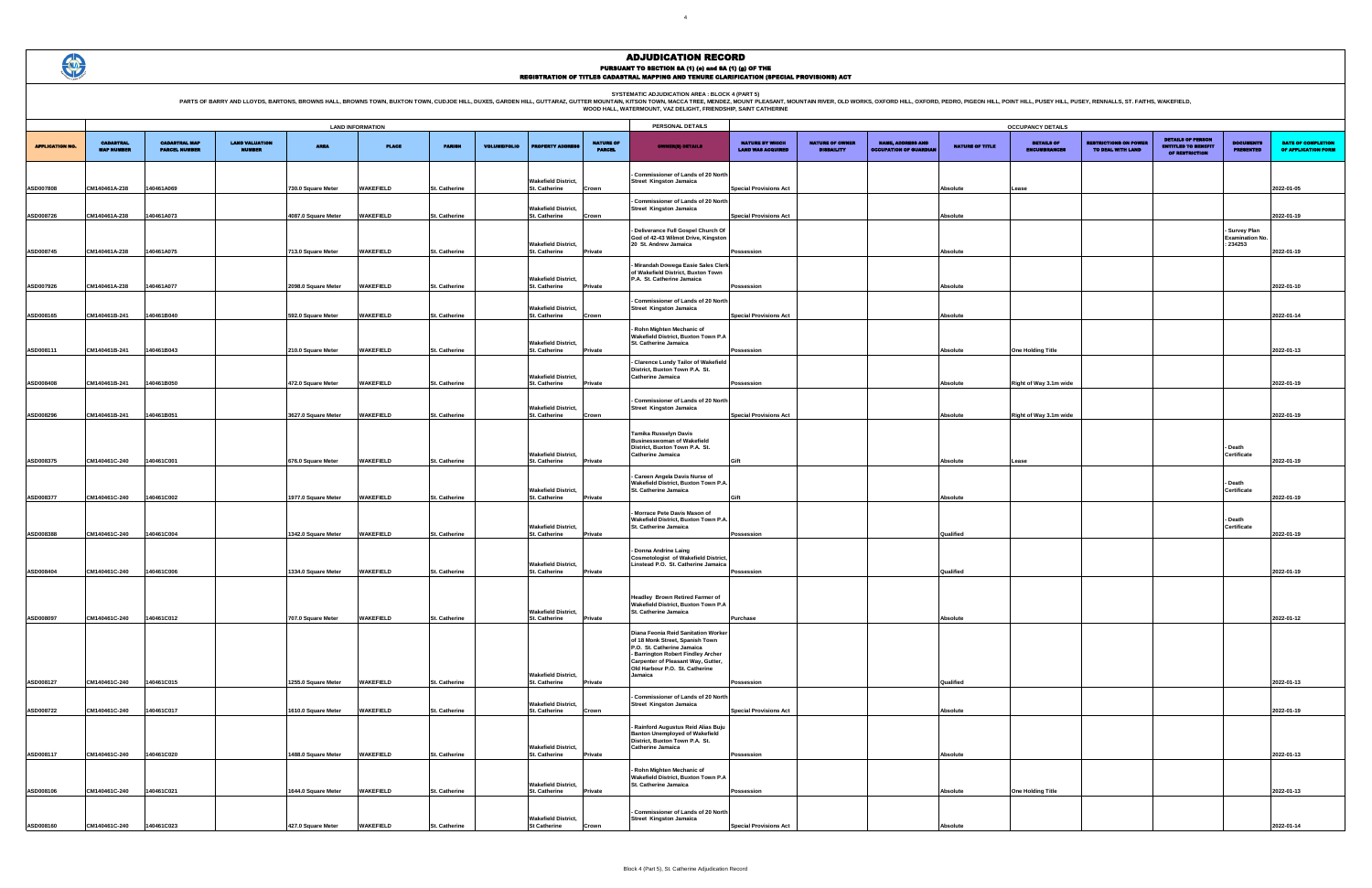# ADJUDICATION RECORD PURSUANT TO SECTION 8A (1) (0) and 8A (1) (g) OF THE<br>REGISTRATION OF TITLES CADASTRAL MAPPING AND TENURE CLARIFICATION (SPECIAL PROVISIONS) ACT

|                                             |                                             |                                                           |                        | <b>OCCUPANCY DETAILS</b>                 |                                                   |                                                                          |                                              |                                                  |
|---------------------------------------------|---------------------------------------------|-----------------------------------------------------------|------------------------|------------------------------------------|---------------------------------------------------|--------------------------------------------------------------------------|----------------------------------------------|--------------------------------------------------|
| NATURE BY WHICH<br><b>LAND WAS ACQUIRED</b> | <b>NATURE OF OWNER</b><br><b>DISBAILITY</b> | <b>NAME, ADDRESS AND</b><br><b>OCCUPATION OF GUARDIAN</b> | <b>NATURE OF TITLE</b> | <b>DETAILS OF</b><br><b>ENCUMBRANCES</b> | <b>RESTRICTIONS ON POWER</b><br>TO DEAL WITH LAND | <b>DETAILS OF PERSON</b><br><b>ENTITLED TO BENEFIT</b><br>OF RESTRICTION | <b>DOCUMENTS</b><br><b>PRESENTED</b>         | <b>DATE OF COMPLETION</b><br>OF APPLICATION FORM |
|                                             |                                             |                                                           |                        |                                          |                                                   |                                                                          |                                              |                                                  |
| <b>Special Provisions Act</b>               |                                             |                                                           | Absolute               | Lease                                    |                                                   |                                                                          |                                              | 2022-01-05                                       |
|                                             |                                             |                                                           |                        |                                          |                                                   |                                                                          |                                              |                                                  |
| <b>Special Provisions Act</b>               |                                             |                                                           | Absolute               |                                          |                                                   |                                                                          |                                              | 2022-01-19                                       |
|                                             |                                             |                                                           |                        |                                          |                                                   |                                                                          | <b>Survey Plan</b><br><b>Examination No.</b> |                                                  |
| Possession                                  |                                             |                                                           | Absolute               |                                          |                                                   |                                                                          | : 234253                                     | 2022-01-19                                       |
|                                             |                                             |                                                           |                        |                                          |                                                   |                                                                          |                                              |                                                  |
|                                             |                                             |                                                           |                        |                                          |                                                   |                                                                          |                                              |                                                  |
| Possession                                  |                                             |                                                           | Absolute               |                                          |                                                   |                                                                          |                                              | 2022-01-10                                       |
| <b>Special Provisions Act</b>               |                                             |                                                           | Absolute               |                                          |                                                   |                                                                          |                                              | 2022-01-14                                       |
|                                             |                                             |                                                           |                        |                                          |                                                   |                                                                          |                                              |                                                  |
|                                             |                                             |                                                           |                        |                                          |                                                   |                                                                          |                                              |                                                  |
| Possession                                  |                                             |                                                           | Absolute               | <b>One Holding Title</b>                 |                                                   |                                                                          |                                              | 2022-01-13                                       |
|                                             |                                             |                                                           |                        |                                          |                                                   |                                                                          |                                              |                                                  |
| Possession                                  |                                             |                                                           | Absolute               | Right of Way 3.1m wide                   |                                                   |                                                                          |                                              | 2022-01-19                                       |
|                                             |                                             |                                                           |                        |                                          |                                                   |                                                                          |                                              |                                                  |
| <b>Special Provisions Act</b>               |                                             |                                                           | Absolute               | Right of Way 3.1m wide                   |                                                   |                                                                          |                                              | 2022-01-19                                       |
|                                             |                                             |                                                           |                        |                                          |                                                   |                                                                          |                                              |                                                  |
|                                             |                                             |                                                           |                        |                                          |                                                   |                                                                          | Death<br>Certificate                         |                                                  |
| Gift                                        |                                             |                                                           | Absolute               | Lease                                    |                                                   |                                                                          |                                              | 2022-01-19                                       |
|                                             |                                             |                                                           |                        |                                          |                                                   |                                                                          | Death                                        |                                                  |
| Gift                                        |                                             |                                                           | Absolute               |                                          |                                                   |                                                                          | Certificate                                  | 2022-01-19                                       |
|                                             |                                             |                                                           |                        |                                          |                                                   |                                                                          |                                              |                                                  |
|                                             |                                             |                                                           |                        |                                          |                                                   |                                                                          | Death<br>Certificate                         |                                                  |
| Possession                                  |                                             |                                                           | Qualified              |                                          |                                                   |                                                                          |                                              | 2022-01-19                                       |
|                                             |                                             |                                                           |                        |                                          |                                                   |                                                                          |                                              |                                                  |
| Possession                                  |                                             |                                                           | Qualified              |                                          |                                                   |                                                                          |                                              | 2022-01-19                                       |
|                                             |                                             |                                                           |                        |                                          |                                                   |                                                                          |                                              |                                                  |
|                                             |                                             |                                                           |                        |                                          |                                                   |                                                                          |                                              |                                                  |
| Purchase                                    |                                             |                                                           | Absolute               |                                          |                                                   |                                                                          |                                              | 2022-01-12                                       |
|                                             |                                             |                                                           |                        |                                          |                                                   |                                                                          |                                              |                                                  |
|                                             |                                             |                                                           |                        |                                          |                                                   |                                                                          |                                              |                                                  |
|                                             |                                             |                                                           |                        |                                          |                                                   |                                                                          |                                              |                                                  |
| Possession                                  |                                             |                                                           | Qualified              |                                          |                                                   |                                                                          |                                              | 2022-01-13                                       |
|                                             |                                             |                                                           |                        |                                          |                                                   |                                                                          |                                              |                                                  |
| <b>Special Provisions Act</b>               |                                             |                                                           | Absolute               |                                          |                                                   |                                                                          |                                              | 2022-01-19                                       |
|                                             |                                             |                                                           |                        |                                          |                                                   |                                                                          |                                              |                                                  |
|                                             |                                             |                                                           |                        |                                          |                                                   |                                                                          |                                              |                                                  |
| Possession                                  |                                             |                                                           | Absolute               |                                          |                                                   |                                                                          |                                              | 2022-01-13                                       |
|                                             |                                             |                                                           |                        |                                          |                                                   |                                                                          |                                              |                                                  |
| Possession                                  |                                             |                                                           | Absolute               | <b>One Holding Title</b>                 |                                                   |                                                                          |                                              | 2022-01-13                                       |
|                                             |                                             |                                                           |                        |                                          |                                                   |                                                                          |                                              |                                                  |
| <b>Special Provisions Act</b>               |                                             |                                                           | Absolute               |                                          |                                                   |                                                                          |                                              | 2022-01-14                                       |

**SYSTEMATIC ADJUDICATION AREA : BLOCK 4 (PART 5)**

|                        | <b>LAND INFORMATION</b>               |                                              |                                        |                     |                  |                      |                     |                            |                                   | PERSONAL DETAILS                                                                                                                                                                 |                                                    |                                             |                                                           |                        | <b>OCCUPANCY DETAILS</b>                 |
|------------------------|---------------------------------------|----------------------------------------------|----------------------------------------|---------------------|------------------|----------------------|---------------------|----------------------------|-----------------------------------|----------------------------------------------------------------------------------------------------------------------------------------------------------------------------------|----------------------------------------------------|---------------------------------------------|-----------------------------------------------------------|------------------------|------------------------------------------|
| <b>APPLICATION NO.</b> | <b>CADASTRAL</b><br><b>MAP NUMBER</b> | <b>CADASTRAL MAP</b><br><b>PARCEL NUMBER</b> | <b>LAND VALUATION</b><br><b>NUMBER</b> | <b>AREA</b>         | <b>PLACE</b>     | <b>PARISH</b>        | <b>VOLUME/FOLIO</b> | <b>ROPERTY ADDR</b>        | <b>NATURE OF</b><br><b>PARCEL</b> | <b>OWNER(8) DETAILS</b>                                                                                                                                                          | <b>NATURE BY WHICH</b><br><b>LAND WAS ACQUIRED</b> | <b>NATURE OF OWNER</b><br><b>DISBAILITY</b> | <b>NAME, ADDRESS AND</b><br><b>OCCUPATION OF GUARDIAN</b> | <b>NATURE OF TITLE</b> | <b>DETAILS OF</b><br><b>ENCUMBRANCES</b> |
| ASD007808              | CM140461A-238                         | 140461A069                                   |                                        | 730.0 Square Meter  | <b>WAKEFIELD</b> | <b>St. Catherine</b> | St. Catherine       | <b>Wakefield District,</b> | Crown                             | Commissioner of Lands of 20 North<br><b>Street Kingston Jamaica</b>                                                                                                              | <b>Special Provisions Act</b>                      |                                             |                                                           | Absolute               | Lease                                    |
| ASD008726              | CM140461A-238                         | 140461A073                                   |                                        | 4087.0 Square Meter | <b>WAKEFIELD</b> | <b>St. Catherine</b> | St. Catherine       | <b>Wakefield District,</b> | Crown                             | <b>Commissioner of Lands of 20 North</b><br><b>Street Kingston Jamaica</b>                                                                                                       | <b>Special Provisions Act</b>                      |                                             |                                                           | Absolute               |                                          |
|                        |                                       |                                              |                                        |                     |                  |                      |                     |                            |                                   | - Deliverance Full Gospel Church Of<br>God of 42-43 Wilmot Drive, Kingston                                                                                                       |                                                    |                                             |                                                           |                        |                                          |
| ASD008745              | CM140461A-238                         | 140461A075                                   |                                        | 713.0 Square Meter  | <b>WAKEFIELD</b> | <b>St. Catherine</b> | St. Catherine       | <b>Wakefield District,</b> | Private                           | 20 St. Andrew Jamaica                                                                                                                                                            | Possession                                         |                                             |                                                           | Absolute               |                                          |
| ASD007926              | CM140461A-238                         | 140461A077                                   |                                        | 2098.0 Square Meter | <b>WAKEFIELD</b> | St. Catherine        | St. Catherine       | <b>Wakefield District,</b> | Private                           | Mirandah Dowega Easie Sales Clerk<br>of Wakefield District, Buxton Town<br>P.A. St. Catherine Jamaica                                                                            | Possession                                         |                                             |                                                           | Absolute               |                                          |
|                        |                                       |                                              |                                        |                     |                  |                      |                     |                            |                                   | - Commissioner of Lands of 20 North                                                                                                                                              |                                                    |                                             |                                                           |                        |                                          |
| ASD008165              | CM140461B-241                         | 140461B040                                   |                                        | 592.0 Square Meter  | WAKEFIELD        | <b>St. Catherine</b> | St. Catherine       | <b>Wakefield District,</b> | Crown                             | <b>Street Kingston Jamaica</b>                                                                                                                                                   | <b>Special Provisions Act</b>                      |                                             |                                                           | Absolute               |                                          |
| ASD008111              | CM140461B-241                         | 140461B043                                   |                                        | 210.0 Square Meter  | <b>WAKEFIELD</b> | St. Catherine        | St. Catherine       | <b>Wakefield District,</b> | Private                           | Rohn Mighten Mechanic of<br>Wakefield District, Buxton Town P.A<br>St. Catherine Jamaica                                                                                         | Possession                                         |                                             |                                                           | Absolute               | <b>One Holding Title</b>                 |
|                        |                                       |                                              |                                        |                     |                  |                      |                     | <b>Wakefield District,</b> |                                   | Clarence Lundy Tailor of Wakefield<br>District, Buxton Town P.A. St.<br><b>Catherine Jamaica</b>                                                                                 |                                                    |                                             |                                                           |                        |                                          |
| ASD008408              | CM140461B-241                         | 140461B050                                   |                                        | 472.0 Square Meter  | <b>WAKEFIELD</b> | <b>St. Catherine</b> | St. Catherine       |                            | Private                           |                                                                                                                                                                                  | Possession                                         |                                             |                                                           | Absolute               | Right of Way 3.1m wi                     |
| ASD008296              | CM140461B-241                         | 140461B051                                   |                                        | 3627.0 Square Meter | <b>WAKEFIELD</b> | St. Catherine        | St. Catherine       | <b>Wakefield District,</b> | Crown                             | - Commissioner of Lands of 20 North<br><b>Street Kingston Jamaica</b>                                                                                                            | <b>Special Provisions Act</b>                      |                                             |                                                           | Absolute               | Right of Way 3.1m wi                     |
|                        |                                       |                                              |                                        |                     |                  |                      |                     |                            |                                   | <b>Tamika Russelyn Davis</b><br><b>Businesswoman of Wakefield</b><br>District, Buxton Town P.A. St.                                                                              |                                                    |                                             |                                                           |                        |                                          |
| ASD008375              | CM140461C-240                         | 140461C001                                   |                                        | 676.0 Square Meter  | <b>WAKEFIELD</b> | St. Catherine        | St. Catherine       | <b>Wakefield District,</b> | Private                           | Catherine Jamaica                                                                                                                                                                | Gift                                               |                                             |                                                           | Absolute               | Lease                                    |
|                        |                                       |                                              |                                        |                     |                  |                      |                     | <b>Wakefield District,</b> |                                   | Careen Angela Davis Nurse of<br>Wakefield District, Buxton Town P.A.<br><b>St. Catherine Jamaica</b>                                                                             |                                                    |                                             |                                                           |                        |                                          |
| ASD008377              | CM140461C-240                         | 140461C002                                   |                                        | 1977.0 Square Meter | <b>WAKEFIELD</b> | <b>St. Catherine</b> | St. Catherine       |                            | Private                           | Morrace Pete Davis Mason of                                                                                                                                                      | Gift                                               |                                             |                                                           | Absolute               |                                          |
| ASD008388              | CM140461C-240                         | 140461C004                                   |                                        | 1342.0 Square Meter | <b>WAKEFIELD</b> | <b>St. Catherine</b> | St. Catherine       | <b>Wakefield District,</b> | Private                           | Wakefield District, Buxton Town P.A.<br><b>St. Catherine Jamaica</b>                                                                                                             | Possession                                         |                                             |                                                           | Qualified              |                                          |
|                        |                                       |                                              |                                        |                     |                  |                      |                     | <b>Wakefield District.</b> |                                   | - Donna Andrine Laing<br><b>Cosmotologist of Wakefield District.</b><br>Linstead P.O. St. Catherine Jamaica                                                                      |                                                    |                                             |                                                           |                        |                                          |
| ASD008404              | CM140461C-240                         | 140461C006                                   |                                        | 1334.0 Square Meter | <b>WAKEFIELD</b> | <b>St. Catherine</b> | St. Catherine       |                            | Private                           |                                                                                                                                                                                  | Possession                                         |                                             |                                                           | Qualified              |                                          |
|                        |                                       |                                              |                                        |                     |                  |                      |                     | <b>Wakefield District,</b> |                                   | Headley Brown Retired Farmer of<br>Wakefield District, Buxton Town P.A<br>St. Catherine Jamaica                                                                                  |                                                    |                                             |                                                           |                        |                                          |
| ASD008097              | CM140461C-240                         | 140461C012                                   |                                        | 707.0 Square Meter  | <b>WAKEFIELD</b> | <b>St. Catherine</b> | St. Catherine       |                            | Private                           |                                                                                                                                                                                  | Purchase                                           |                                             |                                                           | Absolute               |                                          |
|                        |                                       |                                              |                                        |                     |                  |                      |                     |                            |                                   | Diana Feonia Reid Sanitation Worker<br>of 18 Monk Street, Spanish Town<br>P.O. St. Catherine Jamaica<br>- Barrington Robert Findley Archer<br>Carpenter of Pleasant Way, Gutter, |                                                    |                                             |                                                           |                        |                                          |
| ASD008127              | CM140461C-240                         | 140461C015                                   |                                        | 1255.0 Square Meter | <b>WAKEFIELD</b> | <b>St. Catherine</b> | St. Catherine       | <b>Wakefield District,</b> | Private                           | Old Harbour P.O. St. Catherine<br>Jamaica                                                                                                                                        | Possession                                         |                                             |                                                           | Qualified              |                                          |
| ASD008722              | CM140461C-240                         | 140461C017                                   |                                        | 1610.0 Square Meter | <b>WAKEFIELD</b> | St. Catherine        | St. Catherine       | <b>Wakefield District,</b> | Crown                             | - Commissioner of Lands of 20 North<br><b>Street Kingston Jamaica</b>                                                                                                            | <b>Special Provisions Act</b>                      |                                             |                                                           | Absolute               |                                          |
|                        |                                       |                                              |                                        |                     |                  |                      |                     |                            |                                   | - Rainford Augustus Reid Alias Buju<br><b>Banton Unemployed of Wakefield</b><br>District, Buxton Town P.A. St.                                                                   |                                                    |                                             |                                                           |                        |                                          |
| ASD008117              | CM140461C-240                         | 140461C020                                   |                                        | 1488.0 Square Meter | <b>WAKEFIELD</b> | St. Catherine        | St. Catherine       | <b>Wakefield District,</b> | Private                           | <b>Catherine Jamaica</b>                                                                                                                                                         | Possession                                         |                                             |                                                           | Absolute               |                                          |
|                        |                                       |                                              |                                        |                     |                  |                      |                     | <b>Wakefield District,</b> |                                   | - Rohn Mighten Mechanic of<br><b>Wakefield District, Buxton Town P.A</b><br>St. Catherine Jamaica                                                                                |                                                    |                                             |                                                           |                        |                                          |
| ASD008106              | CM140461C-240                         | 140461C021                                   |                                        | 1644.0 Square Meter | <b>WAKEFIELD</b> | St. Catherine        | St. Catherine       |                            | Private                           |                                                                                                                                                                                  | Possession                                         |                                             |                                                           | Absolute               | <b>One Holding Title</b>                 |
|                        |                                       |                                              |                                        |                     |                  |                      |                     | <b>Wakefield District,</b> |                                   | Commissioner of Lands of 20 North<br><b>Street Kingston Jamaica</b>                                                                                                              |                                                    |                                             |                                                           |                        |                                          |
| ASD008160              | CM140461C-240                         | 140461C023                                   |                                        | 427.0 Square Meter  | <b>WAKEFIELD</b> | St. Catherine        | <b>St Catherine</b> |                            | Crown                             |                                                                                                                                                                                  | <b>Special Provisions Act</b>                      |                                             |                                                           | Absolute               |                                          |

| PARTS OF BARRY AND LLOYDS. BARTONS. BROWNS HALL. BROWNS TOWN. BUXTON TOWN. CUDJOE HILL. DUXES. GARDEN HILL. GUTTARAZ. GUTTER MOUNTAIN. KITSON TOWN. MACCA TREE. MENDEZ. MOUNT PLEASANT. MOUNTAIN RIVER. OLD WORKS. OXFORD HILL |
|--------------------------------------------------------------------------------------------------------------------------------------------------------------------------------------------------------------------------------|
| WOOD HALL. WATERMOUNT. VAZ DELIGHT. FRIENDSHIP. SAINT CATHERINE                                                                                                                                                                |

 $\bigoplus$ 

HILL, POINT HILL, PUSEY HILL, PUSEY, RENNALLS, ST. FAITHS, WAKEFIELD,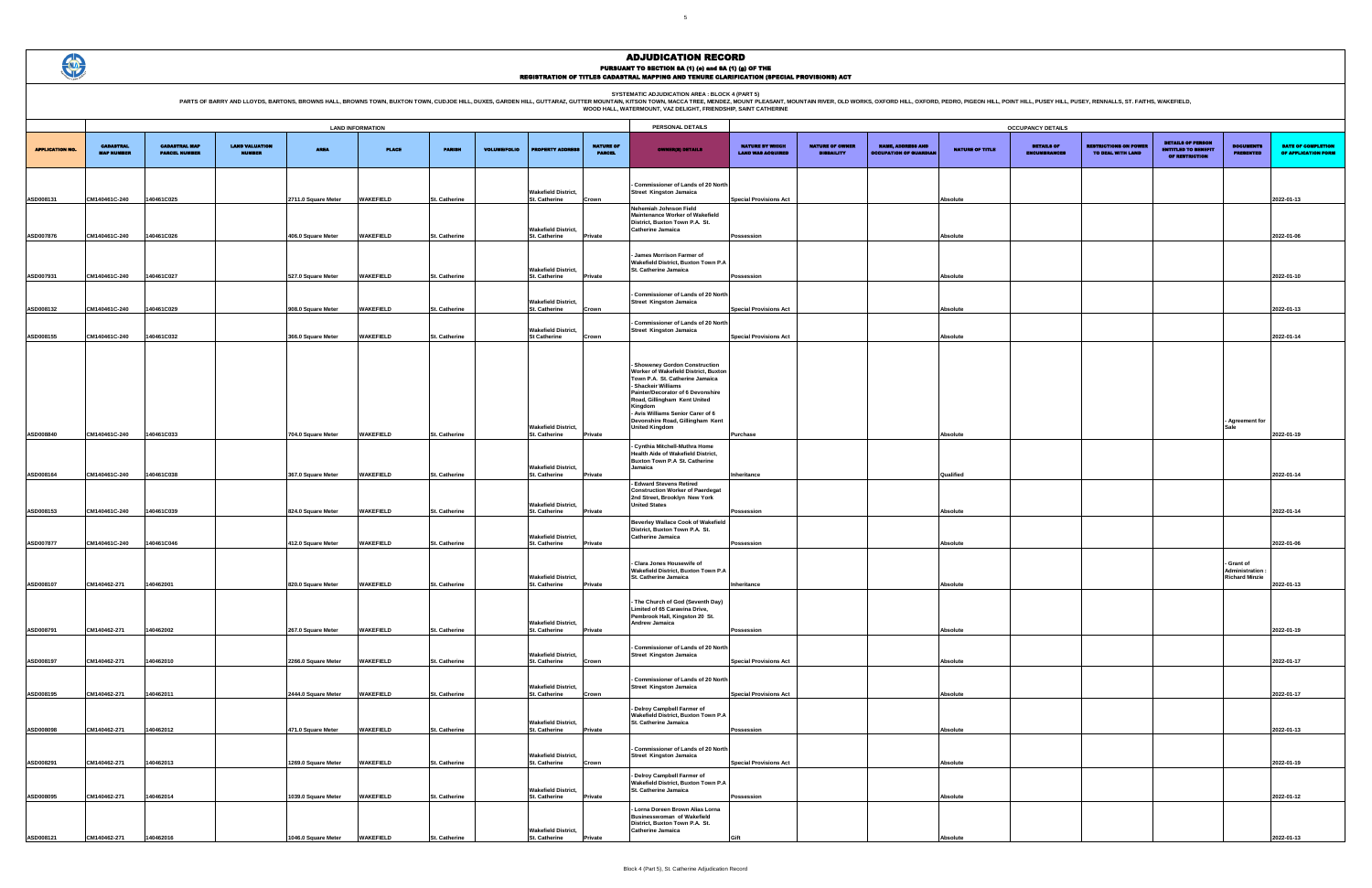PARTS OF BARRY AND LLOYDS, BARTONS, BROWNS HALL, BROWNS TOWN, BUXTON TOWN, CUDJOE HILL, DUXES, GARDEN HILL, GUTTARAZ, GUTTER MOUNTAIN R. WESCA TREE MENDELATION AREA : BLOCK 4 (PART 5)<br>WOOD HALL, WATERMOUNT, VAZ DELIGHT, FR

|                        |                                       |                                              |                                        |                     | <b>LAND INFORMATION</b> |                      |                     |                                                    |                                   | PERSONAL DETAILS                                                                                                                                                                                                                                                                                                        |                                                    |                                             |                                                           |                        | <b>OCCUPANCY DETAILS</b>                 |
|------------------------|---------------------------------------|----------------------------------------------|----------------------------------------|---------------------|-------------------------|----------------------|---------------------|----------------------------------------------------|-----------------------------------|-------------------------------------------------------------------------------------------------------------------------------------------------------------------------------------------------------------------------------------------------------------------------------------------------------------------------|----------------------------------------------------|---------------------------------------------|-----------------------------------------------------------|------------------------|------------------------------------------|
|                        |                                       |                                              |                                        |                     |                         |                      |                     |                                                    |                                   |                                                                                                                                                                                                                                                                                                                         |                                                    |                                             |                                                           |                        |                                          |
| <b>APPLICATION NO.</b> | <b>CADASTRAL</b><br><b>MAP NUMBER</b> | <b>CADASTRAL MAP</b><br><b>PARCEL NUMBER</b> | <b>LAND VALUATION</b><br><b>NUMBER</b> | <b>AREA</b>         | <b>PLACE</b>            | <b>PARISH</b>        | <b>VOLUME/FOLIO</b> | <b>PROPERTY ADDRE</b>                              | <b>NATURE OF</b><br><b>PARCEL</b> | <b>OWNER(8) DETAILS</b>                                                                                                                                                                                                                                                                                                 | <b>NATURE BY WHICH</b><br><b>LAND WAS ACQUIRED</b> | <b>NATURE OF OWNER</b><br><b>DISBAILITY</b> | <b>NAME, ADDRESS AND</b><br><b>OCCUPATION OF GUARDIAN</b> | <b>NATURE OF TITLE</b> | <b>DETAILS OF</b><br><b>ENCUMBRANCES</b> |
| ASD008131              | CM140461C-240                         | 140461C025                                   |                                        | 2711.0 Square Meter | <b>WAKEFIELD</b>        | St. Catherine        |                     | <b>Wakefield District,</b><br><b>St. Catherine</b> | Crown                             | <b>Commissioner of Lands of 20 North</b><br><b>Street Kingston Jamaica</b>                                                                                                                                                                                                                                              | <b>Special Provisions Act</b>                      |                                             |                                                           | Absolute               |                                          |
|                        |                                       |                                              |                                        |                     |                         |                      |                     | <b>Wakefield District,</b>                         |                                   | Nehemiah Johnson Field<br><b>Maintenance Worker of Wakefield</b><br>District, Buxton Town P.A. St.<br><b>Catherine Jamaica</b>                                                                                                                                                                                          |                                                    |                                             |                                                           |                        |                                          |
| ASD007876              | CM140461C-240                         | 140461C026                                   |                                        | 406.0 Square Meter  | <b>WAKEFIELD</b>        | St. Catherine        |                     | St. Catherine                                      | Private                           |                                                                                                                                                                                                                                                                                                                         | Possession                                         |                                             |                                                           | Absolute               |                                          |
| ASD007931              | CM140461C-240                         | 140461C027                                   |                                        | 527.0 Square Meter  | <b>WAKEFIELD</b>        | St. Catherine        |                     | <b>Wakefield District,</b><br>St. Catherine        | Private                           | James Morrison Farmer of<br>Wakefield District, Buxton Town P.A<br>St. Catherine Jamaica                                                                                                                                                                                                                                | Possession                                         |                                             |                                                           | Absolute               |                                          |
|                        |                                       |                                              |                                        |                     |                         |                      |                     |                                                    |                                   |                                                                                                                                                                                                                                                                                                                         |                                                    |                                             |                                                           |                        |                                          |
| ASD008132              | CM140461C-240                         | 140461C029                                   |                                        | 908.0 Square Meter  | WAKEFIELD               | St. Catherine        |                     | <b>Wakefield District,</b><br>St. Catherine        | Crown                             | Commissioner of Lands of 20 North<br><b>Street Kingston Jamaica</b>                                                                                                                                                                                                                                                     | <b>Special Provisions Act</b>                      |                                             |                                                           | Absolute               |                                          |
| ASD008155              | CM140461C-240                         | 40461C032                                    |                                        | 366.0 Square Meter  | <b>WAKEFIELD</b>        | St. Catherine        |                     | <b>Wakefield District,</b><br><b>St Catherine</b>  | Crown                             | Commissioner of Lands of 20 North<br><b>Street Kingston Jamaica</b>                                                                                                                                                                                                                                                     | <b>Special Provisions Act</b>                      |                                             |                                                           | Absolute               |                                          |
|                        |                                       |                                              |                                        |                     |                         |                      |                     | <b>Wakefield District,</b>                         |                                   | <b>Showenev Gordon Construction</b><br>Worker of Wakefield District, Buxton<br>Town P.A. St. Catherine Jamaica<br>- Shackeir Williams<br>Painter/Decorator of 6 Devonshire<br>Road, Gillingham Kent United<br>Kingdom<br>- Avis Williams Senior Carer of 6<br>Devonshire Road, Gillingham Kent<br><b>United Kingdom</b> |                                                    |                                             |                                                           |                        |                                          |
| ASD008840              | CM140461C-240                         | 140461C033                                   |                                        | 704.0 Square Meter  | WAKEFIELD               | St. Catherine        |                     | St. Catherine                                      | Private                           |                                                                                                                                                                                                                                                                                                                         | <b>Purchase</b>                                    |                                             |                                                           | Absolute               |                                          |
| ASD008164              | CM140461C-240                         | 40461C038                                    |                                        | 367.0 Square Meter  | <b>WAKEFIELD</b>        | <b>St. Catherine</b> |                     | <b>Wakefield District,</b><br>St. Catherine        | Private                           | Cynthia Mitchell-Muthra Home<br>Health Aide of Wakefield District,<br>Buxton Town P.A St. Catherine<br>Jamaica                                                                                                                                                                                                          | Inheritance                                        |                                             |                                                           | Qualified              |                                          |
| ASD008153              | CM140461C-240                         | 140461C039                                   |                                        | 824.0 Square Meter  | <b>WAKEFIELD</b>        | St. Catherine        |                     | <b>Wakefield District,</b><br><b>St. Catherine</b> | Private                           | - Edward Stevens Retired<br><b>Construction Worker of Paerdegat</b><br>2nd Street, Brooklyn New York<br><b>United States</b>                                                                                                                                                                                            | Possession                                         |                                             |                                                           | Absolute               |                                          |
|                        |                                       |                                              |                                        |                     |                         |                      |                     |                                                    |                                   | <b>Beverley Wallace Cook of Wakefield</b>                                                                                                                                                                                                                                                                               |                                                    |                                             |                                                           |                        |                                          |
| ASD007877              | CM140461C-240                         | 140461C046                                   |                                        | 412.0 Square Meter  | <b>WAKEFIELD</b>        | <b>St. Catherine</b> |                     | <b>Wakefield District,</b><br><b>St. Catherine</b> | Private                           | District, Buxton Town P.A. St.<br><b>Catherine Jamaica</b>                                                                                                                                                                                                                                                              | <b>Possession</b>                                  |                                             |                                                           | <b>Absolute</b>        |                                          |
|                        |                                       |                                              |                                        |                     |                         |                      |                     | <b>Wakefield District,</b>                         |                                   | Clara Jones Housewife of<br>Wakefield District, Buxton Town P.A<br>St. Catherine Jamaica                                                                                                                                                                                                                                |                                                    |                                             |                                                           |                        |                                          |
| ASD008107              | CM140462-271                          | 140462001                                    |                                        | 820.0 Square Meter  | <b>WAKEFIELD</b>        | <b>St. Catherine</b> |                     | St. Catherine<br><b>Wakefield District,</b>        | Private                           | - The Church of God (Seventh Day)<br>Limited of 65 Carawina Drive,<br>Pembrook Hall, Kingston 20 St.<br>Andrew Jamaica                                                                                                                                                                                                  | Inheritance                                        |                                             |                                                           | Absolute               |                                          |
| ASD008791              | CM140462-271                          | 140462002                                    |                                        | 267.0 Square Meter  | WAKEFIELD               | St. Catherine        |                     | <b>St. Catherine</b>                               | Private                           |                                                                                                                                                                                                                                                                                                                         | Possession                                         |                                             |                                                           | Absolute               |                                          |
| ASD008197              | CM140462-271                          | 140462010                                    |                                        | 2266.0 Square Meter | WAKEFIELD               | St. Catherine        |                     | <b>Wakefield District,</b><br>St. Catherine        | Crown                             | Commissioner of Lands of 20 North<br><b>Street Kingston Jamaica</b>                                                                                                                                                                                                                                                     | <b>Special Provisions Act</b>                      |                                             |                                                           | <b>Absolute</b>        |                                          |
| ASD008195              | CM140462-271                          | 140462011                                    |                                        | 2444.0 Square Meter | WAKEFIELD               | <b>St. Catherine</b> |                     | <b>Wakefield District,</b><br>St. Catherine        | Crown                             | Commissioner of Lands of 20 North<br><b>Street Kingston Jamaica</b>                                                                                                                                                                                                                                                     | <b>Special Provisions Act</b>                      |                                             |                                                           | Absolute               |                                          |
|                        |                                       |                                              |                                        |                     |                         |                      |                     | <b>Wakefield District,</b>                         |                                   | Delroy Campbell Farmer of<br>Wakefield District, Buxton Town P.A<br>St. Catherine Jamaica                                                                                                                                                                                                                               |                                                    |                                             |                                                           |                        |                                          |
| ASD008098              | CM140462-271                          | 140462012                                    |                                        | 471.0 Square Meter  | <b>WAKEFIELD</b>        | St. Catherine        |                     | St. Catherine                                      | Private                           |                                                                                                                                                                                                                                                                                                                         | Possession                                         |                                             |                                                           | Absolute               |                                          |
| ASD008291              | CM140462-271                          | 140462013                                    |                                        | 1269.0 Square Meter | WAKEFIELD               | St. Catherine        |                     | <b>Wakefield District,</b><br>St. Catherine        | Crown                             | Commissioner of Lands of 20 North<br><b>Street Kingston Jamaica</b>                                                                                                                                                                                                                                                     | <b>Special Provisions Act</b>                      |                                             |                                                           | <b>Absolute</b>        |                                          |
|                        |                                       |                                              |                                        |                     |                         |                      |                     | <b>Wakefield District,</b>                         |                                   | Delroy Campbell Farmer of<br>Wakefield District, Buxton Town P.A<br>St. Catherine Jamaica                                                                                                                                                                                                                               |                                                    |                                             |                                                           |                        |                                          |
| ASD008095              | CM140462-271                          | 140462014                                    |                                        | 1039.0 Square Meter | <b>WAKEFIELD</b>        | St. Catherine        |                     | St. Catherine                                      | <b>Private</b>                    | Lorna Doreen Brown Alias Lorna<br><b>Businesswoman of Wakefield</b><br>District, Buxton Town P.A. St.                                                                                                                                                                                                                   | Possession                                         |                                             |                                                           | Absolute               |                                          |
| ASD008121              | CM140462-271                          | 140462016                                    |                                        | 1046.0 Square Meter | WAKEFIELD               | St. Catherine        |                     | <b>Wakefield District,</b><br>St. Catherine        | Private                           | <b>Catherine Jamaica</b>                                                                                                                                                                                                                                                                                                | Gift                                               |                                             |                                                           | Absolute               |                                          |
|                        |                                       |                                              |                                        |                     |                         |                      |                     |                                                    |                                   |                                                                                                                                                                                                                                                                                                                         |                                                    |                                             |                                                           |                        |                                          |

|                                                    |                                             |                                                           |                        | <b>OCCUPANCY DETAILS</b>                 |                                                   |                                                                          |                                                      |                                                  |
|----------------------------------------------------|---------------------------------------------|-----------------------------------------------------------|------------------------|------------------------------------------|---------------------------------------------------|--------------------------------------------------------------------------|------------------------------------------------------|--------------------------------------------------|
| <b>NATURE BY WHICH</b><br><b>LAND WAS ACQUIRED</b> | <b>NATURE OF OWNER</b><br><b>DISBAILITY</b> | <b>NAME, ADDRESS AND</b><br><b>OCCUPATION OF GUARDIAN</b> | <b>NATURE OF TITLE</b> | <b>DETAILS OF</b><br><b>ENCUMBRANCES</b> | <b>RESTRICTIONS ON POWER</b><br>TO DEAL WITH LAND | <b>DETAILS OF PERSON</b><br><b>ENTITLED TO BENEFIT</b><br>OF RESTRICTION | <b>DOCUMENTS</b><br><b>PRESENTED</b>                 | <b>DATE OF COMPLETION</b><br>OF APPLICATION FORM |
|                                                    |                                             |                                                           |                        |                                          |                                                   |                                                                          |                                                      |                                                  |
| <b>Special Provisions Act</b>                      |                                             |                                                           | Absolute               |                                          |                                                   |                                                                          |                                                      | 2022-01-13                                       |
|                                                    |                                             |                                                           |                        |                                          |                                                   |                                                                          |                                                      |                                                  |
| Possession                                         |                                             |                                                           | Absolute               |                                          |                                                   |                                                                          |                                                      | 2022-01-06                                       |
| Possession                                         |                                             |                                                           | <b>Absolute</b>        |                                          |                                                   |                                                                          |                                                      | 2022-01-10                                       |
|                                                    |                                             |                                                           |                        |                                          |                                                   |                                                                          |                                                      |                                                  |
| <b>Special Provisions Act</b>                      |                                             |                                                           | Absolute               |                                          |                                                   |                                                                          |                                                      | 2022-01-13                                       |
| <b>Special Provisions Act</b>                      |                                             |                                                           | Absolute               |                                          |                                                   |                                                                          |                                                      | 2022-01-14                                       |
|                                                    |                                             |                                                           |                        |                                          |                                                   |                                                                          |                                                      |                                                  |
|                                                    |                                             |                                                           |                        |                                          |                                                   |                                                                          |                                                      |                                                  |
|                                                    |                                             |                                                           |                        |                                          |                                                   |                                                                          |                                                      |                                                  |
| Purchase                                           |                                             |                                                           | Absolute               |                                          |                                                   |                                                                          | - Agreement for<br>Sale                              | 2022-01-19                                       |
|                                                    |                                             |                                                           |                        |                                          |                                                   |                                                                          |                                                      |                                                  |
| Inheritance                                        |                                             |                                                           | Qualified              |                                          |                                                   |                                                                          |                                                      | 2022-01-14                                       |
|                                                    |                                             |                                                           |                        |                                          |                                                   |                                                                          |                                                      |                                                  |
| Possession                                         |                                             |                                                           | Absolute               |                                          |                                                   |                                                                          |                                                      | 2022-01-14                                       |
| Possession                                         |                                             |                                                           | Absolute               |                                          |                                                   |                                                                          |                                                      | 2022-01-06                                       |
|                                                    |                                             |                                                           |                        |                                          |                                                   |                                                                          | Grant of<br>Administration:<br><b>Richard Minzie</b> |                                                  |
| Inheritance                                        |                                             |                                                           | Absolute               |                                          |                                                   |                                                                          |                                                      | 2022-01-13                                       |
|                                                    |                                             |                                                           |                        |                                          |                                                   |                                                                          |                                                      |                                                  |
| Possession                                         |                                             |                                                           | Absolute               |                                          |                                                   |                                                                          |                                                      | 2022-01-19                                       |
| <b>Special Provisions Act</b>                      |                                             |                                                           | Absolute               |                                          |                                                   |                                                                          |                                                      | 2022-01-17                                       |
|                                                    |                                             |                                                           |                        |                                          |                                                   |                                                                          |                                                      |                                                  |
| <b>Special Provisions Act</b>                      |                                             |                                                           | Absolute               |                                          |                                                   |                                                                          |                                                      | 2022-01-17                                       |
| Possession                                         |                                             |                                                           | Absolute               |                                          |                                                   |                                                                          |                                                      | 2022-01-13                                       |
|                                                    |                                             |                                                           |                        |                                          |                                                   |                                                                          |                                                      |                                                  |
| <b>Special Provisions Act</b>                      |                                             |                                                           | Absolute               |                                          |                                                   |                                                                          |                                                      | 2022-01-19                                       |
|                                                    |                                             |                                                           |                        |                                          |                                                   |                                                                          |                                                      |                                                  |
| Possession                                         |                                             |                                                           | Absolute               |                                          |                                                   |                                                                          |                                                      | 2022-01-12                                       |
| Gift                                               |                                             |                                                           | Absolute               |                                          |                                                   |                                                                          |                                                      | 2022-01-13                                       |

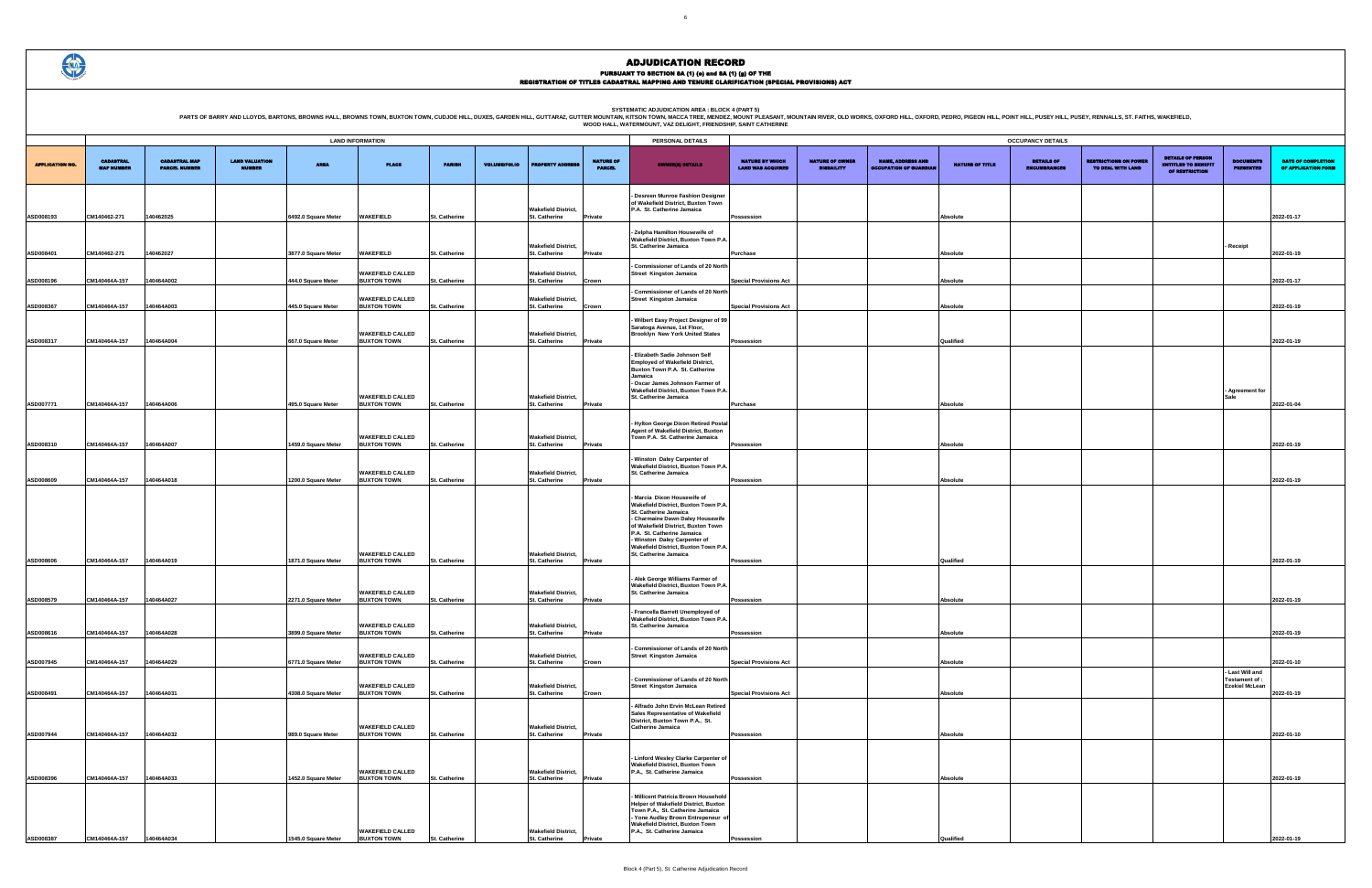PURSUANT TO SECTION 8A (1) (0) and 8A (1) (g) OF THE<br>REGISTRATION OF TITLES CADASTRAL MAPPING AND TENURE CLARIFICATION (SPECIAL PROVISIONS) ACT

PARTS OF BARRY AND LLOYDS, BARTONS, BROWNS HALL, BROWNS TOWN, BUXTON TOWN, CUDJOE HILL, DUXES, GARDEN HILL, GUTTARAZ, GUTTER MOUNTAIN R. WESCA TREE MENDELATION AREA : BLOCK 4 (PART 5)<br>WOOD HALL, WATERMOUNT, VAZ DELIGHT, FR

|                                                    |                                             |                                                           |                        | OCCUPANCY DETAILS                        |                                                   |                                                                          |                                                          |                                                  |
|----------------------------------------------------|---------------------------------------------|-----------------------------------------------------------|------------------------|------------------------------------------|---------------------------------------------------|--------------------------------------------------------------------------|----------------------------------------------------------|--------------------------------------------------|
| <b>NATURE BY WHICH</b><br><b>LAND WAS ACQUIRED</b> | <b>NATURE OF OWNER</b><br><b>DISBAILITY</b> | <b>NAME, ADDRESS AND</b><br><b>OCCUPATION OF GUARDIAN</b> | <b>NATURE OF TITLE</b> | <b>DETAILS OF</b><br><b>ENCUMBRANCES</b> | <b>RESTRICTIONS ON POWER</b><br>TO DEAL WITH LAND | <b>DETAILS OF PERSON</b><br><b>ENTITLED TO BENEFIT</b><br>OF RESTRICTION | <b>DOCUMENTS</b><br><b>PRESENTED</b>                     | <b>DATE OF COMPLETION</b><br>OF APPLICATION FORM |
|                                                    |                                             |                                                           |                        |                                          |                                                   |                                                                          |                                                          |                                                  |
| Possession                                         |                                             |                                                           | <b>Absolute</b>        |                                          |                                                   |                                                                          |                                                          | 2022-01-17                                       |
| Purchase                                           |                                             |                                                           | Absolute               |                                          |                                                   |                                                                          | Receipt                                                  | 2022-01-19                                       |
|                                                    |                                             |                                                           |                        |                                          |                                                   |                                                                          |                                                          |                                                  |
| <b>Special Provisions Act</b>                      |                                             |                                                           | <b>Absolute</b>        |                                          |                                                   |                                                                          |                                                          | 2022-01-17                                       |
| <b>Special Provisions Act</b>                      |                                             |                                                           | Absolute               |                                          |                                                   |                                                                          |                                                          | 2022-01-19                                       |
| Possession                                         |                                             |                                                           | Qualified              |                                          |                                                   |                                                                          |                                                          | 2022-01-19                                       |
|                                                    |                                             |                                                           |                        |                                          |                                                   |                                                                          |                                                          |                                                  |
|                                                    |                                             |                                                           |                        |                                          |                                                   |                                                                          | - Agreement for<br>Sale                                  |                                                  |
| Purchase                                           |                                             |                                                           | Absolute               |                                          |                                                   |                                                                          |                                                          | 2022-01-04                                       |
| Possession                                         |                                             |                                                           | Absolute               |                                          |                                                   |                                                                          |                                                          | 2022-01-19                                       |
|                                                    |                                             |                                                           |                        |                                          |                                                   |                                                                          |                                                          |                                                  |
| Possession                                         |                                             |                                                           | <b>Absolute</b>        |                                          |                                                   |                                                                          |                                                          | 2022-01-19                                       |
|                                                    |                                             |                                                           |                        |                                          |                                                   |                                                                          |                                                          |                                                  |
| Possession                                         |                                             |                                                           | Qualified              |                                          |                                                   |                                                                          |                                                          | 2022-01-19                                       |
| Possession                                         |                                             |                                                           | <b>Absolute</b>        |                                          |                                                   |                                                                          |                                                          | 2022-01-19                                       |
|                                                    |                                             |                                                           |                        |                                          |                                                   |                                                                          |                                                          |                                                  |
| Possession                                         |                                             |                                                           | <b>Absolute</b>        |                                          |                                                   |                                                                          |                                                          | 2022-01-19                                       |
| <b>Special Provisions Act</b>                      |                                             |                                                           | Absolute               |                                          |                                                   |                                                                          |                                                          | 2022-01-10                                       |
| <b>Special Provisions Act</b>                      |                                             |                                                           | <b>Absolute</b>        |                                          |                                                   |                                                                          | Last Will and<br>Testament of :<br><b>Ezekiel McLean</b> | 2022-01-19                                       |
|                                                    |                                             |                                                           |                        |                                          |                                                   |                                                                          |                                                          |                                                  |
| Possession                                         |                                             |                                                           | <b>Absolute</b>        |                                          |                                                   |                                                                          |                                                          | 2022-01-10                                       |
|                                                    |                                             |                                                           |                        |                                          |                                                   |                                                                          |                                                          |                                                  |
| Possession                                         |                                             |                                                           | Absolute               |                                          |                                                   |                                                                          |                                                          | 2022-01-19                                       |
|                                                    |                                             |                                                           |                        |                                          |                                                   |                                                                          |                                                          |                                                  |
| Possession                                         |                                             |                                                           | Qualified              |                                          |                                                   |                                                                          |                                                          | 2022-01-19                                       |

|                        | <b>LAND INFORMATION</b>               |                                              |                                        |                                            |                                                                     |                                |                     |                                                              |                                   | PERSONAL DETAILS                                                                                                                                                                                                                                                                                    |                                                    |                                             |                                                           |                             | <b>OCCUPANCY DETAILS</b>                 |
|------------------------|---------------------------------------|----------------------------------------------|----------------------------------------|--------------------------------------------|---------------------------------------------------------------------|--------------------------------|---------------------|--------------------------------------------------------------|-----------------------------------|-----------------------------------------------------------------------------------------------------------------------------------------------------------------------------------------------------------------------------------------------------------------------------------------------------|----------------------------------------------------|---------------------------------------------|-----------------------------------------------------------|-----------------------------|------------------------------------------|
| <b>APPLICATION NO.</b> | <b>CADASTRAL</b><br><b>MAP NUMBER</b> | <b>CADASTRAL MAP</b><br><b>PARCEL NUMBER</b> | <b>LAND VALUATION</b><br><b>NUMBER</b> | <b>AREA</b>                                | <b>PLACE</b>                                                        | <b>PARISH</b>                  | <b>VOLUME/FOLIO</b> | <b>PROPERTY ADDRESS</b>                                      | <b>NATURE OF</b><br><b>PARCEL</b> | <b>OWNER(8) DETAILS</b>                                                                                                                                                                                                                                                                             | <b>NATURE BY WHICH</b><br><b>LAND WAS ACQUIRED</b> | <b>NATURE OF OWNER</b><br><b>DISBAILITY</b> | <b>NAME, ADDRESS AND</b><br><b>OCCUPATION OF GUARDIAN</b> | <b>NATURE OF TITLE</b>      | <b>DETAILS OF</b><br><b>ENCUMBRANCES</b> |
| ASD008193              | CM140462-271                          | 140462025                                    |                                        | 6492.0 Square Meter                        | <b>WAKEFIELD</b>                                                    | St. Catherine                  |                     | <b>Wakefield District,</b><br><b>St. Catherine</b>           | Private                           | Desreen Munroe Fashion Designer<br>of Wakefield District, Buxton Town<br>P.A. St. Catherine Jamaica                                                                                                                                                                                                 | Possession                                         |                                             |                                                           | Absolute                    |                                          |
| ASD008401              | CM140462-271                          | 140462027                                    |                                        | 3877.0 Square Meter                        | <b>WAKEFIELD</b>                                                    | St. Catherine                  |                     | <b>Wakefield District,</b><br>St. Catherine                  | <b>Private</b>                    | - Zelpha Hamilton Housewife of<br>Wakefield District, Buxton Town P.A.<br>St. Catherine Jamaica                                                                                                                                                                                                     | Purchase                                           |                                             |                                                           | Absolute                    |                                          |
| ASD008196              | CM140464A-157                         | 140464A002                                   |                                        | 444.0 Square Meter                         | <b>WAKEFIELD CALLED</b><br><b>BUXTON TOWN</b>                       | <b>St. Catherine</b>           |                     | <b>Wakefield District,</b><br>St. Catherine                  | Crown                             | Commissioner of Lands of 20 North<br><b>Street Kingston Jamaica</b>                                                                                                                                                                                                                                 | <b>Special Provisions Act</b>                      |                                             |                                                           | Absolute                    |                                          |
| ASD008367              | CM140464A-157                         | 140464A003                                   |                                        | 445.0 Square Meter                         | <b>WAKEFIELD CALLED</b><br><b>BUXTON TOWN</b>                       | St. Catherine                  |                     | <b>Wakefield District,</b><br><b>St. Catherine</b>           | Crown                             | Commissioner of Lands of 20 North<br><b>Street Kingston Jamaica</b>                                                                                                                                                                                                                                 | <b>Special Provisions Act</b>                      |                                             |                                                           | Absolute                    |                                          |
| ASD008317              | CM140464A-157                         | 140464A004                                   |                                        | 667.0 Square Meter                         | <b>WAKEFIELD CALLED</b><br><b>BUXTON TOWN</b>                       | <b>St. Catherine</b>           |                     | <b>Wakefield District,</b><br>St. Catherine                  | Private                           | Wilbert Easy Project Designer of 99<br>Saratoga Avenue, 1st Floor,<br><b>Brooklyn New York United States</b>                                                                                                                                                                                        | Possession                                         |                                             |                                                           | Qualified                   |                                          |
|                        |                                       |                                              |                                        |                                            | <b>WAKEFIELD CALLED</b>                                             |                                |                     | <b>Wakefield District,</b>                                   |                                   | Elizabeth Sadie Johnson Self<br><b>Employed of Wakefield District,</b><br>Buxton Town P.A. St. Catherine<br>Jamaica<br>Oscar James Johnson Farmer of<br>Wakefield District, Buxton Town P.A.<br>St. Catherine Jamaica                                                                               |                                                    |                                             |                                                           |                             |                                          |
| ASD007771              | CM140464A-157                         | 140464A006                                   |                                        | 495.0 Square Meter                         | <b>BUXTON TOWN</b><br><b>WAKEFIELD CALLED</b>                       | St. Catherine                  |                     | St. Catherine<br><b>Wakefield District,</b>                  | Private                           | Hylton George Dixon Retired Postal<br>Agent of Wakefield District, Buxton<br>Town P.A. St. Catherine Jamaica                                                                                                                                                                                        | Purchase                                           |                                             |                                                           | <b>Absolute</b>             |                                          |
| ASD008310              | CM140464A-157                         | 140464A007                                   |                                        | 1459.0 Square Meter                        | <b>BUXTON TOWN</b><br><b>WAKEFIELD CALLED</b>                       | St. Catherine                  |                     | St. Catherine<br><b>Wakefield District,</b>                  | Private                           | Winston Daley Carpenter of<br>Wakefield District, Buxton Town P.A.<br>St. Catherine Jamaica                                                                                                                                                                                                         | Possession                                         |                                             |                                                           | <b>Absolute</b>             |                                          |
| ASD008609              | CM140464A-157                         | 140464A018                                   |                                        | 1200.0 Square Meter                        | <b>BUXTON TOWN</b><br><b>WAKEFIELD CALLED</b>                       | St. Catherine                  |                     | St. Catherine<br><b>Wakefield District,</b>                  | <b>Private</b>                    | Marcia Dixon Housewife of<br>Wakefield District, Buxton Town P.A.<br>St. Catherine Jamaica<br>- Charmaine Dawn Daley Housewife<br>of Wakefield District, Buxton Town<br>P.A. St. Catherine Jamaica<br>- Winston Daley Carpenter of<br>Wakefield District, Buxton Town P.A.<br>St. Catherine Jamaica | Possession                                         |                                             |                                                           | Absolute                    |                                          |
| ASD008606              | CM140464A-157                         | 140464A019                                   |                                        | 1871.0 Square Meter                        | <b>BUXTON TOWN</b><br><b>WAKEFIELD CALLED</b>                       | St. Catherine                  |                     | <b>St. Catherine</b><br><b>Wakefield District,</b>           | <b>Private</b>                    | - Alek George Williams Farmer of<br>Wakefield District, Buxton Town P.A.<br>St. Catherine Jamaica                                                                                                                                                                                                   | Possession                                         |                                             |                                                           | Qualified                   |                                          |
| ASD008579<br>ASD008616 | CM140464A-157<br>CM140464A-157        | 140464A027<br>140464A028                     |                                        | 2271.0 Square Meter<br>3899.0 Square Meter | <b>BUXTON TOWN</b><br><b>WAKEFIELD CALLED</b><br><b>BUXTON TOWN</b> | St. Catherine<br>St. Catherine |                     | St. Catherine<br><b>Wakefield District,</b><br>St. Catherine | Private<br>Private                | Francella Barrett Unemployed of<br>Wakefield District, Buxton Town P.A<br>St. Catherine Jamaica                                                                                                                                                                                                     | Possession<br>Possession                           |                                             |                                                           | Absolute<br><b>Absolute</b> |                                          |
| ASD007945              | CM140464A-157                         | 140464A029                                   |                                        | 6771.0 Square Meter                        | <b>WAKEFIELD CALLED</b><br><b>BUXTON TOWN</b>                       | <b>St. Catherine</b>           |                     | <b>Wakefield District,</b><br>St. Catherine                  | Crown                             | Commissioner of Lands of 20 North<br><b>Street Kingston Jamaica</b>                                                                                                                                                                                                                                 | <b>Special Provisions Act</b>                      |                                             |                                                           | Absolute                    |                                          |
| ASD008491              | CM140464A-157                         | 140464A031                                   |                                        | 4308.0 Square Meter                        | <b>WAKEFIELD CALLED</b><br><b>BUXTON TOWN</b>                       | St. Catherine                  |                     | <b>Wakefield District,</b><br>St. Catherine                  | Crown                             | Commissioner of Lands of 20 North<br><b>Street Kingston Jamaica</b>                                                                                                                                                                                                                                 | <b>Special Provisions Act</b>                      |                                             |                                                           | Absolute                    |                                          |
| ASD007944              | CM140464A-157                         | 140464A032                                   |                                        | 989.0 Square Meter                         | <b>WAKEFIELD CALLED</b><br><b>BUXTON TOWN</b>                       | St. Catherine                  |                     | <b>Wakefield District,</b><br>St. Catherine                  | Private                           | - Alfrado John Ervin McLean Retired<br><b>Sales Representative of Wakefield</b><br>District, Buxton Town P.A., St.<br><b>Catherine Jamaica</b>                                                                                                                                                      | Possession                                         |                                             |                                                           | Absolute                    |                                          |
| ASD008396              | CM140464A-157                         | 140464A033                                   |                                        | 1452.0 Square Meter                        | <b>WAKEFIELD CALLED</b><br><b>BUXTON TOWN</b>                       | <b>St. Catherine</b>           |                     | <b>Wakefield District.</b><br><b>St. Catherine</b>           | Private                           | - Linford Wesley Clarke Carpenter of<br><b>Wakefield District. Buxton Town</b><br>P.A., St. Catherine Jamaica                                                                                                                                                                                       | Possession                                         |                                             |                                                           | Absolute                    |                                          |
| ASD008387              | CM140464A-157                         | 140464A034                                   |                                        | 1545.0 Square Meter                        | <b>WAKEFIELD CALLED</b><br><b>BUXTON TOWN</b>                       | <b>St. Catherine</b>           |                     | <b>Wakefield District,</b><br>St. Catherine                  | Private                           | Millicent Patricia Brown Household<br>Helper of Wakefield District, Buxton<br>Town P.A., St. Catherine Jamaica<br>Yone Audley Brown Entrepeneur of<br><b>Wakefield District, Buxton Town</b><br>P.A., St. Catherine Jamaica                                                                         | <b>Possession</b>                                  |                                             |                                                           | Qualified                   |                                          |

3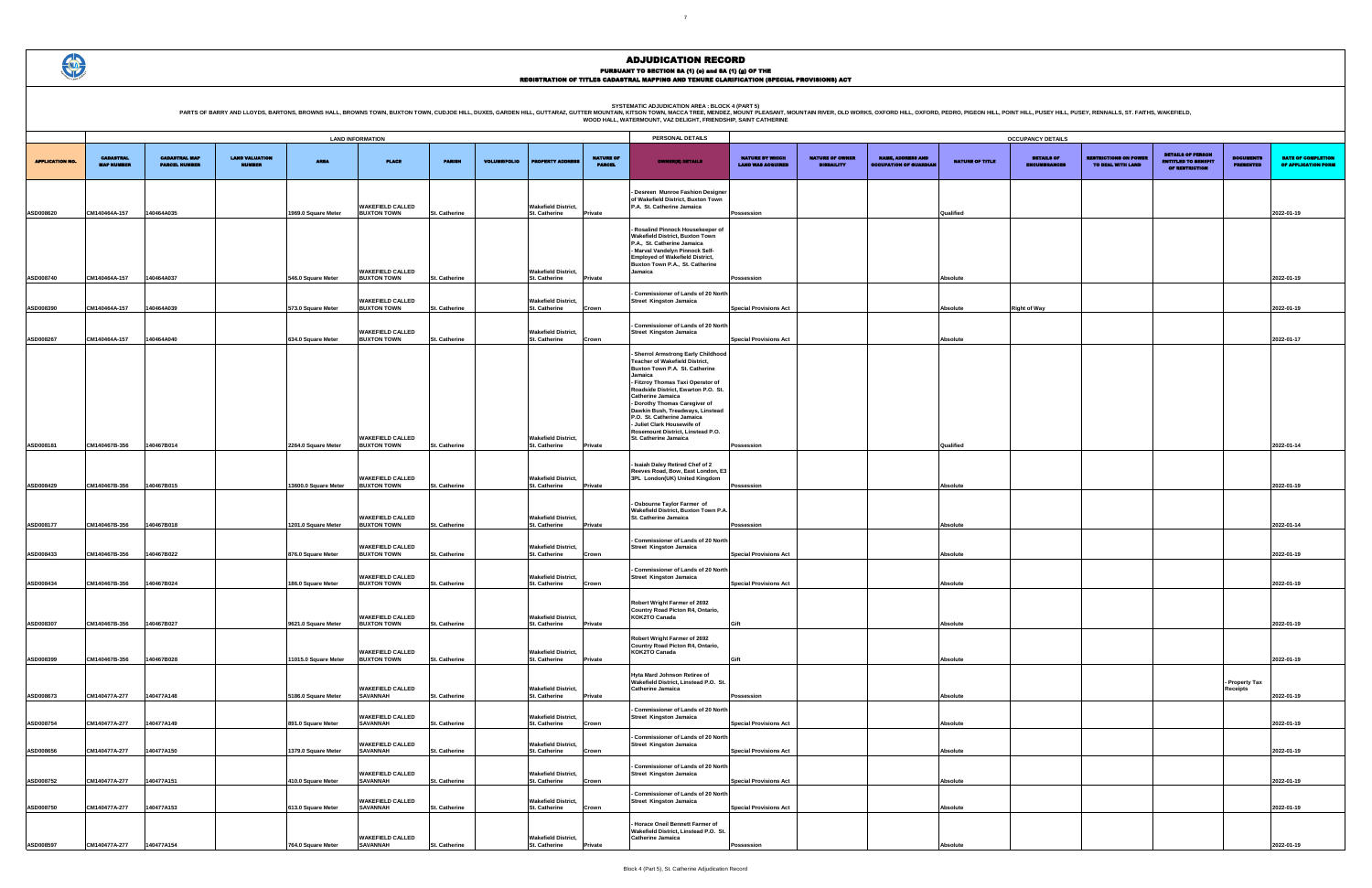PARTS OF BARRY AND LLOYDS, BARTONS, BROWNS HALL, BROWNS TOWN, BUXTON TOWN, CUDJOE HILL, DUXES, GARDEN HILL, GUTTARAZ, GUTTER MOUNTAIN, KITSON AREA : BLOCK 4 (PART 5)<br>WOOD HALL, WATERMOUNT, VAZ DELIGHT, FRIENDSHIP, SANT CAT

|                                             | <b>OCCUPANCY DETAILS</b>                    |                                                           |                 |                                          |                                                   |                                                                          |                                      |                                                  |  |  |  |
|---------------------------------------------|---------------------------------------------|-----------------------------------------------------------|-----------------|------------------------------------------|---------------------------------------------------|--------------------------------------------------------------------------|--------------------------------------|--------------------------------------------------|--|--|--|
| NATURE BY WHICH<br><b>LAND WAS ACQUIRED</b> | <b>NATURE OF OWNER</b><br><b>DISBAILITY</b> | <b>NAME, ADDRESS AND</b><br><b>OCCUPATION OF GUARDIAN</b> | NATURE OF TITLE | <b>DETAILS OF</b><br><b>ENCUMBRANCES</b> | <b>RESTRICTIONS ON POWER</b><br>TO DEAL WITH LAND | <b>DETAILS OF PERSON</b><br><b>ENTITLED TO BENEFIT</b><br>OF RESTRICTION | <b>DOCUMENTS</b><br><b>PRESENTED</b> | <b>DATE OF COMPLETION</b><br>OF APPLICATION FORM |  |  |  |
|                                             |                                             |                                                           |                 |                                          |                                                   |                                                                          |                                      |                                                  |  |  |  |
| Possession                                  |                                             |                                                           | Qualified       |                                          |                                                   |                                                                          |                                      | 2022-01-19                                       |  |  |  |
|                                             |                                             |                                                           |                 |                                          |                                                   |                                                                          |                                      |                                                  |  |  |  |
|                                             |                                             |                                                           |                 |                                          |                                                   |                                                                          |                                      |                                                  |  |  |  |
|                                             |                                             |                                                           |                 |                                          |                                                   |                                                                          |                                      |                                                  |  |  |  |
| Possession                                  |                                             |                                                           | Absolute        |                                          |                                                   |                                                                          |                                      | 2022-01-19                                       |  |  |  |
| <b>Special Provisions Act</b>               |                                             |                                                           | Absolute        | <b>Right of Way</b>                      |                                                   |                                                                          |                                      | 2022-01-19                                       |  |  |  |
| <b>Special Provisions Act</b>               |                                             |                                                           | Absolute        |                                          |                                                   |                                                                          |                                      | 2022-01-17                                       |  |  |  |
|                                             |                                             |                                                           |                 |                                          |                                                   |                                                                          |                                      |                                                  |  |  |  |
|                                             |                                             |                                                           |                 |                                          |                                                   |                                                                          |                                      |                                                  |  |  |  |
|                                             |                                             |                                                           |                 |                                          |                                                   |                                                                          |                                      |                                                  |  |  |  |
|                                             |                                             |                                                           |                 |                                          |                                                   |                                                                          |                                      |                                                  |  |  |  |
|                                             |                                             |                                                           |                 |                                          |                                                   |                                                                          |                                      |                                                  |  |  |  |
|                                             |                                             |                                                           |                 |                                          |                                                   |                                                                          |                                      |                                                  |  |  |  |
| Possession                                  |                                             |                                                           | Qualified       |                                          |                                                   |                                                                          |                                      | 2022-01-14                                       |  |  |  |
|                                             |                                             |                                                           |                 |                                          |                                                   |                                                                          |                                      |                                                  |  |  |  |
| Possession                                  |                                             |                                                           | Absolute        |                                          |                                                   |                                                                          |                                      | 2022-01-19                                       |  |  |  |
|                                             |                                             |                                                           |                 |                                          |                                                   |                                                                          |                                      |                                                  |  |  |  |
| Possession                                  |                                             |                                                           | Absolute        |                                          |                                                   |                                                                          |                                      | 2022-01-14                                       |  |  |  |
|                                             |                                             |                                                           |                 |                                          |                                                   |                                                                          |                                      |                                                  |  |  |  |
| <b>Special Provisions Act</b>               |                                             |                                                           | Absolute        |                                          |                                                   |                                                                          |                                      | 2022-01-19                                       |  |  |  |
| <b>Special Provisions Act</b>               |                                             |                                                           | Absolute        |                                          |                                                   |                                                                          |                                      | 2022-01-19                                       |  |  |  |
|                                             |                                             |                                                           |                 |                                          |                                                   |                                                                          |                                      |                                                  |  |  |  |
|                                             |                                             |                                                           |                 |                                          |                                                   |                                                                          |                                      |                                                  |  |  |  |
| Gift                                        |                                             |                                                           | <b>Absolute</b> |                                          |                                                   |                                                                          |                                      | 2022-01-19                                       |  |  |  |
|                                             |                                             |                                                           |                 |                                          |                                                   |                                                                          |                                      |                                                  |  |  |  |
| Gift                                        |                                             |                                                           | Absolute        |                                          |                                                   |                                                                          |                                      | 2022-01-19                                       |  |  |  |
|                                             |                                             |                                                           |                 |                                          |                                                   |                                                                          | Property Tax                         |                                                  |  |  |  |
| Possession                                  |                                             |                                                           | Absolute        |                                          |                                                   |                                                                          | Receipts                             | 2022-01-19                                       |  |  |  |
|                                             |                                             |                                                           |                 |                                          |                                                   |                                                                          |                                      |                                                  |  |  |  |
| <b>Special Provisions Act</b>               |                                             |                                                           | Absolute        |                                          |                                                   |                                                                          |                                      | 2022-01-19                                       |  |  |  |
|                                             |                                             |                                                           |                 |                                          |                                                   |                                                                          |                                      | 2022-01-19                                       |  |  |  |
| <b>Special Provisions Act</b>               |                                             |                                                           | <b>Absolute</b> |                                          |                                                   |                                                                          |                                      |                                                  |  |  |  |
| <b>Special Provisions Act</b>               |                                             |                                                           | Absolute        |                                          |                                                   |                                                                          |                                      | 2022-01-19                                       |  |  |  |
|                                             |                                             |                                                           |                 |                                          |                                                   |                                                                          |                                      |                                                  |  |  |  |
| <b>Special Provisions Act</b>               |                                             |                                                           | Absolute        |                                          |                                                   |                                                                          |                                      | 2022-01-19                                       |  |  |  |
|                                             |                                             |                                                           |                 |                                          |                                                   |                                                                          |                                      |                                                  |  |  |  |
| Possession                                  |                                             |                                                           | Absolute        |                                          |                                                   |                                                                          |                                      | 2022-01-19                                       |  |  |  |

|                        | <b>LAND INFORMATION</b>               |                                              |                                        |                      |                                               |                      |                     |                                             |                                   | PERSONAL DETAILS                                                                                                                                                                                                                                                                                                                                                                                                                |                                                    |                                             |                                                           |                 | <b>OCCUPANCY DETAILS</b>          |
|------------------------|---------------------------------------|----------------------------------------------|----------------------------------------|----------------------|-----------------------------------------------|----------------------|---------------------|---------------------------------------------|-----------------------------------|---------------------------------------------------------------------------------------------------------------------------------------------------------------------------------------------------------------------------------------------------------------------------------------------------------------------------------------------------------------------------------------------------------------------------------|----------------------------------------------------|---------------------------------------------|-----------------------------------------------------------|-----------------|-----------------------------------|
| <b>APPLICATION NO.</b> | <b>CADASTRAL</b><br><b>MAP NUMBER</b> | <b>CADASTRAL MAP</b><br><b>PARCEL NUMBER</b> | <b>LAND VALUATION</b><br><b>NUMBER</b> | <b>AREA</b>          | <b>PLACE</b>                                  | <b>PARISH</b>        | <b>VOLUME/FOLIO</b> | <b>ROPERTY ADDR</b>                         | <b>NATURE OF</b><br><b>PARCEL</b> | <b>OWNER(8) DETAILS</b>                                                                                                                                                                                                                                                                                                                                                                                                         | <b>NATURE BY WHICH</b><br><b>LAND WAS ACQUIRED</b> | <b>NATURE OF OWNER</b><br><b>DISBAILITY</b> | <b>NAME, ADDRESS AND</b><br><b>OCCUPATION OF GUARDIAN</b> | NATURE OF TITLE | <b>DETAILS OF</b><br>ENCUMBRANCES |
|                        |                                       |                                              |                                        |                      | <b>WAKEFIELD CALLED</b>                       |                      |                     | <b>Wakefield District,</b>                  |                                   | Desreen Munroe Fashion Designer<br>of Wakefield District, Buxton Town<br>P.A. St. Catherine Jamaica                                                                                                                                                                                                                                                                                                                             |                                                    |                                             |                                                           |                 |                                   |
| ASD008620              | CM140464A-157                         | 140464A035                                   |                                        | 1969.0 Square Meter  | <b>BUXTON TOWN</b>                            | <b>St. Catherine</b> |                     | St. Catherine                               | Private                           |                                                                                                                                                                                                                                                                                                                                                                                                                                 | Possession                                         |                                             |                                                           | Qualified       |                                   |
| ASD008740              | CM140464A-157                         | 140464A037                                   |                                        | 546.0 Square Meter   | <b>WAKEFIELD CALLED</b><br><b>BUXTON TOWN</b> | <b>St. Catherine</b> |                     | <b>Wakefield District,</b><br>St. Catherine | Private                           | Rosalind Pinnock Housekeeper of<br><b>Wakefield District, Buxton Town</b><br>P.A., St. Catherine Jamaica<br>- Marval Vandelyn Pinnock Self-<br><b>Employed of Wakefield District,</b><br>Buxton Town P.A., St. Catherine<br>Jamaica                                                                                                                                                                                             | Possession                                         |                                             |                                                           | Absolute        |                                   |
| ASD008390              | CM140464A-157                         | 40464A039                                    |                                        | 573.0 Square Meter   | <b>WAKEFIELD CALLED</b><br><b>BUXTON TOWN</b> | <b>St. Catherine</b> |                     | <b>Wakefield District,</b><br>St. Catherine | Crown                             | Commissioner of Lands of 20 North<br><b>Street Kingston Jamaica</b>                                                                                                                                                                                                                                                                                                                                                             | <b>Special Provisions Act</b>                      |                                             |                                                           | Absolute        | <b>Right of Way</b>               |
| ASD008267              | CM140464A-157                         | 40464A040                                    |                                        | 634.0 Square Meter   | <b>WAKEFIELD CALLED</b><br><b>BUXTON TOWN</b> | <b>St. Catherine</b> |                     | <b>Wakefield District,</b><br>St. Catherine | Crown                             | - Commissioner of Lands of 20 North<br><b>Street Kingston Jamaica</b>                                                                                                                                                                                                                                                                                                                                                           | <b>Special Provisions Act</b>                      |                                             |                                                           | Absolute        |                                   |
|                        |                                       |                                              |                                        |                      | <b>WAKEFIELD CALLED</b>                       |                      |                     | <b>Wakefield District,</b>                  |                                   | Sherrol Armstrong Early Childhood<br><b>Teacher of Wakefield District.</b><br>Buxton Town P.A. St. Catherine<br>Jamaica<br>- Fitzroy Thomas Taxi Operator of<br>Roadside District, Ewarton P.O. St.<br><b>Catherine Jamaica</b><br>- Dorothy Thomas Caregiver of<br>Dawkin Bush, Treadways, Linstead<br>P.O. St. Catherine Jamaica<br>- Juliet Clark Housewife of<br>Rosemount District, Linstead P.O.<br>St. Catherine Jamaica |                                                    |                                             |                                                           |                 |                                   |
| ASD008181              | CM140467B-356                         | 140467B014                                   |                                        | 2264.0 Square Meter  | <b>BUXTON TOWN</b>                            | <b>St. Catherine</b> |                     | St. Catherine                               | Private                           |                                                                                                                                                                                                                                                                                                                                                                                                                                 | Possession                                         |                                             |                                                           | Qualified       |                                   |
| ASD008429              | CM140467B-356                         | 140467B015                                   |                                        | 13600.0 Square Meter | <b>WAKEFIELD CALLED</b><br><b>BUXTON TOWN</b> | <b>St. Catherine</b> |                     | <b>Wakefield District,</b><br>St. Catherine | Private                           | - Isaiah Daley Retired Chef of 2<br>Reeves Road, Bow, East London, E3<br>3PL London(UK) United Kingdom                                                                                                                                                                                                                                                                                                                          | Possession                                         |                                             |                                                           | Absolute        |                                   |
| ASD008177              | CM140467B-356                         | 140467B018                                   |                                        | 1201.0 Square Meter  | <b>WAKEFIELD CALLED</b><br><b>BUXTON TOWN</b> | <b>St. Catherine</b> |                     | <b>Wakefield District,</b><br>St. Catherine | Private                           | - Osbourne Taylor Farmer of<br><b>Wakefield District, Buxton Town P.A.</b><br><b>St. Catherine Jamaica</b>                                                                                                                                                                                                                                                                                                                      | Possession                                         |                                             |                                                           | Absolute        |                                   |
| ASD008433              | CM140467B-356                         | 140467B022                                   |                                        | 876.0 Square Meter   | <b>WAKEFIELD CALLED</b><br><b>BUXTON TOWN</b> | <b>St. Catherine</b> |                     | <b>Wakefield District,</b><br>St. Catherine | Crown                             | Commissioner of Lands of 20 North<br><b>Street Kingston Jamaica</b>                                                                                                                                                                                                                                                                                                                                                             | <b>Special Provisions Act</b>                      |                                             |                                                           | Absolute        |                                   |
| ASD008434              | CM140467B-356                         | 140467B024                                   |                                        | 186.0 Square Meter   | <b>WAKEFIELD CALLED</b><br><b>BUXTON TOWN</b> | St. Catherine        |                     | <b>Wakefield District,</b><br>St. Catherine | Crown                             | - Commissioner of Lands of 20 North<br><b>Street Kingston Jamaica</b>                                                                                                                                                                                                                                                                                                                                                           | <b>Special Provisions Act</b>                      |                                             |                                                           | Absolute        |                                   |
| ASD008307              | CM140467B-356                         | 140467B027                                   |                                        | 9621.0 Square Meter  | <b>WAKEFIELD CALLED</b><br><b>BUXTON TOWN</b> | <b>St. Catherine</b> |                     | <b>Wakefield District,</b><br>St. Catherine | Private                           | Robert Wright Farmer of 2692<br>Country Road Picton R4, Ontario,<br><b>KOK2TO Canada</b>                                                                                                                                                                                                                                                                                                                                        | Gift                                               |                                             |                                                           | Absolute        |                                   |
| ASD008399              | CM140467B-356                         | 140467B028                                   |                                        | 11015.0 Square Meter | <b>WAKEFIELD CALLED</b><br><b>BUXTON TOWN</b> | St. Catherine        |                     | <b>Wakefield District,</b><br>St. Catherine | Private                           | Robert Wright Farmer of 2692<br>Country Road Picton R4, Ontario,<br><b>KOK2TO Canada</b>                                                                                                                                                                                                                                                                                                                                        | Gift                                               |                                             |                                                           | Absolute        |                                   |
| ASD008673              | CM140477A-277                         | 140477A148                                   |                                        | 5186.0 Square Meter  | <b>WAKEFIELD CALLED</b><br><b>SAVANNAH</b>    | St. Catherine        |                     | <b>Wakefield District,</b><br>St. Catherine | Private                           | Hyta Mard Johnson Retiree of<br>Wakefield District, Linstead P.O. St.<br><b>Catherine Jamaica</b>                                                                                                                                                                                                                                                                                                                               | Possession                                         |                                             |                                                           | Absolute        |                                   |
| ASD008754              | CM140477A-277                         | 140477A149                                   |                                        | 891.0 Square Meter   | <b>WAKEFIELD CALLED</b><br>SAVANNAH           | <b>St. Catherine</b> |                     | <b>Wakefield District,</b><br>St. Catherine | Crown                             | <b>Commissioner of Lands of 20 North</b><br><b>Street Kingston Jamaica</b>                                                                                                                                                                                                                                                                                                                                                      | <b>Special Provisions Act</b>                      |                                             |                                                           | Absolute        |                                   |
|                        |                                       |                                              |                                        |                      | <b>WAKEFIELD CALLED</b>                       |                      |                     | <b>Wakefield District,</b>                  |                                   | <b>Commissioner of Lands of 20 North</b><br><b>Street Kingston Jamaica</b>                                                                                                                                                                                                                                                                                                                                                      |                                                    |                                             |                                                           |                 |                                   |
| ASD008656              | CM140477A-277                         | 140477A150                                   |                                        | 1379.0 Square Meter  | <b>SAVANNAH</b>                               | <b>St. Catherine</b> |                     | St. Catherine                               | Crown                             |                                                                                                                                                                                                                                                                                                                                                                                                                                 | <b>Special Provisions Act</b>                      |                                             |                                                           | Absolute        |                                   |
| ASD008752              | CM140477A-277                         | 140477A151                                   |                                        | 410.0 Square Meter   | <b>WAKEFIELD CALLED</b><br><b>SAVANNAH</b>    | St. Catherine        |                     | <b>Wakefield District,</b><br>St. Catherine | Crown                             | - Commissioner of Lands of 20 North<br><b>Street Kingston Jamaica</b>                                                                                                                                                                                                                                                                                                                                                           | <b>Special Provisions Act</b>                      |                                             |                                                           | Absolute        |                                   |
|                        |                                       |                                              |                                        |                      |                                               |                      |                     |                                             |                                   | Commissioner of Lands of 20 North                                                                                                                                                                                                                                                                                                                                                                                               |                                                    |                                             |                                                           |                 |                                   |
| ASD008750              | CM140477A-277                         | 140477A153                                   |                                        | 613.0 Square Meter   | <b>WAKEFIELD CALLED</b><br><b>SAVANNAH</b>    | St. Catherine        |                     | <b>Wakefield District,</b><br>St. Catherine | Crown                             | <b>Street Kingston Jamaica</b>                                                                                                                                                                                                                                                                                                                                                                                                  | <b>Special Provisions Act</b>                      |                                             |                                                           | Absolute        |                                   |
| ASD008597              | CM140477A-277                         | 140477A154                                   |                                        | 764.0 Square Meter   | <b>WAKEFIELD CALLED</b><br><b>SAVANNAH</b>    | <b>St. Catherine</b> |                     | <b>Wakefield District,</b><br>St. Catherine | Private                           | <b>Horace Oneil Bennett Farmer of</b><br>Wakefield District, Linstead P.O. St.<br><b>Catherine Jamaica</b>                                                                                                                                                                                                                                                                                                                      | Possession                                         |                                             |                                                           | Absolute        |                                   |

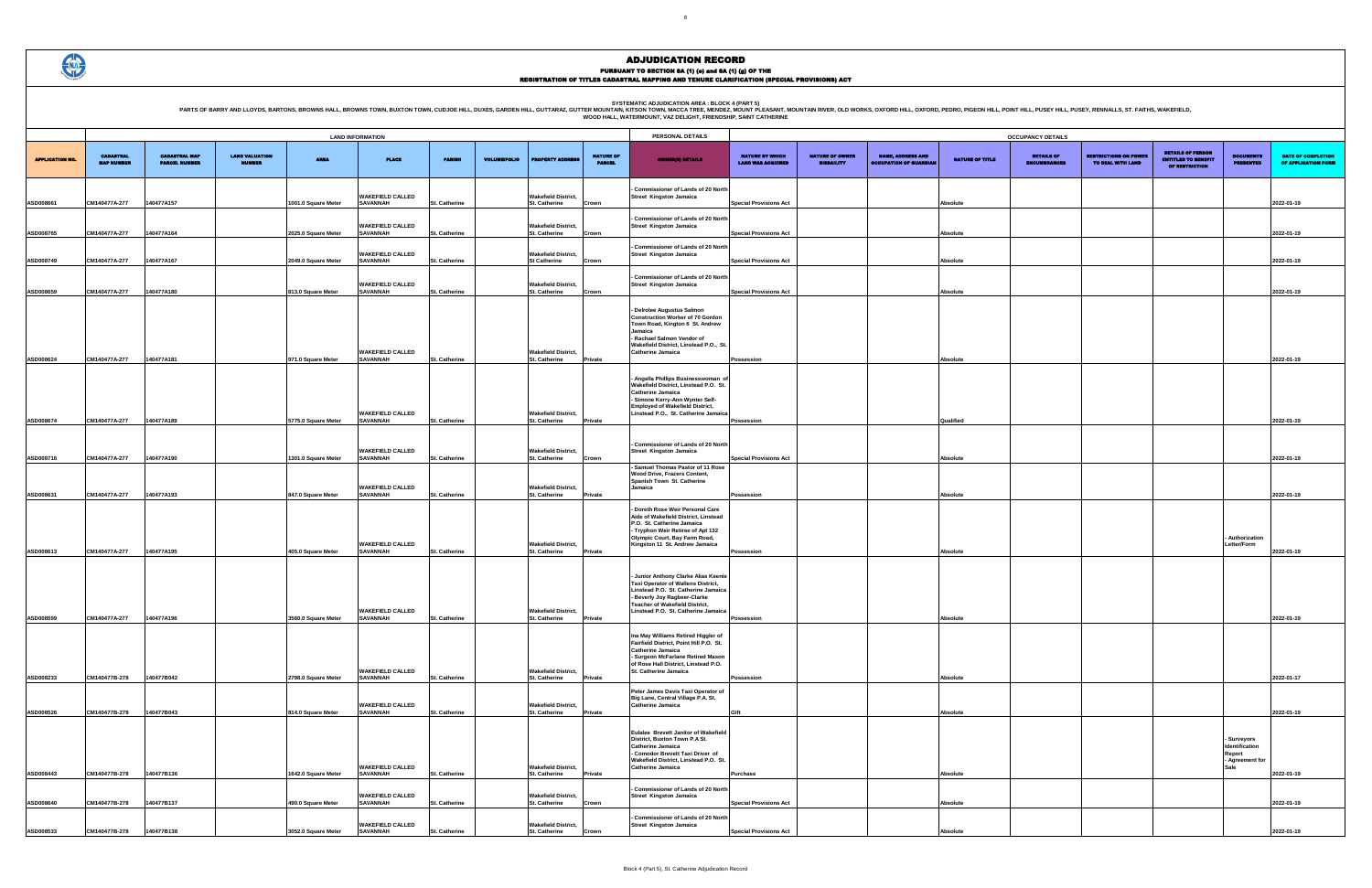PARTS OF BARRY AND LLOYDS, BARTONS, BROWNS HALL, BROWNS TOWN, BUXTON TOWN, CUDJOE HILL, DUXES, GARDEN HILL, GUTTARAZ, GUTTER MOUNTAIN R. WESCA TREE MENDELATION AREA : BLOCK 4 (PART 5)<br>WOOD HALL, WATERMOUNT, VAZ DELIGHT, FR

### ADJUDICATION RECORD PURSUANT TO SECTION 8A (1) (0) and 8A (1) (g) OF THE<br>REGISTRATION OF TITLES CADASTRAL MAPPING AND TENURE CLARIFICATION (SPECIAL PROVISIONS) ACT

|                        |                                       |                                              |                                        |                     | <b>LAND INFORMATION</b>                    |                      |                     | PERSONAL DETAILS                                   |                                   |                                                                                                                                                                                                                                          |                                                    |                                             | <b>OCCUPANCY DETAILS</b>                                  |                        |                                          |
|------------------------|---------------------------------------|----------------------------------------------|----------------------------------------|---------------------|--------------------------------------------|----------------------|---------------------|----------------------------------------------------|-----------------------------------|------------------------------------------------------------------------------------------------------------------------------------------------------------------------------------------------------------------------------------------|----------------------------------------------------|---------------------------------------------|-----------------------------------------------------------|------------------------|------------------------------------------|
| <b>APPLICATION NO.</b> | <b>CADASTRAL</b><br><b>MAP NUMBER</b> | <b>CADASTRAL MAP</b><br><b>PARCEL NUMBER</b> | <b>LAND VALUATION</b><br><b>MUMBER</b> | <b>AREA</b>         | <b>PLACE</b>                               | <b>PARISH</b>        | <b>VOLUME/FOLIO</b> | <b>PROPERTY ADDRES</b>                             | <b>NATURE OF</b><br><b>PARCEL</b> | <b>OWNER(8) DETAILS</b>                                                                                                                                                                                                                  | <b>NATURE BY WHICH</b><br><b>LAND WAS ACQUIRED</b> | <b>NATURE OF OWNER</b><br><b>DISBAILITY</b> | <b>NAME, ADDRESS AND</b><br><b>OCCUPATION OF GUARDIAN</b> | <b>NATURE OF TITLE</b> | <b>DETAILS OF</b><br><b>ENCUMBRANCES</b> |
| ASD008661              | CM140477A-277                         | 140477A157                                   |                                        | 1001.0 Square Meter | <b>WAKEFIELD CALLED</b><br><b>SAVANNAH</b> | <b>St. Catherine</b> |                     | <b>Wakefield District,</b><br>St. Catherine        | Crown                             | - Commissioner of Lands of 20 North<br><b>Street Kingston Jamaica</b>                                                                                                                                                                    | <b>Special Provisions Act</b>                      |                                             |                                                           | Absolute               |                                          |
| ASD008765              | CM140477A-277                         | 140477A164                                   |                                        | 2025.0 Square Meter | <b>WAKEFIELD CALLED</b><br><b>SAVANNAH</b> | St. Catherine        |                     | <b>Wakefield District,</b><br>St. Catherine        | Crown                             | - Commissioner of Lands of 20 North<br><b>Street Kingston Jamaica</b>                                                                                                                                                                    | <b>Special Provisions Act</b>                      |                                             |                                                           | Absolute               |                                          |
| ASD008749              | CM140477A-277                         | 140477A167                                   |                                        | 2049.0 Square Meter | <b>WAKEFIELD CALLED</b><br><b>SAVANNAH</b> | St. Catherine        |                     | <b>Wakefield District,</b><br><b>St Catherine</b>  | Crown                             | - Commissioner of Lands of 20 North<br><b>Street Kingston Jamaica</b>                                                                                                                                                                    | <b>Special Provisions Act</b>                      |                                             |                                                           | Absolute               |                                          |
| ASD008659              | CM140477A-277                         | 140477A180                                   |                                        | 813.0 Square Meter  | <b>WAKEFIELD CALLED</b><br><b>SAVANNAH</b> | <b>St. Catherine</b> |                     | <b>Wakefield District,</b><br>St. Catherine        | Crown                             | - Commissioner of Lands of 20 North<br>Street Kingston Jamaica                                                                                                                                                                           | <b>Special Provisions Act</b>                      |                                             |                                                           | Absolute               |                                          |
| ASD008624              | CM140477A-277                         | 140477A181                                   |                                        | 971.0 Square Meter  | <b>WAKEFIELD CALLED</b><br><b>SAVANNAH</b> | <b>St. Catherine</b> |                     | <b>Wakefield District,</b><br>St. Catherine        | Private                           | - Delrolee Augustus Salmon<br><b>Construction Worker of 70 Gordon</b><br>Town Road, Kington 6 St. Andrew<br>Jamaica<br>- Rachael Salmon Vendor of<br>Wakefield District, Linstead P.O., St<br><b>Catherine Jamaica</b>                   | Possession                                         |                                             |                                                           | Absolute               |                                          |
| ASD008674              | CM140477A-277                         | 140477A189                                   |                                        | 5775.0 Square Meter | <b>WAKEFIELD CALLED</b><br><b>SAVANNAH</b> | <b>St. Catherine</b> |                     | <b>Wakefield District,</b><br><b>St. Catherine</b> | Private                           | - Angella Phillips Businesswoman of<br>Wakefield District, Linstead P.O. St.<br>Catherine Jamaica<br>- Simone Kerry-Ann Wynter Self-<br><b>Employed of Wakefield District,</b><br>Linstead P.O., St. Catherine Jamaica                   | Possession                                         |                                             |                                                           | Qualified              |                                          |
|                        |                                       |                                              |                                        |                     |                                            |                      |                     |                                                    |                                   | - Commissioner of Lands of 20 North                                                                                                                                                                                                      |                                                    |                                             |                                                           |                        |                                          |
| ASD008716              | CM140477A-277                         | 140477A190                                   |                                        | 1301.0 Square Meter | <b>WAKEFIELD CALLED</b><br><b>SAVANNAH</b> | St. Catherine        |                     | <b>Wakefield District,</b><br>St. Catherine        | Crown                             | <b>Street Kingston Jamaica</b><br>- Samuel Thomas Pastor of 11 Rose                                                                                                                                                                      | <b>Special Provisions Act</b>                      |                                             |                                                           | Absolute               |                                          |
| ASD008631              | CM140477A-277                         | 140477A193                                   |                                        | 847.0 Square Meter  | <b>WAKEFIELD CALLED</b><br><b>SAVANNAH</b> | <b>St. Catherine</b> |                     | <b>Wakefield District,</b><br>St. Catherine        | Private                           | Wood Drive, Frazers Content,<br>Spanish Town St. Catherine<br>Jamaica                                                                                                                                                                    | Possession                                         |                                             |                                                           | Absolute               |                                          |
| ASD008613              | CM140477A-277                         | 140477A195                                   |                                        | 405.0 Square Meter  | <b>WAKEFIELD CALLED</b><br><b>SAVANNAH</b> | St. Catherine        |                     | <b>Wakefield District,</b><br>St. Catherine        | Private                           | - Doreth Rose Weir Personal Care<br>Aide of Wakefield District, Linstead<br>P.O. St. Catherine Jamaica<br>- Tryphon Weir Retiree of Apt 132<br>Olympic Court, Bay Farm Road,<br>Kingston 11 St. Andrew Jamaica                           | Possession                                         |                                             |                                                           | Absolute               |                                          |
| ASD008599              | CM140477A-277                         | 140477A196                                   |                                        | 3560.0 Square Meter | <b>WAKEFIELD CALLED</b><br><b>SAVANNAH</b> | <b>St. Catherine</b> |                     | <b>Wakefield District,</b><br><b>St. Catherine</b> | Private                           | - Junior Anthony Clarke Alias Keenie<br><b>Taxi Operator of Wallens District.</b><br>Linstead P.O. St. Catherine Jamaica<br>- Beverly Joy Ragbeer-Clarke<br><b>Teacher of Wakefield District,</b><br>Linstead P.O. St. Catherine Jamaica | <b>Possession</b>                                  |                                             |                                                           | Absolute               |                                          |
| ASD008233              | CM140477B-278                         | 140477B042                                   |                                        | 2798.0 Square Meter | <b>WAKEFIELD CALLED</b><br><b>SAVANNAH</b> | St. Catherine        |                     | <b>Wakefield District.</b><br><b>St. Catherine</b> | Private                           | Ina May Williams Retired Higgler of<br>Fairfield District, Point Hill P.O. St.<br><b>Catherine Jamaica</b><br>- Surgeon McFarlane Retired Mason<br>of Rose Hall District, Linstead P.O.<br>St. Catherine Jamaica                         | Possession                                         |                                             |                                                           | Absolute               |                                          |
| ASD008526              | CM140477B-278                         | 140477B043                                   |                                        | 814.0 Square Meter  | <b>WAKEFIELD CALLED</b><br><b>SAVANNAH</b> | St. Catherine        |                     | <b>Wakefield District,</b><br>St. Catherine        | Private                           | Peter James Davis Taxi Operator of<br>Big Lane, Central Village P.A. St.<br><b>Catherine Jamaica</b>                                                                                                                                     | Gift                                               |                                             |                                                           | Absolute               |                                          |
| ASD008443              | CM140477B-278                         | 140477B136                                   |                                        | 1642.0 Square Meter | <b>WAKEFIELD CALLED</b><br><b>SAVANNAH</b> | St. Catherine        |                     | <b>Wakefield District,</b><br>St. Catherine        | Private                           | Eulalee Brevett Janitor of Wakefield<br>District, Buxton Town P.A St.<br><b>Catherine Jamaica</b><br>- Comodor Brevett Taxi Driver of<br>Wakefield District, Linstead P.O. St.<br><b>Catherine Jamaica</b>                               | <b>Purchase</b>                                    |                                             |                                                           | Absolute               |                                          |
| ASD008640              | CM140477B-278                         | 140477B137                                   |                                        | 490.0 Square Meter  | <b>WAKEFIELD CALLED</b><br><b>SAVANNAH</b> | St. Catherine        |                     | <b>Wakefield District,</b><br>St. Catherine        | Crown                             | - Commissioner of Lands of 20 North<br><b>Street Kingston Jamaica</b>                                                                                                                                                                    | <b>Special Provisions Act</b>                      |                                             |                                                           | Absolute               |                                          |
| ASD008533              | CM140477B-278                         | 140477B138                                   |                                        | 3052.0 Square Meter | <b>WAKEFIELD CALLED</b><br><b>SAVANNAH</b> | <b>St. Catherine</b> |                     | <b>Wakefield District,</b><br>St. Catherine        | Crown                             | - Commissioner of Lands of 20 North<br><b>Street Kingston Jamaica</b>                                                                                                                                                                    | <b>Special Provisions Act</b>                      |                                             |                                                           | Absolute               |                                          |

3

|                                             |                                             |                                                           |                        | <b>OCCUPANCY DETAILS</b>                 |                                                   |                                                                          |                                                            |                                           |
|---------------------------------------------|---------------------------------------------|-----------------------------------------------------------|------------------------|------------------------------------------|---------------------------------------------------|--------------------------------------------------------------------------|------------------------------------------------------------|-------------------------------------------|
| NATURE BY WHICH<br><b>LAND WAS ACQUIRED</b> | <b>NATURE OF OWNER</b><br><b>DISBAILITY</b> | <b>NAME, ADDRESS AND</b><br><b>OCCUPATION OF GUARDIAN</b> | <b>NATURE OF TITLE</b> | <b>DETAILS OF</b><br><b>ENCUMBRANCES</b> | <b>RESTRICTIONS ON POWER</b><br>TO DEAL WITH LAND | <b>DETAILS OF PERSON</b><br><b>ENTITLED TO BENEFIT</b><br>OF RESTRICTION | <b>DOCUMENTS</b><br><b>PRESENTED</b>                       | DATE OF COMPLETION<br>OF APPLICATION FORM |
|                                             |                                             |                                                           |                        |                                          |                                                   |                                                                          |                                                            | 2022-01-19                                |
| <b>Special Provisions Act</b>               |                                             |                                                           | Absolute               |                                          |                                                   |                                                                          |                                                            |                                           |
| <b>Special Provisions Act</b>               |                                             |                                                           | Absolute               |                                          |                                                   |                                                                          |                                                            | 2022-01-19                                |
| <b>Special Provisions Act</b>               |                                             |                                                           | Absolute               |                                          |                                                   |                                                                          |                                                            | 2022-01-19                                |
| <b>Special Provisions Act</b>               |                                             |                                                           | Absolute               |                                          |                                                   |                                                                          |                                                            | 2022-01-19                                |
|                                             |                                             |                                                           |                        |                                          |                                                   |                                                                          |                                                            |                                           |
|                                             |                                             |                                                           |                        |                                          |                                                   |                                                                          |                                                            |                                           |
| Possession                                  |                                             |                                                           | Absolute               |                                          |                                                   |                                                                          |                                                            | 2022-01-19                                |
|                                             |                                             |                                                           |                        |                                          |                                                   |                                                                          |                                                            |                                           |
|                                             |                                             |                                                           |                        |                                          |                                                   |                                                                          |                                                            |                                           |
| Possession                                  |                                             |                                                           | Qualified              |                                          |                                                   |                                                                          |                                                            | 2022-01-19                                |
| <b>Special Provisions Act</b>               |                                             |                                                           | Absolute               |                                          |                                                   |                                                                          |                                                            | 2022-01-19                                |
|                                             |                                             |                                                           |                        |                                          |                                                   |                                                                          |                                                            |                                           |
| Possession                                  |                                             |                                                           | Absolute               |                                          |                                                   |                                                                          |                                                            | 2022-01-19                                |
|                                             |                                             |                                                           |                        |                                          |                                                   |                                                                          |                                                            |                                           |
| Possession                                  |                                             |                                                           | Absolute               |                                          |                                                   |                                                                          | - Authorization<br>Letter/Form                             | 2022-01-19                                |
|                                             |                                             |                                                           |                        |                                          |                                                   |                                                                          |                                                            |                                           |
|                                             |                                             |                                                           |                        |                                          |                                                   |                                                                          |                                                            |                                           |
| Possession                                  |                                             |                                                           | Absolute               |                                          |                                                   |                                                                          |                                                            | 2022-01-19                                |
|                                             |                                             |                                                           |                        |                                          |                                                   |                                                                          |                                                            |                                           |
|                                             |                                             |                                                           |                        |                                          |                                                   |                                                                          |                                                            |                                           |
| Possession                                  |                                             |                                                           | Absolute               |                                          |                                                   |                                                                          |                                                            | 2022-01-17                                |
| Gift                                        |                                             |                                                           | Absolute               |                                          |                                                   |                                                                          |                                                            | 2022-01-19                                |
|                                             |                                             |                                                           |                        |                                          |                                                   |                                                                          | - Surveyors<br>Identification<br>Report<br>- Agreement for |                                           |
| Purchase                                    |                                             |                                                           | Absolute               |                                          |                                                   |                                                                          | Sale                                                       | 2022-01-19                                |
| <b>Special Provisions Act</b>               |                                             |                                                           | Absolute               |                                          |                                                   |                                                                          |                                                            | 2022-01-19                                |
| <b>Special Provisions Act</b>               |                                             |                                                           | Absolute               |                                          |                                                   |                                                                          |                                                            | 2022-01-19                                |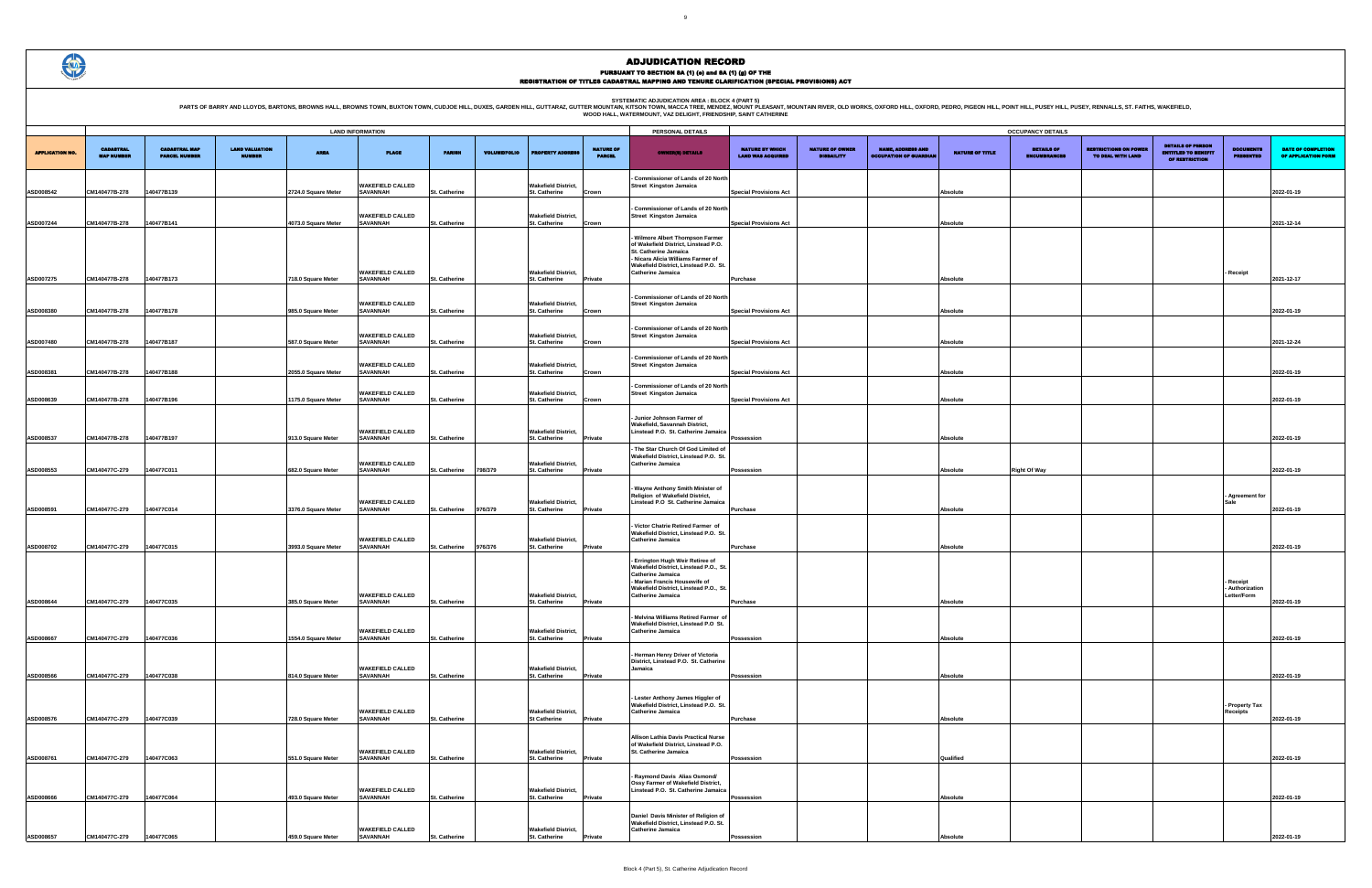PARTS OF BARRY AND LLOYDS, BARTONS, BROWNS HALL, BROWNS TOWN, BUXTON TOWN, CUDJOE HILL, DUXES, GARDEN HILL, GUTTARAZ, GUTTER MOUNTAIN, KITSON AREA : BLOCK 4 (PART 5)<br>WOOD HALL, WATERMOUNT, VAZ DELIGHT, FRIENDSHIP, SANT CAT

|                        | <b>LAND INFORMATION</b>               |                                              |                                        |                                          |                                                               |                                              |                     |                                                                    |                                   | PERSONAL DETAILS                                                                                                                                                                                              |                                                    |                                             |                                                           |                        | <b>OCCUPANCY DETAILS</b>                 |
|------------------------|---------------------------------------|----------------------------------------------|----------------------------------------|------------------------------------------|---------------------------------------------------------------|----------------------------------------------|---------------------|--------------------------------------------------------------------|-----------------------------------|---------------------------------------------------------------------------------------------------------------------------------------------------------------------------------------------------------------|----------------------------------------------------|---------------------------------------------|-----------------------------------------------------------|------------------------|------------------------------------------|
| <b>APPLICATION NO.</b> | <b>CADASTRAL</b><br><b>MAP NUMBER</b> | <b>CADASTRAL MAP</b><br><b>PARCEL NUMBER</b> | <b>LAND VALUATION</b><br><b>NUMBER</b> | <b>AREA</b>                              | <b>PLACE</b>                                                  | <b>PARISH</b>                                | <b>VOLUME/FOLIO</b> | <b>ROPERTY ADDRE</b>                                               | <b>NATURE OF</b><br><b>PARCEL</b> | <b>OWNER(8) DETAILS</b>                                                                                                                                                                                       | <b>NATURE BY WHICH</b><br><b>LAND WAS ACQUIRED</b> | <b>NATURE OF OWNER</b><br><b>DISBAILITY</b> | <b>NAME, ADDRESS AND</b><br><b>OCCUPATION OF GUARDIAN</b> | <b>NATURE OF TITLE</b> | <b>DETAILS OF</b><br><b>ENCUMBRANCES</b> |
| ASD008542              | CM140477B-278                         | 140477B139                                   |                                        | 2724.0 Square Meter                      | <b>WAKEFIELD CALLED</b><br><b>SAVANNAH</b>                    | <b>St. Catherine</b>                         |                     | <b>Wakefield District.</b><br><b>St. Catherine</b>                 | Crown                             | Commissioner of Lands of 20 North<br><b>Street Kingston Jamaica</b>                                                                                                                                           | <b>Special Provisions Act</b>                      |                                             |                                                           | Absolute               |                                          |
| ASD007244              | CM140477B-278                         | 140477B141                                   |                                        | 4073.0 Square Meter                      | <b>WAKEFIELD CALLED</b><br><b>SAVANNAH</b>                    | <b>St. Catherine</b>                         |                     | <b>Wakefield District,</b><br>St. Catherine                        | Crown                             | Commissioner of Lands of 20 North<br><b>Street Kingston Jamaica</b>                                                                                                                                           | <b>Special Provisions Act</b>                      |                                             |                                                           | Absolute               |                                          |
| ASD007275              | CM140477B-278                         | 140477B173                                   |                                        | 718.0 Square Meter                       | <b>WAKEFIELD CALLED</b><br><b>SAVANNAH</b>                    | <b>St. Catherine</b>                         |                     | <b>Wakefield District.</b><br>St. Catherine                        | Private                           | Wilmore Albert Thompson Farmer<br>of Wakefield District, Linstead P.O.<br>St. Catherine Jamaica<br>- Nicara Alicia Williams Farmer of<br>Wakefield District. Linstead P.O. St.<br><b>Catherine Jamaica</b>    | <b>Purchase</b>                                    |                                             |                                                           | Absolute               |                                          |
|                        |                                       |                                              |                                        |                                          | <b>WAKEFIELD CALLED</b>                                       |                                              |                     | <b>Wakefield District,</b>                                         |                                   | - Commissioner of Lands of 20 North<br><b>Street Kingston Jamaica</b>                                                                                                                                         |                                                    |                                             |                                                           |                        |                                          |
| ASD008380              | CM140477B-278                         | 140477B178                                   |                                        | 985.0 Square Meter                       | <b>SAVANNAH</b>                                               | <b>St. Catherine</b>                         |                     | St. Catherine                                                      | Crown                             | - Commissioner of Lands of 20 North                                                                                                                                                                           | <b>Special Provisions Act</b>                      |                                             |                                                           | Absolute               |                                          |
| ASD007480              | CM140477B-278                         | 140477B187                                   |                                        | 587.0 Square Meter                       | <b>WAKEFIELD CALLED</b><br><b>SAVANNAH</b>                    | <b>St. Catherine</b>                         |                     | <b>Wakefield District,</b><br>St. Catherine                        | Crown                             | <b>Street Kingston Jamaica</b>                                                                                                                                                                                | <b>Special Provisions Act</b>                      |                                             |                                                           | <b>Absolute</b>        |                                          |
| ASD008381              | CM140477B-278                         | 140477B188                                   |                                        | 2055.0 Square Meter                      | <b>WAKEFIELD CALLED</b><br><b>SAVANNAH</b>                    | St. Catherine                                |                     | <b>Wakefield District,</b><br>St. Catherine                        | Crown                             | Commissioner of Lands of 20 North<br><b>Street Kingston Jamaica</b>                                                                                                                                           | <b>Special Provisions Act</b>                      |                                             |                                                           | Absolute               |                                          |
| ASD008639              | CM140477B-278                         | 140477B196                                   |                                        | 175.0 Square Meter                       | <b>WAKEFIELD CALLED</b><br><b>SAVANNAH</b>                    | <b>St. Catherine</b>                         |                     | <b>Wakefield District,</b><br>St. Catherine                        | Crown                             | - Commissioner of Lands of 20 North<br><b>Street Kingston Jamaica</b>                                                                                                                                         | <b>Special Provisions Act</b>                      |                                             |                                                           | Absolute               |                                          |
| ASD008537              | CM140477B-278                         | 140477B197                                   |                                        | 913.0 Square Meter                       | <b>WAKEFIELD CALLED</b><br><b>SAVANNAH</b>                    | St. Catherine                                |                     | <b>Wakefield District,</b><br>St. Catherine                        | Private                           | - Junior Johnson Farmer of<br>Wakefield, Savannah District.<br>Linstead P.O. St. Catherine Jamaica                                                                                                            | Possession                                         |                                             |                                                           | Absolute               |                                          |
| ASD008553              | CM140477C-279                         | 140477C011                                   |                                        | 682.0 Square Meter                       | <b>WAKEFIELD CALLED</b><br><b>SAVANNAH</b>                    | <b>St. Catherine</b>                         | 798/379             | <b>Wakefield District,</b><br>St. Catherine                        | Private                           | The Star Church Of God Limited of<br>Wakefield District, Linstead P.O. St.<br><b>Catherine Jamaica</b>                                                                                                        | Possession                                         |                                             |                                                           | <b>Absolute</b>        | <b>Right Of Way</b>                      |
| ASD008591              | CM140477C-279                         | 140477C014                                   |                                        | 3376.0 Square Meter                      | <b>WAKEFIELD CALLED</b><br><b>SAVANNAH</b>                    | <b>St. Catherine</b>                         | 976/379             | <b>Wakefield District,</b><br>St. Catherine                        | Private                           | - Wayne Anthony Smith Minister of<br>Religion of Wakefield District,<br>Linstead P.O St. Catherine Jamaica                                                                                                    | Purchase                                           |                                             |                                                           | Absolute               |                                          |
| ASD008702              | CM140477C-279                         | 140477C015                                   |                                        | 3993.0 Square Meter                      | <b>WAKEFIELD CALLED</b><br><b>SAVANNAH</b>                    | St. Catherine                                | 976/376             | <b>Wakefield District,</b><br>St. Catherine                        | Private                           | Victor Chatrie Retired Farmer of<br>Wakefield District, Linstead P.O. St.<br><b>Catherine Jamaica</b>                                                                                                         | Purchase                                           |                                             |                                                           | Absolute               |                                          |
| ASD008644              | CM140477C-279                         | 140477C035                                   |                                        | 385.0 Square Meter                       | <b>WAKEFIELD CALLED</b><br><b>SAVANNAH</b>                    | <b>St. Catherine</b>                         |                     | <b>Wakefield District,</b><br>St. Catherine                        | Private                           | - Errington Hugh Weir Retiree of<br>Wakefield District, Linstead P.O., St.<br><b>Catherine Jamaica</b><br>- Marian Francis Housewife of<br>Wakefield District, Linstead P.O., St.<br><b>Catherine Jamaica</b> | <b>Purchase</b>                                    |                                             |                                                           | Absolute               |                                          |
|                        |                                       |                                              |                                        |                                          | <b>WAKEFIELD CALLED</b>                                       |                                              |                     | <b>Wakefield District,</b>                                         |                                   | Melvina Williams Retired Farmer of<br>Wakefield District, Linstead P.O St.<br><b>Catherine Jamaica</b>                                                                                                        |                                                    |                                             |                                                           |                        |                                          |
| ASD008667              | CM140477C-279                         | 140477C036                                   |                                        | 1554.0 Square Meter                      | <b>SAVANNAH</b><br><b>WAKEFIELD CALLED</b>                    | <b>St. Catherine</b>                         |                     | St. Catherine<br><b>Wakefield District,</b>                        | Private                           | Herman Henry Driver of Victoria<br>District, Linstead P.O. St. Catherine<br>Jamaica                                                                                                                           | <b>Possession</b>                                  |                                             |                                                           | Absolute               |                                          |
| ASD008566<br>ASD008576 | CM140477C-279<br>CM140477C-279        | 140477C038<br>140477C039                     |                                        | 814.0 Square Meter<br>728.0 Square Meter | <b>SAVANNAH</b><br><b>WAKEFIELD CALLED</b><br><b>SAVANNAH</b> | <b>St. Catherine</b><br><b>St. Catherine</b> |                     | St. Catherine<br><b>Wakefield District,</b><br><b>St Catherine</b> | Private<br>Private                | Lester Anthony James Higgler of<br>Wakefield District, Linstead P.O. St.<br><b>Catherine Jamaica</b>                                                                                                          | Possession<br>Purchase                             |                                             |                                                           | Absolute<br>Absolute   |                                          |
|                        |                                       |                                              |                                        |                                          | <b>WAKEFIELD CALLED</b>                                       |                                              |                     | <b>Wakefield District,</b>                                         |                                   | Allison Lathia Davis Practical Nurse<br>of Wakefield District, Linstead P.O.<br>St. Catherine Jamaica                                                                                                         |                                                    |                                             |                                                           |                        |                                          |
| ASD008761              | CM140477C-279                         | 140477C063                                   |                                        | 551.0 Square Meter                       | <b>SAVANNAH</b><br><b>WAKEFIELD CALLED</b>                    | <b>St. Catherine</b>                         |                     | St. Catherine<br><b>Wakefield District,</b>                        | Private                           | - Raymond Davis Alias Osmond/<br>Ossy Farmer of Wakefield District,<br>Linstead P.O. St. Catherine Jamaica                                                                                                    | Possession                                         |                                             |                                                           | Qualified              |                                          |
| ASD008666              | CM140477C-279                         | 140477C064                                   |                                        | 493.0 Square Meter                       | SAVANNAH<br><b>WAKEFIELD CALLED</b>                           | <b>St. Catherine</b>                         |                     | St. Catherine<br><b>Wakefield District,</b>                        | Private                           | Daniel Davis Minister of Religion of<br>Wakefield District, Linstead P.O. St.<br><b>Catherine Jamaica</b>                                                                                                     | Possession                                         |                                             |                                                           | Absolute               |                                          |
| ASD008657              | CM140477C-279                         | 140477C065                                   |                                        | 459.0 Square Meter                       | <b>SAVANNAH</b>                                               | <b>St. Catherine</b>                         |                     | St. Catherine                                                      | Private                           |                                                                                                                                                                                                               | Possession                                         |                                             |                                                           | Absolute               |                                          |

| <b>OCCUPANCY DETAILS</b>                    |                                             |                                                           |                 |                                          |                                                   |                                                                          |                                      |                                                  |  |  |  |  |
|---------------------------------------------|---------------------------------------------|-----------------------------------------------------------|-----------------|------------------------------------------|---------------------------------------------------|--------------------------------------------------------------------------|--------------------------------------|--------------------------------------------------|--|--|--|--|
| NATURE BY WHICH<br><b>LAND WAS ACQUIRED</b> | <b>NATURE OF OWNER</b><br><b>DISBAILITY</b> | <b>NAME, ADDRESS AND</b><br><b>OCCUPATION OF GUARDIAN</b> | NATURE OF TITLE | <b>DETAILS OF</b><br><b>ENCUMBRANCES</b> | <b>RESTRICTIONS ON POWER</b><br>TO DEAL WITH LAND | <b>DETAILS OF PERSON</b><br><b>ENTITLED TO BENEFIT</b><br>OF RESTRICTION | <b>DOCUMENTS</b><br><b>PRESENTED</b> | <b>DATE OF COMPLETION</b><br>OF APPLICATION FORM |  |  |  |  |
|                                             |                                             |                                                           |                 |                                          |                                                   |                                                                          |                                      |                                                  |  |  |  |  |
| <b>Special Provisions Act</b>               |                                             |                                                           | <b>Absolute</b> |                                          |                                                   |                                                                          |                                      | 2022-01-19                                       |  |  |  |  |
|                                             |                                             |                                                           |                 |                                          |                                                   |                                                                          |                                      |                                                  |  |  |  |  |
| <b>Special Provisions Act</b>               |                                             |                                                           | <b>Absolute</b> |                                          |                                                   |                                                                          |                                      | 2021-12-14                                       |  |  |  |  |
|                                             |                                             |                                                           |                 |                                          |                                                   |                                                                          |                                      |                                                  |  |  |  |  |
|                                             |                                             |                                                           |                 |                                          |                                                   |                                                                          |                                      |                                                  |  |  |  |  |
|                                             |                                             |                                                           |                 |                                          |                                                   |                                                                          | - Receipt                            |                                                  |  |  |  |  |
| Purchase                                    |                                             |                                                           | Absolute        |                                          |                                                   |                                                                          |                                      | 2021-12-17                                       |  |  |  |  |
| <b>Special Provisions Act</b>               |                                             |                                                           | Absolute        |                                          |                                                   |                                                                          |                                      | 2022-01-19                                       |  |  |  |  |
|                                             |                                             |                                                           |                 |                                          |                                                   |                                                                          |                                      |                                                  |  |  |  |  |
| <b>Special Provisions Act</b>               |                                             |                                                           | Absolute        |                                          |                                                   |                                                                          |                                      | 2021-12-24                                       |  |  |  |  |
|                                             |                                             |                                                           |                 |                                          |                                                   |                                                                          |                                      |                                                  |  |  |  |  |
| <b>Special Provisions Act</b>               |                                             |                                                           | <b>Absolute</b> |                                          |                                                   |                                                                          |                                      | 2022-01-19                                       |  |  |  |  |
|                                             |                                             |                                                           |                 |                                          |                                                   |                                                                          |                                      |                                                  |  |  |  |  |
| <b>Special Provisions Act</b>               |                                             |                                                           | Absolute        |                                          |                                                   |                                                                          |                                      | 2022-01-19                                       |  |  |  |  |
|                                             |                                             |                                                           |                 |                                          |                                                   |                                                                          |                                      |                                                  |  |  |  |  |
| Possession                                  |                                             |                                                           | Absolute        |                                          |                                                   |                                                                          |                                      | 2022-01-19                                       |  |  |  |  |
|                                             |                                             |                                                           |                 |                                          |                                                   |                                                                          |                                      |                                                  |  |  |  |  |
| Possession                                  |                                             |                                                           | <b>Absolute</b> | <b>Right Of Way</b>                      |                                                   |                                                                          |                                      | 2022-01-19                                       |  |  |  |  |
|                                             |                                             |                                                           |                 |                                          |                                                   |                                                                          |                                      |                                                  |  |  |  |  |
|                                             |                                             |                                                           |                 |                                          |                                                   |                                                                          | - Agreement for<br>Sale              |                                                  |  |  |  |  |
| Purchase                                    |                                             |                                                           | Absolute        |                                          |                                                   |                                                                          |                                      | 2022-01-19                                       |  |  |  |  |
|                                             |                                             |                                                           |                 |                                          |                                                   |                                                                          |                                      |                                                  |  |  |  |  |
| Purchase                                    |                                             |                                                           | <b>Absolute</b> |                                          |                                                   |                                                                          |                                      | 2022-01-19                                       |  |  |  |  |
|                                             |                                             |                                                           |                 |                                          |                                                   |                                                                          |                                      |                                                  |  |  |  |  |
|                                             |                                             |                                                           |                 |                                          |                                                   |                                                                          | - Receipt<br>- Authorization         |                                                  |  |  |  |  |
| Purchase                                    |                                             |                                                           | Absolute        |                                          |                                                   |                                                                          | Letter/Form                          | 2022-01-19                                       |  |  |  |  |
|                                             |                                             |                                                           |                 |                                          |                                                   |                                                                          |                                      |                                                  |  |  |  |  |
| Possession                                  |                                             |                                                           | Absolute        |                                          |                                                   |                                                                          |                                      | 2022-01-19                                       |  |  |  |  |
|                                             |                                             |                                                           |                 |                                          |                                                   |                                                                          |                                      |                                                  |  |  |  |  |
|                                             |                                             |                                                           |                 |                                          |                                                   |                                                                          |                                      |                                                  |  |  |  |  |
| Possession                                  |                                             |                                                           | <b>Absolute</b> |                                          |                                                   |                                                                          |                                      | 2022-01-19                                       |  |  |  |  |
|                                             |                                             |                                                           |                 |                                          |                                                   |                                                                          |                                      |                                                  |  |  |  |  |
| Purchase                                    |                                             |                                                           | <b>Absolute</b> |                                          |                                                   |                                                                          | - Property Tax<br><b>Receipts</b>    | 2022-01-19                                       |  |  |  |  |
|                                             |                                             |                                                           |                 |                                          |                                                   |                                                                          |                                      |                                                  |  |  |  |  |
|                                             |                                             |                                                           |                 |                                          |                                                   |                                                                          |                                      |                                                  |  |  |  |  |
| Possession                                  |                                             |                                                           | Qualified       |                                          |                                                   |                                                                          |                                      | 2022-01-19                                       |  |  |  |  |
|                                             |                                             |                                                           |                 |                                          |                                                   |                                                                          |                                      |                                                  |  |  |  |  |
| Possession                                  |                                             |                                                           | Absolute        |                                          |                                                   |                                                                          |                                      | 2022-01-19                                       |  |  |  |  |
|                                             |                                             |                                                           |                 |                                          |                                                   |                                                                          |                                      |                                                  |  |  |  |  |
|                                             |                                             |                                                           |                 |                                          |                                                   |                                                                          |                                      |                                                  |  |  |  |  |
| Possession                                  |                                             |                                                           | Absolute        |                                          |                                                   |                                                                          |                                      | 2022-01-19                                       |  |  |  |  |

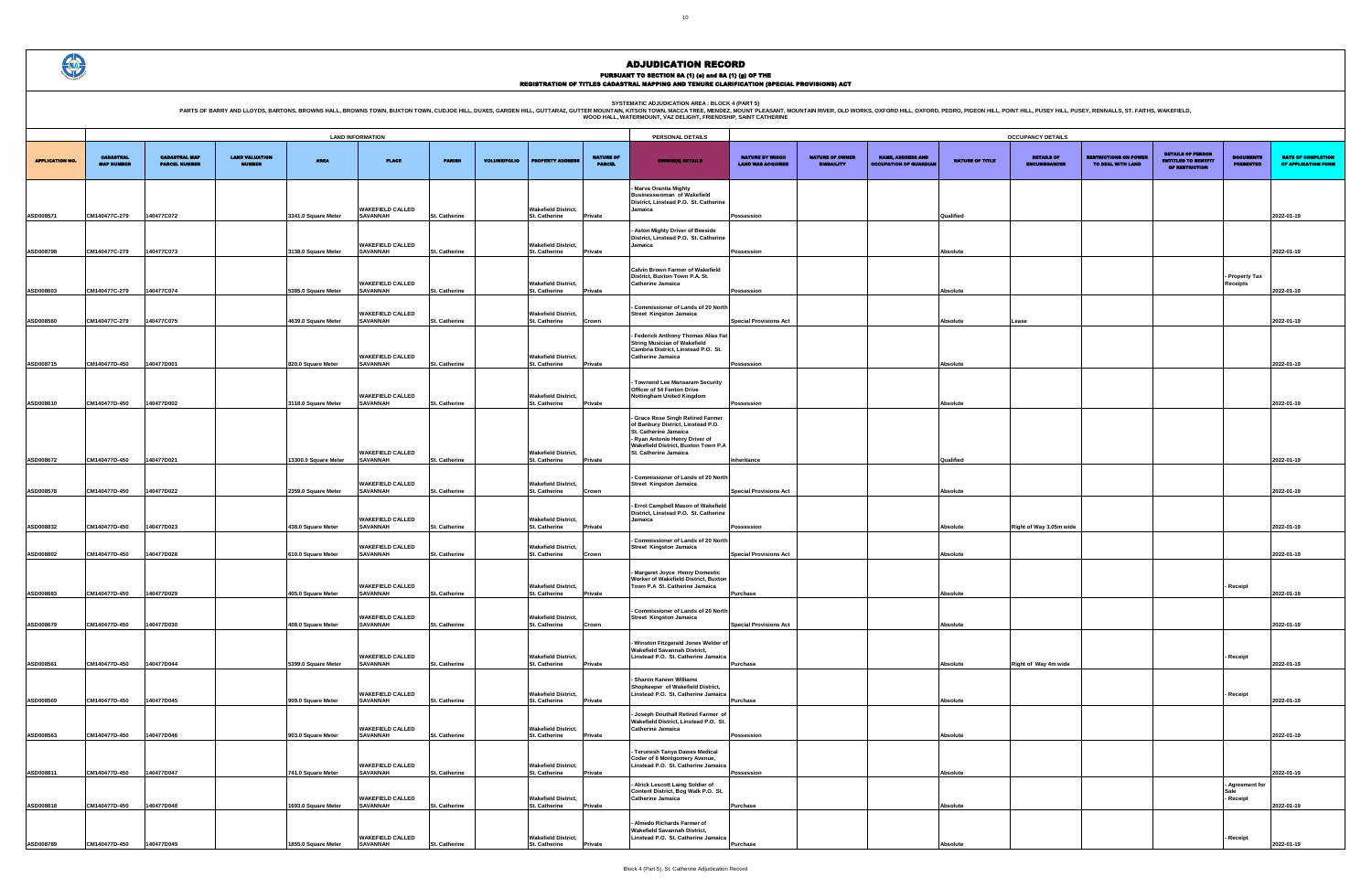PARTS OF BARRY AND LLOYDS, BARTONS, BROWNS HALL, BROWNS TOWN, BUXTON TOWN, CUDJOE HILL, DUXES, GARDEN HILL, GUTTARAZ, GUTTER MOUNTAIN, KITSON AREA : BLOCK 4 (PART 5)<br>WOOD HALL, WATERMOUNT, VAZ DELIGHT, FRIENDSHIP, SANT CAT

|                                              |                                             |                                                           |                              | <b>OCCUPANCY DETAILS</b>                 |                                                   |                                                                          |                                         |                                                  |
|----------------------------------------------|---------------------------------------------|-----------------------------------------------------------|------------------------------|------------------------------------------|---------------------------------------------------|--------------------------------------------------------------------------|-----------------------------------------|--------------------------------------------------|
| NATURE BY WHICH<br><b>LAND WAS ACQUIRED</b>  | <b>NATURE OF OWNER</b><br><b>DISBAILITY</b> | <b>NAME, ADDRESS AND</b><br><b>OCCUPATION OF GUARDIAN</b> | <b>NATURE OF TITLE</b>       | <b>DETAILS OF</b><br><b>ENCUMBRANCES</b> | <b>RESTRICTIONS ON POWER</b><br>TO DEAL WITH LAND | <b>DETAILS OF PERSON</b><br><b>ENTITLED TO BENEFIT</b><br>OF RESTRICTION | <b>DOCUMENTS</b><br><b>PRESENTED</b>    | <b>DATE OF COMPLETION</b><br>OF APPLICATION FORM |
| Possession                                   |                                             |                                                           | Qualified                    |                                          |                                                   |                                                                          |                                         | 2022-01-19                                       |
|                                              |                                             |                                                           |                              |                                          |                                                   |                                                                          |                                         |                                                  |
| Possession                                   |                                             |                                                           | <b>Absolute</b>              |                                          |                                                   |                                                                          | Property Tax<br><b>Receipts</b>         | 2022-01-19                                       |
| Possession                                   |                                             |                                                           | <b>Absolute</b>              |                                          |                                                   |                                                                          |                                         | 2022-01-19                                       |
| <b>Special Provisions Act</b>                |                                             |                                                           | Absolute                     | Lease                                    |                                                   |                                                                          |                                         | 2022-01-19                                       |
| Possession                                   |                                             |                                                           | Absolute                     |                                          |                                                   |                                                                          |                                         | 2022-01-19                                       |
| Possession                                   |                                             |                                                           | Absolute                     |                                          |                                                   |                                                                          |                                         | 2022-01-19                                       |
|                                              |                                             |                                                           |                              |                                          |                                                   |                                                                          |                                         |                                                  |
| Inheritance<br><b>Special Provisions Act</b> |                                             |                                                           | Qualified<br><b>Absolute</b> |                                          |                                                   |                                                                          |                                         | 2022-01-19<br>2022-01-19                         |
| Possession                                   |                                             |                                                           | <b>Absolute</b>              |                                          |                                                   |                                                                          |                                         | 2022-01-19                                       |
| <b>Special Provisions Act</b>                |                                             |                                                           | <b>Absolute</b>              | Right of Way 3.05m wide                  |                                                   |                                                                          |                                         | 2022-01-19                                       |
| Purchase                                     |                                             |                                                           | Absolute                     |                                          |                                                   |                                                                          | Receipt                                 | 2022-01-19                                       |
| <b>Special Provisions Act</b>                |                                             |                                                           | <b>Absolute</b>              |                                          |                                                   |                                                                          |                                         | 2022-01-19                                       |
| Purchase                                     |                                             |                                                           | Absolute                     | Right of Way 4m wide                     |                                                   |                                                                          | Receipt                                 | 2022-01-19                                       |
| Purchase                                     |                                             |                                                           | Absolute                     |                                          |                                                   |                                                                          | Receipt                                 | 2022-01-19                                       |
|                                              |                                             |                                                           | <b>Absolute</b>              |                                          |                                                   |                                                                          |                                         |                                                  |
| Possession                                   |                                             |                                                           |                              |                                          |                                                   |                                                                          |                                         | 2022-01-19                                       |
| Possession<br>Purchase                       |                                             |                                                           | Absolute<br><b>Absolute</b>  |                                          |                                                   |                                                                          | <b>Agreement for</b><br>Sale<br>Receipt | 2022-01-19<br>2022-01-19                         |
| Purchase                                     |                                             |                                                           | <b>Absolute</b>              |                                          |                                                   |                                                                          | Receipt                                 | 2022-01-19                                       |

|                        | <b>LAND INFORMATION</b>               |                                              |                                 |                      |                                            |                      |                     |                                                    |                                   | PERSONAL DETAILS                                                                                                                                                                                   |                                             |                                             |                                                          |                        | <b>OCCUPANCY DETAILS</b>                 |
|------------------------|---------------------------------------|----------------------------------------------|---------------------------------|----------------------|--------------------------------------------|----------------------|---------------------|----------------------------------------------------|-----------------------------------|----------------------------------------------------------------------------------------------------------------------------------------------------------------------------------------------------|---------------------------------------------|---------------------------------------------|----------------------------------------------------------|------------------------|------------------------------------------|
| <b>APPLICATION NO.</b> | <b>CADASTRAL</b><br><b>MAP NUMBER</b> | <b>CADASTRAL MAP</b><br><b>PARCEL NUMBER</b> | <b>LAND VALUATION</b><br>NUMBER | <b>AREA</b>          | <b>PLACE</b>                               | <b>PARISH</b>        | <b>VOLUME/FOLIO</b> | <b>PROPERTY ADDRES</b>                             | <b>NATURE OF</b><br><b>PARCEL</b> | <b>OWNER(8) DETAILS</b>                                                                                                                                                                            | NATURE BY WHICH<br><b>LAND WAS ACQUIRED</b> | <b>NATURE OF OWNER</b><br><b>DISBAILITY</b> | <b>NAME, ADDRESS AND</b><br><b>DCCUPATION OF GUARDIA</b> | <b>NATURE OF TITLE</b> | <b>DETAILS OF</b><br><b>ENCUMBRANCES</b> |
| ASD008571              | CM140477C-279                         | 140477C072                                   |                                 | 3341.0 Square Meter  | <b>WAKEFIELD CALLED</b><br><b>SAVANNAH</b> | St. Catherine        |                     | <b>Wakefield District,</b><br>St. Catherine        | Private                           | Marva Orantia Mighty<br><b>Businesswoman of Wakefield</b><br>District, Linstead P.O. St. Catherine<br>Jamaica                                                                                      | Possession                                  |                                             |                                                          | Qualified              |                                          |
|                        |                                       |                                              |                                 |                      | <b>WAKEFIELD CALLED</b>                    |                      |                     | <b>Wakefield District,</b>                         |                                   | <b>Aston Mighty Driver of Beeside</b><br>District, Linstead P.O. St. Catherine<br>Jamaica                                                                                                          |                                             |                                             |                                                          |                        |                                          |
| ASD008798              | CM140477C-279                         | 140477C073                                   |                                 | 3138.0 Square Meter  | SAVANNAH                                   | St. Catherine        |                     | St. Catherine                                      | Private                           |                                                                                                                                                                                                    | Possession                                  |                                             |                                                          | Absolute               |                                          |
| ASD008603              | CM140477C-279                         | 140477C074                                   |                                 | 5385.0 Square Meter  | <b><i>NAKEFIELD CALLED</i></b><br>SAVANNAH | St. Catherine        |                     | <b>Wakefield District,</b><br>St. Catherine        | Private                           | <b>Calvin Brown Farmer of Wakefield</b><br>District. Buxton Town P.A. St.<br><b>Catherine Jamaica</b>                                                                                              | Possession                                  |                                             |                                                          | Absolute               |                                          |
| ASD008560              | CM140477C-279                         | 140477C075                                   |                                 | 4639.0 Square Meter  | <b>WAKEFIELD CALLED</b><br><b>SAVANNAH</b> | St. Catherine        |                     | <b>Wakefield District,</b><br><b>St. Catherine</b> | Crown                             | - Commissioner of Lands of 20 North<br><b>Street Kingston Jamaica</b>                                                                                                                              | <b>Special Provisions Act</b>               |                                             |                                                          | Absolute               | Lease                                    |
| ASD008715              | CM140477D-450                         | 140477D001                                   |                                 | 820.0 Square Meter   | <b>WAKEFIELD CALLED</b><br><b>SAVANNAH</b> | St. Catherine        |                     | <b>Wakefield District,</b><br>St. Catherine        | <b>Private</b>                    | - Federick Anthony Thomas Alias Fat<br><b>String Musician of Wakefield</b><br>Cambria District, Linstead P.O. St.<br><b>Catherine Jamaica</b>                                                      | <b>Possession</b>                           |                                             |                                                          | Absolute               |                                          |
| ASD008610              | CM140477D-450                         | 140477D002                                   |                                 | 3118.0 Square Meter  | <b>WAKEFIELD CALLED</b><br><b>SAVANNAH</b> | <b>St. Catherine</b> |                     | <b>Wakefield District,</b><br>St. Catherine        | Private                           | Townend Lee Mansaram Security<br>Officer of 54 Fenton Drive<br><b>Nottingham United Kingdom</b>                                                                                                    | Possession                                  |                                             |                                                          | Absolute               |                                          |
| ASD008672              | CM140477D-450                         | 140477D021                                   |                                 | 13300.0 Square Meter | <b>WAKEFIELD CALLED</b><br><b>SAVANNAH</b> | St. Catherine        |                     | <b>Wakefield District,</b><br>St. Catherine        | Private                           | - Grace Rose Singh Retired Farmer<br>of Banbury District, Linstead P.O.<br>St. Catherine Jamaica<br>- Ryan Antonio Henry Driver of<br>Wakefield District, Buxton Town P.A<br>St. Catherine Jamaica | Inheritance                                 |                                             |                                                          | Qualified              |                                          |
|                        |                                       |                                              |                                 |                      |                                            |                      |                     |                                                    |                                   |                                                                                                                                                                                                    |                                             |                                             |                                                          |                        |                                          |
|                        |                                       |                                              |                                 |                      | <b>WAKEFIELD CALLED</b><br><b>SAVANNAH</b> |                      |                     | <b>Wakefield District,</b>                         |                                   | - Commissioner of Lands of 20 North<br><b>Street Kingston Jamaica</b>                                                                                                                              |                                             |                                             |                                                          |                        |                                          |
| ASD008578              | CM140477D-450                         | 140477D022                                   |                                 | 2359.0 Square Meter  |                                            | St. Catherine        |                     | <b>St. Catherine</b>                               | Crown                             |                                                                                                                                                                                                    | <b>Special Provisions Act</b>               |                                             |                                                          | Absolute               |                                          |
| ASD008832              | CM140477D-450                         | 140477D023                                   |                                 | 438.0 Square Meter   | <b>WAKEFIELD CALLED</b><br><b>SAVANNAH</b> | <b>St. Catherine</b> |                     | <b>Wakefield District,</b><br>St. Catherine        | Private                           | - Errol Campbell Mason of Wakefield<br>District, Linstead P.O. St. Catherine<br>Jamaica                                                                                                            | Possession                                  |                                             |                                                          | Absolute               | Right of Way 3.05m w                     |
|                        |                                       |                                              |                                 |                      | <b>WAKEFIELD CALLED</b>                    |                      |                     | <b>Wakefield District,</b>                         |                                   | - Commissioner of Lands of 20 North<br><b>Street Kingston Jamaica</b>                                                                                                                              |                                             |                                             |                                                          |                        |                                          |
| ASD008802              | CM140477D-450                         | 140477D028                                   |                                 | 610.0 Square Meter   | SAVANNAH                                   | St. Catherine        |                     | St. Catherine                                      | Crown                             |                                                                                                                                                                                                    | <b>Special Provisions Act</b>               |                                             |                                                          | <b>Absolute</b>        |                                          |
| ASD008683              | CM140477D-450                         | 140477D029                                   |                                 | 405.0 Square Meter   | <b>WAKEFIELD CALLED</b><br><b>SAVANNAH</b> | <b>St. Catherine</b> |                     | <b>Wakefield District,</b><br><b>St. Catherine</b> | Private                           | - Margaret Joyce Henry Domestic<br>Worker of Wakefield District, Buxton<br>Town P.A St. Catherine Jamaica                                                                                          | <b>Purchase</b>                             |                                             |                                                          | Absolute               |                                          |
| ASD008679              | CM140477D-450                         | 140477D030                                   |                                 | 408.0 Square Meter   | <b>WAKEFIELD CALLED</b><br><b>SAVANNAH</b> | <b>St. Catherine</b> |                     | <b>Wakefield District,</b><br><b>St. Catherine</b> | Crown                             | - Commissioner of Lands of 20 North<br><b>Street Kingston Jamaica</b>                                                                                                                              | <b>Special Provisions Act</b>               |                                             |                                                          | Absolute               |                                          |
| ASD008561              | CM140477D-450                         | 140477D044                                   |                                 | 5399.0 Square Meter  | <b>WAKEFIELD CALLED</b><br><b>SAVANNAH</b> | St. Catherine        |                     | <b>Wakefield District,</b><br>St. Catherine        | Private                           | - Winston Fitzgerald Jones Welder of<br><b>Wakefield Savannah District,</b><br>Linstead P.O. St. Catherine Jamaica                                                                                 | <b>Purchase</b>                             |                                             |                                                          | Absolute               | Right of Way 4m wide                     |
| ASD008569              | CM140477D-450                         | 140477D045                                   |                                 | 909.0 Square Meter   | <b>WAKEFIELD CALLED</b><br><b>SAVANNAH</b> | <b>St. Catherine</b> |                     | <b>Wakefield District,</b><br><b>St. Catherine</b> | Private                           | - Sharon Kareen Williams<br>Shopkeeper of Wakefield District,<br>Linstead P.O. St. Catherine Jamaica                                                                                               | <b>Purchase</b>                             |                                             |                                                          | Absolute               |                                          |
| ASD008563              | CM140477D-450                         | 140477D046                                   |                                 | 903.0 Square Meter   | <b>WAKEFIELD CALLED</b><br>SAVANNAH        | <b>St. Catherine</b> |                     | Wakefield District.<br>St. Catherine               | Private                           | Joseph Douthall Retired Farmer of<br>Wakefield District, Linstead P.O. St.<br><b>Catherine Jamaica</b>                                                                                             | Possession                                  |                                             |                                                          | Absolute               |                                          |
| ASD008811              | CM140477D-450                         | 140477D047                                   |                                 | 741.0 Square Meter   | <b>WAKEFIELD CALLED</b><br><b>SAVANNAH</b> | <b>St. Catherine</b> |                     | <b>Wakefield District,</b><br>St. Catherine        | Private                           | Terunesh Tanya Dawes Medical<br>Coder of 6 Montgomery Avenue,<br>Linstead P.O. St. Catherine Jamaica                                                                                               | Possession                                  |                                             |                                                          | Absolute               |                                          |
| ASD008818              | CM140477D-450                         | 140477D048                                   |                                 | 1693.0 Square Meter  | <b>WAKEFIELD CALLED</b><br><b>SAVANNAH</b> | St. Catherine        |                     | <b>Wakefield District,</b><br><b>St. Catherine</b> | Private                           | - Alrick Lescott Laing Soldier of<br>Content District, Bog Walk P.O. St.<br>Catherine Jamaica                                                                                                      | <b>Purchase</b>                             |                                             |                                                          | Absolute               |                                          |
|                        |                                       |                                              |                                 |                      | <b>WAKEFIELD CALLED</b>                    |                      |                     | <b>Wakefield District,</b>                         |                                   | Almedo Richards Farmer of<br><b>Wakefield Savannah District,</b><br>Linstead P.O. St. Catherine Jamaica                                                                                            |                                             |                                             |                                                          |                        |                                          |
| ASD008789              | CM140477D-450                         | 140477D049                                   |                                 | 1855.0 Square Meter  | <b>SAVANNAH</b>                            | <b>St. Catherine</b> |                     | St. Catherine                                      | Private                           |                                                                                                                                                                                                    | <b>Purchase</b>                             |                                             |                                                          | Absolute               |                                          |

ADJUDICATION RECORD

PURSUANT TO SECTION 8A (1) (0) and 8A (1) (g) OF THE<br>REGISTRATION OF TITLES CADASTRAL MAPPING AND TENURE CLARIFICATION (SPECIAL PROVISIONS) ACT

 $\bigcirc$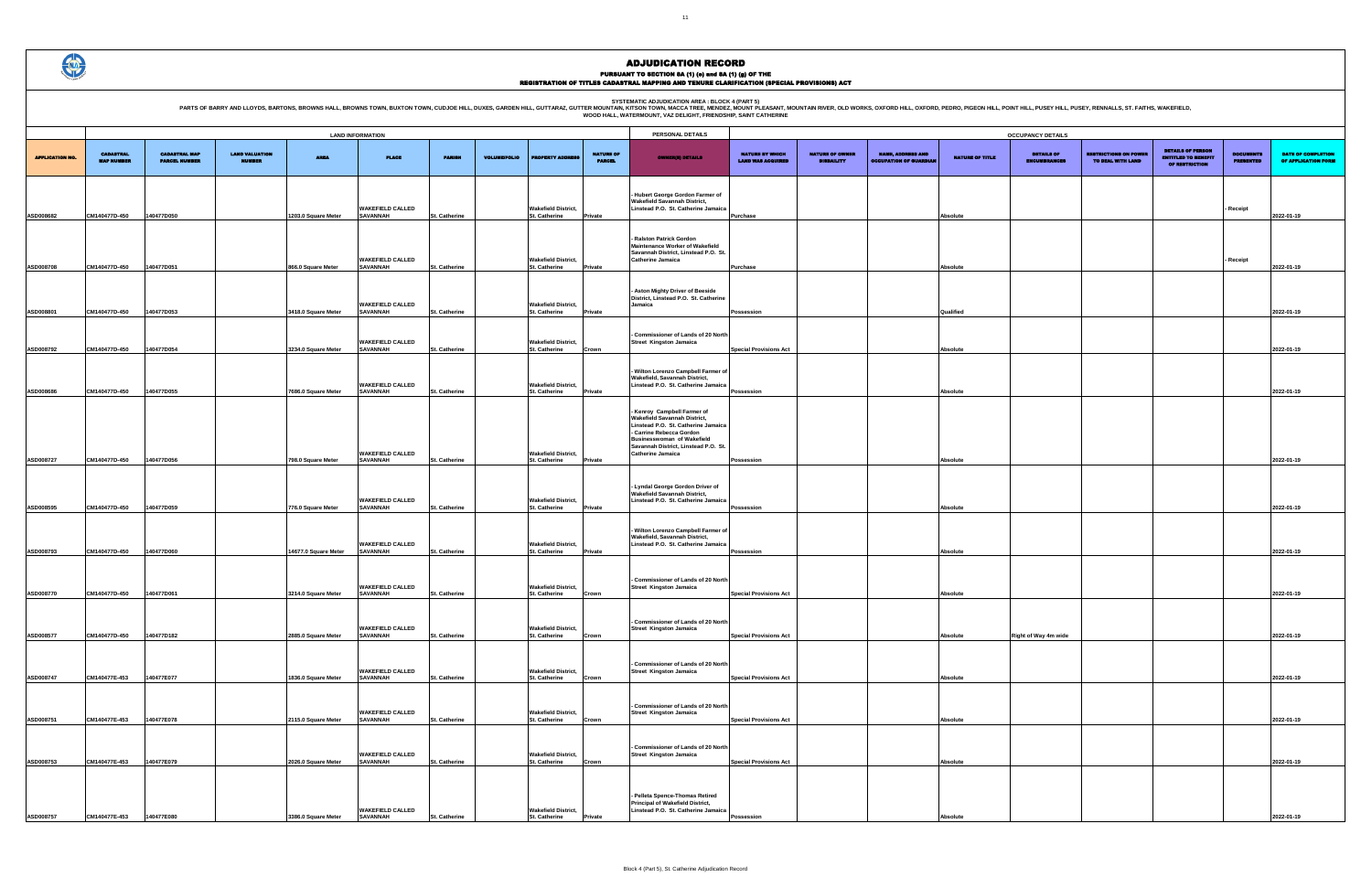PARTS OF BARRY AND LLOYDS, BARTONS, BROWNS HALL, BROWNS TOWN, BUXTON TOWN, CUDJOE HILL, DUXES, GARDEN HILL, GUTTARAZ, GUTTER MOUNTAIN R. WESCA TREE MENDELATION AREA : BLOCK 4 (PART 5)<br>WOOD HALL, WATERMOUNT, VAZ DELIGHT, FR

|                                                    |                                             |                                                           |                        | <b>OCCUPANCY DETAILS</b>                 |                                                   |                                                                          |                                      |                                           |
|----------------------------------------------------|---------------------------------------------|-----------------------------------------------------------|------------------------|------------------------------------------|---------------------------------------------------|--------------------------------------------------------------------------|--------------------------------------|-------------------------------------------|
| <b>NATURE BY WHICH</b><br><b>LAND WAS ACQUIRED</b> | <b>NATURE OF OWNER</b><br><b>DISBAILITY</b> | <b>NAME, ADDRESS AND</b><br><b>OCCUPATION OF GUARDIAN</b> | <b>NATURE OF TITLE</b> | <b>DETAILS OF</b><br><b>ENCUMBRANCES</b> | <b>RESTRICTIONS ON POWER</b><br>TO DEAL WITH LAND | <b>DETAILS OF PERSON</b><br><b>ENTITLED TO BENEFIT</b><br>OF RESTRICTION | <b>DOCUMENTS</b><br><b>PRESENTED</b> | DATE OF COMPLETION<br>OF APPLICATION FORM |
|                                                    |                                             |                                                           |                        |                                          |                                                   |                                                                          |                                      |                                           |
| Purchase                                           |                                             |                                                           | Absolute               |                                          |                                                   |                                                                          | Receipt                              | 2022-01-19                                |
|                                                    |                                             |                                                           |                        |                                          |                                                   |                                                                          |                                      |                                           |
| Purchase                                           |                                             |                                                           | <b>Absolute</b>        |                                          |                                                   |                                                                          | Receipt                              | 2022-01-19                                |
|                                                    |                                             |                                                           |                        |                                          |                                                   |                                                                          |                                      |                                           |
| Possession                                         |                                             |                                                           | Qualified              |                                          |                                                   |                                                                          |                                      | 2022-01-19                                |
|                                                    |                                             |                                                           |                        |                                          |                                                   |                                                                          |                                      |                                           |
| <b>Special Provisions Act</b>                      |                                             |                                                           | <b>Absolute</b>        |                                          |                                                   |                                                                          |                                      | 2022-01-19                                |
|                                                    |                                             |                                                           |                        |                                          |                                                   |                                                                          |                                      |                                           |
| Possession                                         |                                             |                                                           | Absolute               |                                          |                                                   |                                                                          |                                      | 2022-01-19                                |
|                                                    |                                             |                                                           |                        |                                          |                                                   |                                                                          |                                      |                                           |
|                                                    |                                             |                                                           |                        |                                          |                                                   |                                                                          |                                      |                                           |
| Possession                                         |                                             |                                                           | <b>Absolute</b>        |                                          |                                                   |                                                                          |                                      | 2022-01-19                                |
|                                                    |                                             |                                                           |                        |                                          |                                                   |                                                                          |                                      |                                           |
| Possession                                         |                                             |                                                           | <b>Absolute</b>        |                                          |                                                   |                                                                          |                                      | 2022-01-19                                |
|                                                    |                                             |                                                           |                        |                                          |                                                   |                                                                          |                                      |                                           |
| Possession                                         |                                             |                                                           | <b>Absolute</b>        |                                          |                                                   |                                                                          |                                      | 2022-01-19                                |
|                                                    |                                             |                                                           |                        |                                          |                                                   |                                                                          |                                      |                                           |
| <b>Special Provisions Act</b>                      |                                             |                                                           | Absolute               |                                          |                                                   |                                                                          |                                      | 2022-01-19                                |
|                                                    |                                             |                                                           |                        |                                          |                                                   |                                                                          |                                      |                                           |
| <b>Special Provisions Act</b>                      |                                             |                                                           | <b>Absolute</b>        | Right of Way 4m wide                     |                                                   |                                                                          |                                      | 2022-01-19                                |
|                                                    |                                             |                                                           |                        |                                          |                                                   |                                                                          |                                      |                                           |
| <b>Special Provisions Act</b>                      |                                             |                                                           | Absolute               |                                          |                                                   |                                                                          |                                      | 2022-01-19                                |
|                                                    |                                             |                                                           |                        |                                          |                                                   |                                                                          |                                      |                                           |
| <b>Special Provisions Act</b>                      |                                             |                                                           | Absolute               |                                          |                                                   |                                                                          |                                      | 2022-01-19                                |
|                                                    |                                             |                                                           |                        |                                          |                                                   |                                                                          |                                      |                                           |
| <b>Special Provisions Act</b>                      |                                             |                                                           | <b>Absolute</b>        |                                          |                                                   |                                                                          |                                      | 2022-01-19                                |
|                                                    |                                             |                                                           |                        |                                          |                                                   |                                                                          |                                      |                                           |
| Possession                                         |                                             |                                                           | <b>Absolute</b>        |                                          |                                                   |                                                                          |                                      | 2022-01-19                                |

|                        |                                       |                                              |                                        |                                            | <b>LAND INFORMATION</b>                                       |                                |                     |                                                              |                                   | PERSONAL DETAILS                                                                                                                                                                                                                               |                                                    |                                             |                                                           |                        | <b>OCCUPANCY DETAILS</b>                 |
|------------------------|---------------------------------------|----------------------------------------------|----------------------------------------|--------------------------------------------|---------------------------------------------------------------|--------------------------------|---------------------|--------------------------------------------------------------|-----------------------------------|------------------------------------------------------------------------------------------------------------------------------------------------------------------------------------------------------------------------------------------------|----------------------------------------------------|---------------------------------------------|-----------------------------------------------------------|------------------------|------------------------------------------|
|                        |                                       |                                              |                                        |                                            |                                                               |                                |                     |                                                              |                                   |                                                                                                                                                                                                                                                |                                                    |                                             |                                                           |                        |                                          |
| <b>APPLICATION NO.</b> | <b>CADASTRAL</b><br><b>MAP NUMBER</b> | <b>CADASTRAL MAP</b><br><b>PARCEL NUMBER</b> | <b>LAND VALUATION</b><br><b>NUMBER</b> | <b>AREA</b>                                | <b>PLACE</b>                                                  | <b>PARISH</b>                  | <b>VOLUME/FOLIO</b> | <b>PROPERTY ADDRESS</b>                                      | <b>NATURE OF</b><br><b>PARCEL</b> | <b>OWNER(8) DETAILS</b>                                                                                                                                                                                                                        | <b>NATURE BY WHICH</b><br><b>LAND WAS ACQUIRED</b> | <b>NATURE OF OWNER</b><br><b>DISBAILITY</b> | <b>NAME, ADDRESS AND</b><br><b>OCCUPATION OF GUARDIAN</b> | <b>NATURE OF TITLE</b> | <b>DETAILS OF</b><br><b>ENCUMBRANCES</b> |
| ASD008682              | CM140477D-450                         | 140477D050                                   |                                        | 1203.0 Square Meter                        | <b>WAKEFIELD CALLED</b><br><b>SAVANNAH</b>                    | St. Catherine                  |                     | <b>Wakefield District,</b><br>St. Catherine                  | Private                           | Hubert George Gordon Farmer of<br>Wakefield Savannah District,<br>Linstead P.O. St. Catherine Jamaica                                                                                                                                          | Purchase                                           |                                             |                                                           | Absolute               |                                          |
|                        |                                       |                                              |                                        |                                            | <b>WAKEFIELD CALLED</b>                                       |                                |                     | <b>Wakefield District,</b>                                   |                                   | Ralston Patrick Gordon<br>Maintenance Worker of Wakefield<br>Savannah District, Linstead P.O. St.<br><b>Catherine Jamaica</b>                                                                                                                  |                                                    |                                             |                                                           |                        |                                          |
| ASD008708              | CM140477D-450                         | 140477D051                                   |                                        | 866.0 Square Meter                         | <b>SAVANNAH</b><br><b>WAKEFIELD CALLED</b>                    | St. Catherine                  |                     | <b>St. Catherine</b><br><b>Wakefield District,</b>           | Private                           | - Aston Mighty Driver of Beeside<br>District, Linstead P.O. St. Catherine<br>Jamaica                                                                                                                                                           | Purchase                                           |                                             |                                                           | Absolute               |                                          |
| ASD008801              | CM140477D-450                         | 140477D053                                   |                                        | 3418.0 Square Meter                        | <b>SAVANNAH</b><br><b>WAKEFIELD CALLED</b>                    | St. Catherine                  |                     | St. Catherine<br><b>Wakefield District,</b>                  | Private                           | - Commissioner of Lands of 20 North<br><b>Street Kingston Jamaica</b>                                                                                                                                                                          | Possession                                         |                                             |                                                           | Qualified              |                                          |
| ASD008792              | CM140477D-450                         | 140477D054                                   |                                        | 3234.0 Square Meter                        | <b>SAVANNAH</b><br><b>WAKEFIELD CALLED</b>                    | St. Catherine                  |                     | St. Catherine<br><b>Wakefield District,</b>                  | Crown                             | - Wilton Lorenzo Campbell Farmer of<br>Wakefield, Savannah District,<br>Linstead P.O. St. Catherine Jamaica                                                                                                                                    | <b>Special Provisions Act</b>                      |                                             |                                                           | Absolute               |                                          |
| ASD008686              | CM140477D-450                         | 140477D055                                   |                                        | 7686.0 Square Meter                        | <b>SAVANNAH</b><br><b>WAKEFIELD CALLED</b>                    | St. Catherine                  |                     | <b>St. Catherine</b><br><b>Wakefield District,</b>           | Private                           | - Kenroy Campbell Farmer of<br><b>Wakefield Savannah District,</b><br>Linstead P.O. St. Catherine Jamaica<br>- Carrine Rebecca Gordon<br><b>Businesswoman of Wakefield</b><br>Savannah District, Linstead P.O. St.<br><b>Catherine Jamaica</b> | Possession                                         |                                             |                                                           | Absolute               |                                          |
| ASD008727              | CM140477D-450                         | 40477D056                                    |                                        | 798.0 Square Meter                         | <b>SAVANNAH</b><br><b>WAKEFIELD CALLED</b>                    | St. Catherine                  |                     | St. Catherine<br><b>Wakefield District,</b>                  | Private                           | - Lyndal George Gordon Driver of<br><b>Wakefield Savannah District,</b><br>Linstead P.O. St. Catherine Jamaica                                                                                                                                 | Possession                                         |                                             |                                                           | Absolute               |                                          |
| ASD008595<br>ASD008793 | CM140477D-450<br>CM140477D-450        | 140477D059<br>140477D060                     |                                        | 776.0 Square Meter<br>14677.0 Square Meter | <b>SAVANNAH</b><br><b>WAKEFIELD CALLED</b><br><b>SAVANNAH</b> | St. Catherine<br>St. Catherine |                     | St. Catherine<br><b>Wakefield District,</b><br>St. Catherine | Private<br>Private                | - Wilton Lorenzo Campbell Farmer of<br>Wakefield, Savannah District,<br>Linstead P.O. St. Catherine Jamaica                                                                                                                                    | Possession<br>Possession                           |                                             |                                                           | Absolute<br>Absolute   |                                          |
| ASD008770              | CM140477D-450                         | 140477D061                                   |                                        | 3214.0 Square Meter                        | <b>WAKEFIELD CALLED</b><br><b>SAVANNAH</b>                    | St. Catherine                  |                     | <b>Wakefield District,</b><br>St. Catherine                  | Crown                             | - Commissioner of Lands of 20 North<br><b>Street Kingston Jamaica</b>                                                                                                                                                                          | <b>Special Provisions Act</b>                      |                                             |                                                           | Absolute               |                                          |
| ASD008577              | CM140477D-450                         | 40477D182                                    |                                        | 2885.0 Square Meter                        | <b>WAKEFIELD CALLED</b><br><b>SAVANNAH</b>                    | St. Catherine                  |                     | <b>Wakefield District,</b><br>St. Catherine                  | Crown                             | - Commissioner of Lands of 20 North<br><b>Street Kingston Jamaica</b>                                                                                                                                                                          | <b>Special Provisions Act</b>                      |                                             |                                                           | Absolute               | Right of Way 4m wide                     |
| ASD008747              | CM140477E-453                         | 140477E077                                   |                                        | 1836.0 Square Meter                        | <b>WAKEFIELD CALLED</b><br><b>SAVANNAH</b>                    | St. Catherine                  |                     | <b>Wakefield District,</b><br>St. Catherine                  | Crown                             | - Commissioner of Lands of 20 North<br><b>Street Kingston Jamaica</b>                                                                                                                                                                          | <b>Special Provisions Act</b>                      |                                             |                                                           | Absolute               |                                          |
| ASD008751              | CM140477E-453                         | 140477E078                                   |                                        | 2115.0 Square Meter                        | <b>WAKEFIELD CALLED</b><br><b>SAVANNAH</b>                    | St. Catherine                  |                     | <b>Wakefield District.</b><br>St. Catherine                  | Crown                             | - Commissioner of Lands of 20 North<br><b>Street Kingston Jamaica</b>                                                                                                                                                                          | <b>Special Provisions Act</b>                      |                                             |                                                           | Absolute               |                                          |
| ASD008753              | CM140477E-453                         | 140477E079                                   |                                        | 2026.0 Square Meter                        | <b>WAKEFIELD CALLED</b><br><b>SAVANNAH</b>                    | St. Catherine                  |                     | <b>Wakefield District,</b><br><b>St. Catherine</b>           | Crown                             | - Commissioner of Lands of 20 North<br><b>Street Kingston Jamaica</b>                                                                                                                                                                          | <b>Special Provisions Act</b>                      |                                             |                                                           | Absolute               |                                          |
| ASD008757              | CM140477E-453                         | 140477E080                                   |                                        | 3386.0 Square Meter                        | <b>WAKEFIELD CALLED</b><br><b>SAVANNAH</b>                    | St. Catherine                  |                     | <b>Wakefield District,</b><br>St. Catherine                  | Private                           | Pelleta Spence-Thomas Retired<br><b>Principal of Wakefield District,</b><br>Linstead P.O. St. Catherine Jamaica                                                                                                                                | Possession                                         |                                             |                                                           | Absolute               |                                          |



### ADJUDICATION RECORD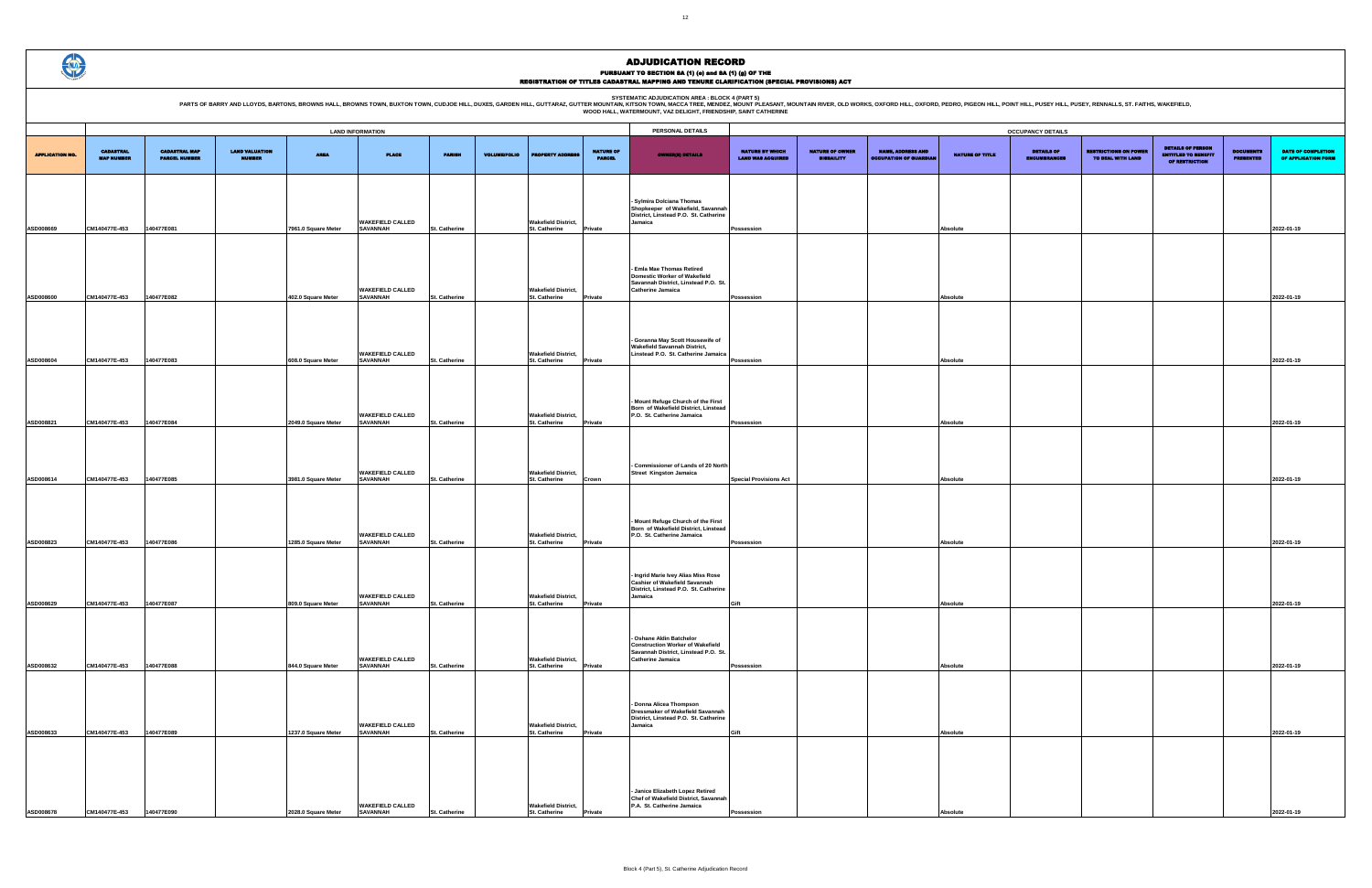PARTS OF BARRY AND LLOYDS, BARTONS, BROWNS HALL, BROWNS TOWN, BUXTON TOWN, CUDJOE HILL, DUXES, GARDEN HILL, GUTTARAZ, GUTTER MOUNTAIN, KITSON AREA : BLOCK 4 (PART 5)<br>WOOD HALL, WATERMOUNT, VAZ DELIGHT, FRIENDSHIP, SANT CAT

|                                             | <b>OCCUPANCY DETAILS</b>                    |                                                           |                        |                                          |                                                   |                                                                          |                                      |                                                  |  |  |  |  |  |  |
|---------------------------------------------|---------------------------------------------|-----------------------------------------------------------|------------------------|------------------------------------------|---------------------------------------------------|--------------------------------------------------------------------------|--------------------------------------|--------------------------------------------------|--|--|--|--|--|--|
| NATURE BY WHICH<br><b>LAND WAS ACQUIRED</b> | <b>NATURE OF OWNER</b><br><b>DISBAILITY</b> | <b>NAME, ADDRESS AND</b><br><b>OCCUPATION OF GUARDIAN</b> | <b>NATURE OF TITLE</b> | <b>DETAILS OF</b><br><b>ENCUMBRANCES</b> | <b>RESTRICTIONS ON POWER</b><br>TO DEAL WITH LAND | <b>DETAILS OF PERSON</b><br><b>ENTITLED TO BENEFIT</b><br>OF RESTRICTION | <b>DOCUMENTS</b><br><b>PRESENTED</b> | <b>DATE OF COMPLETION</b><br>OF APPLICATION FORM |  |  |  |  |  |  |
|                                             |                                             |                                                           |                        |                                          |                                                   |                                                                          |                                      |                                                  |  |  |  |  |  |  |
|                                             |                                             |                                                           |                        |                                          |                                                   |                                                                          |                                      |                                                  |  |  |  |  |  |  |
| Possession                                  |                                             |                                                           | Absolute               |                                          |                                                   |                                                                          |                                      | 2022-01-19                                       |  |  |  |  |  |  |
|                                             |                                             |                                                           |                        |                                          |                                                   |                                                                          |                                      |                                                  |  |  |  |  |  |  |
|                                             |                                             |                                                           |                        |                                          |                                                   |                                                                          |                                      |                                                  |  |  |  |  |  |  |
| Possession                                  |                                             |                                                           | Absolute               |                                          |                                                   |                                                                          |                                      | 2022-01-19                                       |  |  |  |  |  |  |
|                                             |                                             |                                                           |                        |                                          |                                                   |                                                                          |                                      |                                                  |  |  |  |  |  |  |
|                                             |                                             |                                                           |                        |                                          |                                                   |                                                                          |                                      |                                                  |  |  |  |  |  |  |
|                                             |                                             |                                                           |                        |                                          |                                                   |                                                                          |                                      |                                                  |  |  |  |  |  |  |
| Possession                                  |                                             |                                                           | Absolute               |                                          |                                                   |                                                                          |                                      | 2022-01-19                                       |  |  |  |  |  |  |
|                                             |                                             |                                                           |                        |                                          |                                                   |                                                                          |                                      |                                                  |  |  |  |  |  |  |
|                                             |                                             |                                                           |                        |                                          |                                                   |                                                                          |                                      |                                                  |  |  |  |  |  |  |
| Possession                                  |                                             |                                                           | Absolute               |                                          |                                                   |                                                                          |                                      | 2022-01-19                                       |  |  |  |  |  |  |
|                                             |                                             |                                                           |                        |                                          |                                                   |                                                                          |                                      |                                                  |  |  |  |  |  |  |
|                                             |                                             |                                                           |                        |                                          |                                                   |                                                                          |                                      |                                                  |  |  |  |  |  |  |
| <b>Special Provisions Act</b>               |                                             |                                                           | Absolute               |                                          |                                                   |                                                                          |                                      | 2022-01-19                                       |  |  |  |  |  |  |
|                                             |                                             |                                                           |                        |                                          |                                                   |                                                                          |                                      |                                                  |  |  |  |  |  |  |
|                                             |                                             |                                                           |                        |                                          |                                                   |                                                                          |                                      |                                                  |  |  |  |  |  |  |
| Possession                                  |                                             |                                                           | Absolute               |                                          |                                                   |                                                                          |                                      | 2022-01-19                                       |  |  |  |  |  |  |
|                                             |                                             |                                                           |                        |                                          |                                                   |                                                                          |                                      |                                                  |  |  |  |  |  |  |
|                                             |                                             |                                                           |                        |                                          |                                                   |                                                                          |                                      |                                                  |  |  |  |  |  |  |
| Gift                                        |                                             |                                                           | Absolute               |                                          |                                                   |                                                                          |                                      | 2022-01-19                                       |  |  |  |  |  |  |
|                                             |                                             |                                                           |                        |                                          |                                                   |                                                                          |                                      |                                                  |  |  |  |  |  |  |
|                                             |                                             |                                                           |                        |                                          |                                                   |                                                                          |                                      |                                                  |  |  |  |  |  |  |
| Possession                                  |                                             |                                                           | Absolute               |                                          |                                                   |                                                                          |                                      | 2022-01-19                                       |  |  |  |  |  |  |
|                                             |                                             |                                                           |                        |                                          |                                                   |                                                                          |                                      |                                                  |  |  |  |  |  |  |
|                                             |                                             |                                                           |                        |                                          |                                                   |                                                                          |                                      |                                                  |  |  |  |  |  |  |
|                                             |                                             |                                                           |                        |                                          |                                                   |                                                                          |                                      |                                                  |  |  |  |  |  |  |
| Gift                                        |                                             |                                                           | Absolute               |                                          |                                                   |                                                                          |                                      | 2022-01-19                                       |  |  |  |  |  |  |
|                                             |                                             |                                                           |                        |                                          |                                                   |                                                                          |                                      |                                                  |  |  |  |  |  |  |
|                                             |                                             |                                                           |                        |                                          |                                                   |                                                                          |                                      |                                                  |  |  |  |  |  |  |
|                                             |                                             |                                                           |                        |                                          |                                                   |                                                                          |                                      |                                                  |  |  |  |  |  |  |
| Possession                                  |                                             |                                                           | <b>Absolute</b>        |                                          |                                                   |                                                                          |                                      | 2022-01-19                                       |  |  |  |  |  |  |

|                        |                                       |                                              |                                        |                     | <b>LAND INFORMATION</b>                    |                      | PERSONAL DETAILS    |                                                    |                                   |                                                                                                                                         |                                                    | <b>OCCUPANCY DETAILS</b>                    |                                                           |                        |                                          |
|------------------------|---------------------------------------|----------------------------------------------|----------------------------------------|---------------------|--------------------------------------------|----------------------|---------------------|----------------------------------------------------|-----------------------------------|-----------------------------------------------------------------------------------------------------------------------------------------|----------------------------------------------------|---------------------------------------------|-----------------------------------------------------------|------------------------|------------------------------------------|
| <b>APPLICATION NO.</b> | <b>CADASTRAL</b><br><b>MAP NUMBER</b> | <b>CADASTRAL MAP</b><br><b>PARCEL NUMBER</b> | <b>LAND VALUATION</b><br><b>NUMBER</b> | <b>AREA</b>         | <b>PLACE</b>                               | <b>PARISH</b>        | <b>VOLUME/FOLIO</b> | <b>PROPERTY ADDRESS</b>                            | <b>NATURE OF</b><br><b>PARCEL</b> | <b>OWNER(8) DETAILS</b>                                                                                                                 | <b>NATURE BY WHICH</b><br><b>LAND WAS ACQUIRED</b> | <b>NATURE OF OWNER</b><br><b>DISBAILITY</b> | <b>NAME, ADDRESS AND</b><br><b>OCCUPATION OF GUARDIAN</b> | <b>NATURE OF TITLE</b> | <b>DETAILS OF</b><br><b>ENCUMBRANCES</b> |
| ASD008669              | CM140477E-453                         | 140477E081                                   |                                        | 7961.0 Square Meter | <b>WAKEFIELD CALLED</b><br><b>SAVANNAH</b> | <b>St. Catherine</b> |                     | <b>Wakefield District,</b><br>St. Catherine        | Private                           | - Sylmira Dolciana Thomas<br>Shopkeeper of Wakefield, Savannah<br>District, Linstead P.O. St. Catherine<br>Jamaica                      | Possession                                         |                                             |                                                           | Absolute               |                                          |
| ASD008600              | CM140477E-453                         | 140477E082                                   |                                        | 402.0 Square Meter  | <b>WAKEFIELD CALLED</b><br><b>SAVANNAH</b> | St. Catherine        |                     | <b>Wakefield District,</b><br>St. Catherine        | Private                           | Emla Mae Thomas Retired<br><b>Domestic Worker of Wakefield</b><br>Savannah District, Linstead P.O. St.<br><b>Catherine Jamaica</b>      | Possession                                         |                                             |                                                           | Absolute               |                                          |
| ASD008604              | CM140477E-453                         | 140477E083                                   |                                        | 608.0 Square Meter  | <b>WAKEFIELD CALLED</b><br><b>SAVANNAH</b> | St. Catherine        |                     | <b>Wakefield District,</b><br>St. Catherine        | Private                           | Goranna May Scott Housewife of<br><b>Wakefield Savannah District,</b><br>Linstead P.O. St. Catherine Jamaica                            | Possession                                         |                                             |                                                           | Absolute               |                                          |
| ASD008821              | CM140477E-453                         | 140477E084                                   |                                        | 2049.0 Square Meter | <b>WAKEFIELD CALLED</b><br><b>SAVANNAH</b> | St. Catherine        |                     | <b>Wakefield District,</b><br>St. Catherine        | Private                           | Mount Refuge Church of the First<br>Born of Wakefield District, Linstead<br>P.O. St. Catherine Jamaica                                  | Possession                                         |                                             |                                                           | Absolute               |                                          |
| ASD008614              | CM140477E-453                         | 140477E085                                   |                                        | 3981.0 Square Meter | <b>WAKEFIELD CALLED</b><br><b>SAVANNAH</b> | <b>St. Catherine</b> |                     | <b>Wakefield District,</b><br><b>St. Catherine</b> | Crown                             | <b>Commissioner of Lands of 20 North</b><br><b>Street Kingston Jamaica</b>                                                              | <b>Special Provisions Act</b>                      |                                             |                                                           | Absolute               |                                          |
| ASD008823              | CM140477E-453                         | 140477E086                                   |                                        | 1285.0 Square Meter | <b>WAKEFIELD CALLED</b><br><b>SAVANNAH</b> | St. Catherine        |                     | <b>Wakefield District,</b><br>St. Catherine        | Private                           | Mount Refuge Church of the First<br>Born of Wakefield District, Linstead<br>P.O. St. Catherine Jamaica                                  | Possession                                         |                                             |                                                           | Absolute               |                                          |
| ASD008629              | CM140477E-453                         | 140477E087                                   |                                        | 809.0 Square Meter  | <b>WAKEFIELD CALLED</b><br><b>SAVANNAH</b> | St. Catherine        |                     | <b>Wakefield District,</b><br>St. Catherine        | Private                           | Ingrid Marie Ivey Alias Miss Rose<br><b>Cashier of Wakefield Savannah</b><br>District, Linstead P.O. St. Catherine<br>Jamaica           | Gift                                               |                                             |                                                           | Absolute               |                                          |
| ASD008632              | CM140477E-453                         | 140477E088                                   |                                        | 844.0 Square Meter  | <b>WAKEFIELD CALLED</b><br><b>SAVANNAH</b> | <b>St. Catherine</b> |                     | <b>Wakefield District,</b><br>St. Catherine        | Private                           | - Oshane Aldin Batchelor<br><b>Construction Worker of Wakefield</b><br>Savannah District, Linstead P.O. St.<br><b>Catherine Jamaica</b> | Possession                                         |                                             |                                                           | Absolute               |                                          |
| ASD008633              | CM140477E-453                         | 140477E089                                   |                                        | 1237.0 Square Meter | <b>WAKEFIELD CALLED</b><br><b>SAVANNAH</b> | St. Catherine        |                     | <b>Wakefield District,</b><br>St. Catherine        | Private                           | Donna Alicea Thompson<br>Dressmaker of Wakefield Savannah<br>District, Linstead P.O. St. Catherine<br>Jamaica                           | Gift                                               |                                             |                                                           | Absolute               |                                          |
| ASD008678              | CM140477E-453                         | 140477E090                                   |                                        | 2028.0 Square Meter | <b>WAKEFIELD CALLED</b><br><b>SAVANNAH</b> | St. Catherine        |                     | <b>Wakefield District,</b><br>St. Catherine        | Private                           | - Janice Elizabeth Lopez Retired<br>Chef of Wakefield District, Savannah<br>P.A. St. Catherine Jamaica                                  | Possession                                         |                                             |                                                           | Absolute               |                                          |

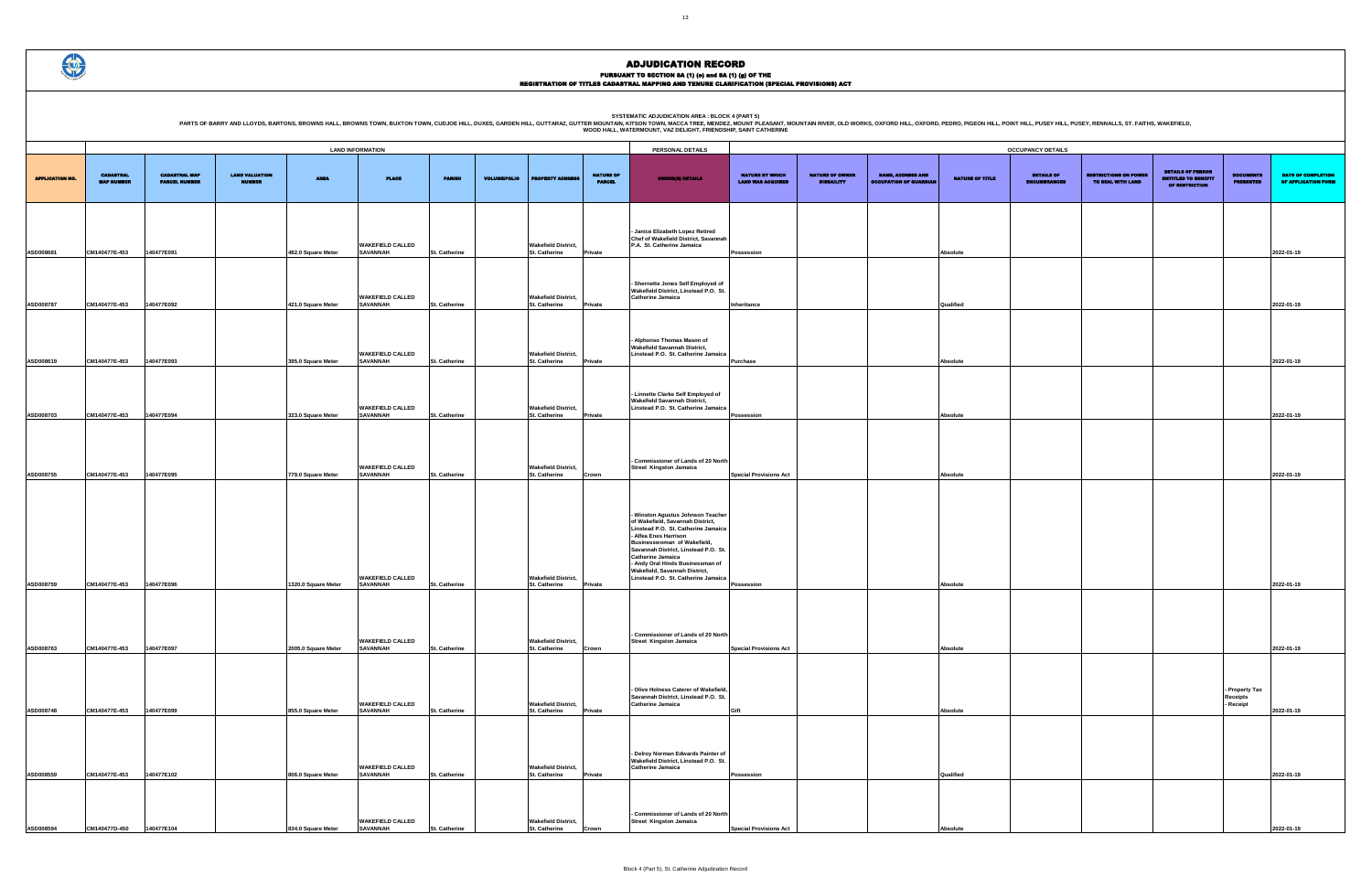PURSUANT TO SECTION 8A (1) (0) and 8A (1) (g) OF THE<br>REGISTRATION OF TITLES CADASTRAL MAPPING AND TENURE CLARIFICATION (SPECIAL PROVISIONS) ACT

|                        |                                       |                                              |                                 |                         |                                            |                      |                     |                                                    |                                   |                                                                                                                                                                                                                                                                                                                                                      | <b>OCCUPANCY DETAILS</b>                           |                                             |                                                           |                        |                                          |                                                   |                                                                                 |                                         |                                 |  |
|------------------------|---------------------------------------|----------------------------------------------|---------------------------------|-------------------------|--------------------------------------------|----------------------|---------------------|----------------------------------------------------|-----------------------------------|------------------------------------------------------------------------------------------------------------------------------------------------------------------------------------------------------------------------------------------------------------------------------------------------------------------------------------------------------|----------------------------------------------------|---------------------------------------------|-----------------------------------------------------------|------------------------|------------------------------------------|---------------------------------------------------|---------------------------------------------------------------------------------|-----------------------------------------|---------------------------------|--|
|                        |                                       |                                              |                                 | <b>LAND INFORMATION</b> |                                            |                      |                     |                                                    |                                   | PERSONAL DETAILS                                                                                                                                                                                                                                                                                                                                     |                                                    |                                             |                                                           |                        |                                          |                                                   |                                                                                 |                                         |                                 |  |
| <b>APPLICATION NO.</b> | <b>CADASTRAL</b><br><b>MAP NUMBER</b> | <b>CADASTRAL MAP</b><br><b>PARCEL NUMBER</b> | <b>LAND VALUATION</b><br>NUMBER | <b>AREA</b>             | <b>PLACE</b>                               | <b>PARISH</b>        | <b>VOLUME/FOLIO</b> | <b>PROPERTY ADDRES</b>                             | <b>NATURE OF</b><br><b>PARCEL</b> | <b>OWNER(8) DETAILS</b>                                                                                                                                                                                                                                                                                                                              | <b>NATURE BY WHICH</b><br><b>LAND WAS ACQUIRED</b> | <b>NATURE OF OWNER</b><br><b>DISBAILITY</b> | <b>NAME, ADDRESS AND</b><br><b>OCCUPATION OF GUARDIAN</b> | <b>NATURE OF TITLE</b> | <b>DETAILS OF</b><br><b>ENCUMBRANCES</b> | <b>RESTRICTIONS ON POWER</b><br>TO DEAL WITH LAND | <b>DETAILS OF PERSON</b><br><b>ENTITLED TO BENEFIT</b><br><b>OF RESTRICTION</b> | <b>DOCUMENTS</b><br><b>PRESENTED</b>    | <b>DATE O</b><br><b>OF APPI</b> |  |
| ASD008681              | CM140477E-453                         | 140477E091                                   |                                 | 482.0 Square Meter      | <b>WAKEFIELD CALLED</b><br><b>SAVANNAH</b> | St. Catherine        |                     | <b>Wakefield District,</b><br>St. Catherine        | Private                           | - Janice Elizabeth Lopez Retired<br>Chef of Wakefield District, Savannah<br>P.A. St. Catherine Jamaica                                                                                                                                                                                                                                               | Possession                                         |                                             |                                                           | Absolute               |                                          |                                                   |                                                                                 |                                         | 2022-01-19                      |  |
| ASD008787              | CM140477E-453                         | 140477E092                                   |                                 | 421.0 Square Meter      | <b>WAKEFIELD CALLED</b><br><b>SAVANNAH</b> | St. Catherine        |                     | <b>Wakefield District,</b><br>St. Catherine        | Private                           | Shernette Jones Self Employed of<br>Wakefield District, Linstead P.O. St<br><b>Catherine Jamaica</b>                                                                                                                                                                                                                                                 | Inheritance                                        |                                             |                                                           | Qualified              |                                          |                                                   |                                                                                 |                                         | 2022-01-19                      |  |
| ASD008619              | CM140477E-453                         | 140477E093                                   |                                 | 395.0 Square Meter      | <b>WAKEFIELD CALLED</b><br><b>SAVANNAH</b> | <b>St. Catherine</b> |                     | <b>Wakefield District,</b><br>St. Catherine        | Private                           | Alphonso Thomas Mason of<br><b>Wakefield Savannah District,</b><br>Linstead P.O. St. Catherine Jamaica                                                                                                                                                                                                                                               | Purchase                                           |                                             |                                                           | Absolute               |                                          |                                                   |                                                                                 |                                         | 2022-01-19                      |  |
| ASD008703              | CM140477E-453                         | 140477E094                                   |                                 | 323.0 Square Meter      | <b>WAKEFIELD CALLED</b><br><b>SAVANNAH</b> | <b>St. Catherine</b> |                     | <b>Wakefield District,</b><br>St. Catherine        | <b>Private</b>                    | - Linnette Clarke Self Employed of<br><b>Wakefield Savannah District,</b><br>Linstead P.O. St. Catherine Jamaica                                                                                                                                                                                                                                     | Possession                                         |                                             |                                                           | Absolute               |                                          |                                                   |                                                                                 |                                         | 2022-01-19                      |  |
| ASD008755              | CM140477E-453                         | 140477E095                                   |                                 | 779.0 Square Meter      | <b>WAKEFIELD CALLED</b><br><b>SAVANNAH</b> | St. Catherine        |                     | <b>Wakefield District,</b><br>St. Catherine        | Crown                             | - Commissioner of Lands of 20 North<br><b>Street Kingston Jamaica</b>                                                                                                                                                                                                                                                                                | <b>Special Provisions Act</b>                      |                                             |                                                           | Absolute               |                                          |                                                   |                                                                                 |                                         | 2022-01-19                      |  |
| ASD008759              | CM140477E-453                         | 140477E096                                   |                                 | 1320.0 Square Meter     | <b>WAKEFIELD CALLED</b><br><b>SAVANNAH</b> | <b>St. Catherine</b> |                     | <b>Wakefield District,</b><br><b>St. Catherine</b> | <b>Private</b>                    | - Winston Agustus Johnson Teacher<br>of Wakefield, Savannah District,<br>Linstead P.O. St. Catherine Jamaica<br>- Alfea Enes Harrison<br>Businesswoman of Wakefield,<br>Savannah District, Linstead P.O. St.<br><b>Catherine Jamaica</b><br>- Andy Oral Hinds Businessman of<br>Wakefield, Savannah District,<br>Linstead P.O. St. Catherine Jamaica | Possession                                         |                                             |                                                           | Absolute               |                                          |                                                   |                                                                                 |                                         | 2022-01-19                      |  |
| ASD008763              | CM140477E-453                         | 140477E097                                   |                                 | 2005.0 Square Meter     | <b>WAKEFIELD CALLED</b><br><b>SAVANNAH</b> | St. Catherine        |                     | <b>Wakefield District,</b><br>St. Catherine        | Crown                             | - Commissioner of Lands of 20 North<br>Street Kingston Jamaica                                                                                                                                                                                                                                                                                       | <b>Special Provisions Act</b>                      |                                             |                                                           | Absolute               |                                          |                                                   |                                                                                 |                                         | 2022-01-19                      |  |
| ASD008748              | CM140477E-453                         | 140477E099                                   |                                 | 855.0 Square Meter      | <b>WAKEFIELD CALLED</b><br><b>SAVANNAH</b> | St. Catherine        |                     | <b>Wakefield District,</b><br>St. Catherine        | Private                           | - Olive Holness Caterer of Wakefield,<br>Savannah District, Linstead P.O. St.<br><b>Catherine Jamaica</b>                                                                                                                                                                                                                                            | Gift                                               |                                             |                                                           | Absolute               |                                          |                                                   |                                                                                 | - Property Tax<br>Receipts<br>- Receipt | 2022-01-19                      |  |
| ASD008559              | CM140477E-453                         | 140477E102                                   |                                 | 806.0 Square Meter      | <b>WAKEFIELD CALLED</b><br><b>SAVANNAH</b> | St. Catherine        |                     | <b>Wakefield District,</b><br>St. Catherine        | Private                           | - Delroy Norman Edwards Painter of<br>Wakefield District, Linstead P.O. St.<br><b>Catherine Jamaica</b>                                                                                                                                                                                                                                              | Possession                                         |                                             |                                                           | Qualified              |                                          |                                                   |                                                                                 |                                         | 2022-01-19                      |  |
| ASD008594              | CM140477D-450                         | 140477E104                                   |                                 | 834.0 Square Meter      | <b>WAKEFIELD CALLED</b><br><b>SAVANNAH</b> | St. Catherine        |                     | <b>Wakefield District,</b><br>St. Catherine        | Crown                             | Commissioner of Lands of 20 North<br>Street Kingston Jamaica                                                                                                                                                                                                                                                                                         | <b>Special Provisions Act</b>                      |                                             |                                                           | Absolute               |                                          |                                                   |                                                                                 |                                         | 2022-01-19                      |  |

 $\bigoplus$ 

PARTS OF BARRY AND LLOYDS, BARTONS, BROWNS HALL, BROWNS TOWN, BUXTON TOWN, CUDJOE HILL, DUXES, GARDEN HILL, GUTTARAZ, GUTTER MOUNTAIN R. WESCA TREE MENDELATION AREA : BLOCK 4 (PART 5)<br>WOOD HALL, WATERMOUNT, VAZ DELIGHT, FR

|                                                    |                                             |                                                           |                 | <b>OCCUPANCY DETAILS</b>                 |                                                   |                                                                          |                                         |                                           |  |  |  |  |  |  |  |  |
|----------------------------------------------------|---------------------------------------------|-----------------------------------------------------------|-----------------|------------------------------------------|---------------------------------------------------|--------------------------------------------------------------------------|-----------------------------------------|-------------------------------------------|--|--|--|--|--|--|--|--|
| <b>NATURE BY WHICH</b><br><b>LAND WAS ACQUIRED</b> | <b>NATURE OF OWNER</b><br><b>DISBAILITY</b> | <b>NAME, ADDRESS AND</b><br><b>OCCUPATION OF GUARDIAN</b> | NATURE OF TITLE | <b>DETAILS OF</b><br><b>ENCUMBRANCES</b> | <b>RESTRICTIONS ON POWER</b><br>TO DEAL WITH LAND | <b>DETAILS OF PERSON</b><br><b>ENTITLED TO BENEFIT</b><br>OF RESTRICTION | <b>DOCUMENTS</b><br><b>PRESENTED</b>    | DATE OF COMPLETION<br>OF APPLICATION FORM |  |  |  |  |  |  |  |  |
|                                                    |                                             |                                                           |                 |                                          |                                                   |                                                                          |                                         |                                           |  |  |  |  |  |  |  |  |
| Possession                                         |                                             |                                                           | <b>Absolute</b> |                                          |                                                   |                                                                          |                                         | 2022-01-19                                |  |  |  |  |  |  |  |  |
|                                                    |                                             |                                                           |                 |                                          |                                                   |                                                                          |                                         |                                           |  |  |  |  |  |  |  |  |
| Inheritance                                        |                                             |                                                           | Qualified       |                                          |                                                   |                                                                          |                                         | 2022-01-19                                |  |  |  |  |  |  |  |  |
|                                                    |                                             |                                                           |                 |                                          |                                                   |                                                                          |                                         |                                           |  |  |  |  |  |  |  |  |
| Purchase                                           |                                             |                                                           | Absolute        |                                          |                                                   |                                                                          |                                         | 2022-01-19                                |  |  |  |  |  |  |  |  |
|                                                    |                                             |                                                           |                 |                                          |                                                   |                                                                          |                                         |                                           |  |  |  |  |  |  |  |  |
| Possession                                         |                                             |                                                           | Absolute        |                                          |                                                   |                                                                          |                                         | 2022-01-19                                |  |  |  |  |  |  |  |  |
|                                                    |                                             |                                                           |                 |                                          |                                                   |                                                                          |                                         |                                           |  |  |  |  |  |  |  |  |
| <b>Special Provisions Act</b>                      |                                             |                                                           | <b>Absolute</b> |                                          |                                                   |                                                                          |                                         | 2022-01-19                                |  |  |  |  |  |  |  |  |
|                                                    |                                             |                                                           |                 |                                          |                                                   |                                                                          |                                         |                                           |  |  |  |  |  |  |  |  |
| Possession                                         |                                             |                                                           | Absolute        |                                          |                                                   |                                                                          |                                         | 2022-01-19                                |  |  |  |  |  |  |  |  |
|                                                    |                                             |                                                           |                 |                                          |                                                   |                                                                          |                                         |                                           |  |  |  |  |  |  |  |  |
| <b>Special Provisions Act</b>                      |                                             |                                                           | Absolute        |                                          |                                                   |                                                                          |                                         | 2022-01-19                                |  |  |  |  |  |  |  |  |
| Gift                                               |                                             |                                                           | Absolute        |                                          |                                                   |                                                                          | - Property Tax<br>Receipts<br>- Receipt | 2022-01-19                                |  |  |  |  |  |  |  |  |
|                                                    |                                             |                                                           |                 |                                          |                                                   |                                                                          |                                         |                                           |  |  |  |  |  |  |  |  |
| Possession                                         |                                             |                                                           | Qualified       |                                          |                                                   |                                                                          |                                         | 2022-01-19                                |  |  |  |  |  |  |  |  |
| <b>Special Provisions Act</b>                      |                                             |                                                           | <b>Absolute</b> |                                          |                                                   |                                                                          |                                         | 2022-01-19                                |  |  |  |  |  |  |  |  |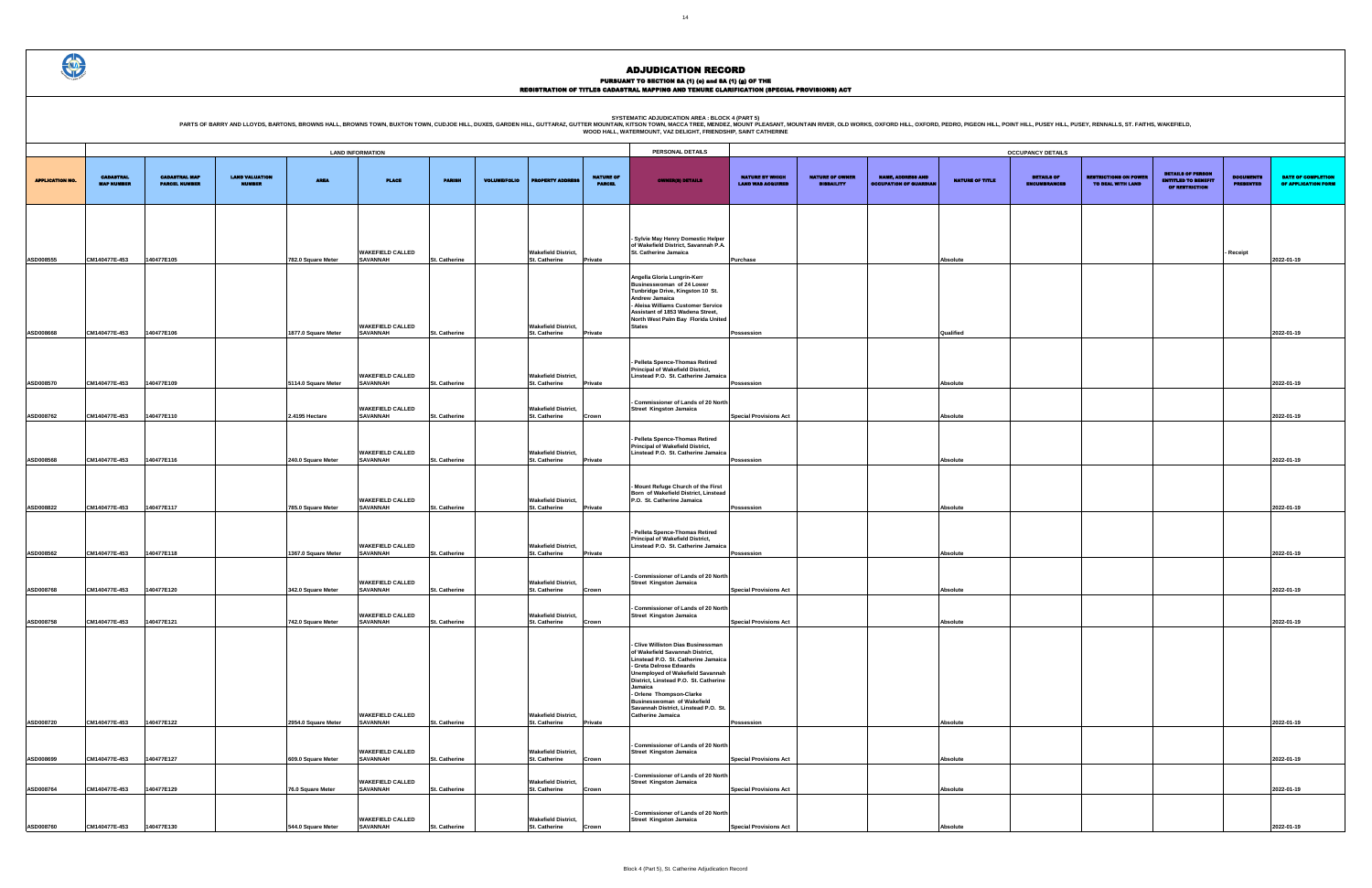PURSUANT TO SECTION 8A (1) (0) and 8A (1) (g) OF THE<br>REGISTRATION OF TITLES CADASTRAL MAPPING AND TENURE CLARIFICATION (SPECIAL PROVISIONS) ACT

|                                             |                                             |                                                           |                        | <b>OCCUPANCY DETAILS</b>                 |                                                   |                                                                          |                                      |                                           |
|---------------------------------------------|---------------------------------------------|-----------------------------------------------------------|------------------------|------------------------------------------|---------------------------------------------------|--------------------------------------------------------------------------|--------------------------------------|-------------------------------------------|
| NATURE BY WHICH<br><b>LAND WAS ACQUIRED</b> | <b>NATURE OF OWNER</b><br><b>DISBAILITY</b> | <b>NAME, ADDRESS AND</b><br><b>OCCUPATION OF GUARDIAN</b> | <b>NATURE OF TITLE</b> | <b>DETAILS OF</b><br><b>ENCUMBRANCES</b> | <b>RESTRICTIONS ON POWER</b><br>TO DEAL WITH LAND | <b>DETAILS OF PERSON</b><br><b>ENTITLED TO BENEFIT</b><br>OF RESTRICTION | <b>DOCUMENTS</b><br><b>PRESENTED</b> | DATE OF COMPLETION<br>OF APPLICATION FORM |
|                                             |                                             |                                                           |                        |                                          |                                                   |                                                                          |                                      |                                           |
|                                             |                                             |                                                           |                        |                                          |                                                   |                                                                          | - Receipt                            |                                           |
| Purchase                                    |                                             |                                                           | <b>Absolute</b>        |                                          |                                                   |                                                                          |                                      | 2022-01-19                                |
|                                             |                                             |                                                           |                        |                                          |                                                   |                                                                          |                                      |                                           |
|                                             |                                             |                                                           |                        |                                          |                                                   |                                                                          |                                      |                                           |
| Possession                                  |                                             |                                                           | Qualified              |                                          |                                                   |                                                                          |                                      | 2022-01-19                                |
|                                             |                                             |                                                           |                        |                                          |                                                   |                                                                          |                                      |                                           |
|                                             |                                             |                                                           |                        |                                          |                                                   |                                                                          |                                      |                                           |
| Possession                                  |                                             |                                                           | <b>Absolute</b>        |                                          |                                                   |                                                                          |                                      | 2022-01-19                                |
|                                             |                                             |                                                           |                        |                                          |                                                   |                                                                          |                                      |                                           |
| <b>Special Provisions Act</b>               |                                             |                                                           | <b>Absolute</b>        |                                          |                                                   |                                                                          |                                      | 2022-01-19                                |
|                                             |                                             |                                                           |                        |                                          |                                                   |                                                                          |                                      |                                           |
| Possession                                  |                                             |                                                           | Absolute               |                                          |                                                   |                                                                          |                                      | 2022-01-19                                |
|                                             |                                             |                                                           |                        |                                          |                                                   |                                                                          |                                      |                                           |
|                                             |                                             |                                                           |                        |                                          |                                                   |                                                                          |                                      |                                           |
| Possession                                  |                                             |                                                           | <b>Absolute</b>        |                                          |                                                   |                                                                          |                                      | 2022-01-19                                |
|                                             |                                             |                                                           |                        |                                          |                                                   |                                                                          |                                      |                                           |
| Possession                                  |                                             |                                                           | <b>Absolute</b>        |                                          |                                                   |                                                                          |                                      | 2022-01-19                                |
|                                             |                                             |                                                           |                        |                                          |                                                   |                                                                          |                                      |                                           |
| <b>Special Provisions Act</b>               |                                             |                                                           | <b>Absolute</b>        |                                          |                                                   |                                                                          |                                      | 2022-01-19                                |
|                                             |                                             |                                                           |                        |                                          |                                                   |                                                                          |                                      |                                           |
| <b>Special Provisions Act</b>               |                                             |                                                           | Absolute               |                                          |                                                   |                                                                          |                                      | 2022-01-19                                |
|                                             |                                             |                                                           |                        |                                          |                                                   |                                                                          |                                      |                                           |
|                                             |                                             |                                                           |                        |                                          |                                                   |                                                                          |                                      |                                           |
|                                             |                                             |                                                           |                        |                                          |                                                   |                                                                          |                                      |                                           |
|                                             |                                             |                                                           |                        |                                          |                                                   |                                                                          |                                      |                                           |
| Possession                                  |                                             |                                                           | Absolute               |                                          |                                                   |                                                                          |                                      | 2022-01-19                                |
|                                             |                                             |                                                           |                        |                                          |                                                   |                                                                          |                                      |                                           |
| <b>Special Provisions Act</b>               |                                             |                                                           | Absolute               |                                          |                                                   |                                                                          |                                      | 2022-01-19                                |
| <b>Special Provisions Act</b>               |                                             |                                                           | Absolute               |                                          |                                                   |                                                                          |                                      | 2022-01-19                                |
|                                             |                                             |                                                           |                        |                                          |                                                   |                                                                          |                                      |                                           |
| <b>Special Provisions Act</b>               |                                             |                                                           | Absolute               |                                          |                                                   |                                                                          |                                      | 2022-01-19                                |

|                        |                                       |                                              |                                 |                     |                                            |                      |                     | PERSONAL DETAILS                                   |                                   |                                                                                                                                                                                                                                                                                                                                                                                  |                                             |                                             |                                                           |                        |                                   |  |
|------------------------|---------------------------------------|----------------------------------------------|---------------------------------|---------------------|--------------------------------------------|----------------------|---------------------|----------------------------------------------------|-----------------------------------|----------------------------------------------------------------------------------------------------------------------------------------------------------------------------------------------------------------------------------------------------------------------------------------------------------------------------------------------------------------------------------|---------------------------------------------|---------------------------------------------|-----------------------------------------------------------|------------------------|-----------------------------------|--|
|                        |                                       |                                              |                                 |                     | <b>LAND INFORMATION</b>                    |                      |                     |                                                    |                                   |                                                                                                                                                                                                                                                                                                                                                                                  |                                             |                                             |                                                           |                        | <b>OCCUPANCY DETAILS</b>          |  |
| <b>APPLICATION NO.</b> | <b>CADASTRAL</b><br><b>MAP NUMBER</b> | <b>CADASTRAL MAP</b><br><b>PARCEL NUMBER</b> | <b>LAND VALUATION</b><br>NUMBER | <b>AREA</b>         | <b>PLACE</b>                               | <b>PARISH</b>        | <b>VOLUME/FOLIO</b> | <b>PROPERTY ADDRES</b>                             | <b>NATURE OF</b><br><b>PARCEL</b> | <b>OWNER(8) DETAILS</b>                                                                                                                                                                                                                                                                                                                                                          | NATURE BY WHICH<br><b>LAND WAS ACQUIRED</b> | <b>NATURE OF OWNER</b><br><b>DISBAILITY</b> | <b>NAME, ADDRESS AND</b><br><b>OCCUPATION OF GUARDIAN</b> | <b>NATURE OF TITLE</b> | <b>DETAILS OF</b><br>ENCUMBRANCES |  |
|                        |                                       |                                              |                                 |                     |                                            |                      |                     |                                                    |                                   |                                                                                                                                                                                                                                                                                                                                                                                  |                                             |                                             |                                                           |                        |                                   |  |
| ASD008555              | CM140477E-453                         | 140477E105                                   |                                 | 782.0 Square Meter  | <b>WAKEFIELD CALLED</b><br><b>SAVANNAH</b> | St. Catherine        |                     | <b>Wakefield District,</b><br>St. Catherine        | Private                           | - Sylvie May Henry Domestic Helper<br>of Wakefield District, Savannah P.A.<br>St. Catherine Jamaica                                                                                                                                                                                                                                                                              | Purchase                                    |                                             |                                                           | <b>Absolute</b>        |                                   |  |
|                        |                                       |                                              |                                 |                     |                                            |                      |                     |                                                    |                                   |                                                                                                                                                                                                                                                                                                                                                                                  |                                             |                                             |                                                           |                        |                                   |  |
| ASD008668              | CM140477E-453                         | 140477E106                                   |                                 | 1877.0 Square Meter | <b>WAKEFIELD CALLED</b><br><b>SAVANNAH</b> | St. Catherine        |                     | <b>Wakefield District,</b><br>St. Catherine        | Private                           | Angella Gloria Lungrin-Kerr<br>Businesswoman of 24 Lower<br>Tunbridge Drive, Kingston 10 St.<br>Andrew Jamaica<br>Aleisa Williams Customer Service<br>Assistant of 1853 Wadena Street,<br>North West Palm Bay Florida United<br><b>States</b>                                                                                                                                    | Possession                                  |                                             |                                                           | Qualified              |                                   |  |
|                        |                                       |                                              |                                 |                     |                                            |                      |                     |                                                    |                                   |                                                                                                                                                                                                                                                                                                                                                                                  |                                             |                                             |                                                           |                        |                                   |  |
| ASD008570              | CM140477E-453                         | 140477E109                                   |                                 | 5114.0 Square Meter | <b>WAKEFIELD CALLED</b><br><b>SAVANNAH</b> | St. Catherine        |                     | <b>Wakefield District,</b><br>St. Catherine        | <b>Private</b>                    | Pelleta Spence-Thomas Retired<br><b>Principal of Wakefield District,</b><br>Linstead P.O. St. Catherine Jamaica                                                                                                                                                                                                                                                                  | Possession                                  |                                             |                                                           | Absolute               |                                   |  |
| ASD008762              | CM140477E-453                         | 140477E110                                   |                                 | 2.4195 Hectare      | <b>WAKEFIELD CALLED</b><br><b>SAVANNAH</b> | St. Catherine        |                     | <b>Wakefield District,</b><br>St. Catherine        |                                   | <b>Commissioner of Lands of 20 North</b><br><b>Street Kingston Jamaica</b>                                                                                                                                                                                                                                                                                                       | <b>Special Provisions Act</b>               |                                             |                                                           | Absolute               |                                   |  |
|                        |                                       |                                              |                                 |                     |                                            |                      |                     |                                                    | Crown                             |                                                                                                                                                                                                                                                                                                                                                                                  |                                             |                                             |                                                           |                        |                                   |  |
| ASD008568              | CM140477E-453                         | 140477E116                                   |                                 | 240.0 Square Meter  | <b>WAKEFIELD CALLED</b><br><b>SAVANNAH</b> | St. Catherine        |                     | <b>Wakefield District,</b><br>St. Catherine        | Private                           | Pelleta Spence-Thomas Retired<br><b>Principal of Wakefield District,</b><br>Linstead P.O. St. Catherine Jamaica                                                                                                                                                                                                                                                                  | Possession                                  |                                             |                                                           | Absolute               |                                   |  |
|                        |                                       |                                              |                                 |                     |                                            |                      |                     |                                                    |                                   |                                                                                                                                                                                                                                                                                                                                                                                  |                                             |                                             |                                                           |                        |                                   |  |
| ASD008822              | CM140477E-453                         | 140477E117                                   |                                 | 785.0 Square Meter  | <b>WAKEFIELD CALLED</b><br><b>SAVANNAH</b> | St. Catherine        |                     | <b>Wakefield District,</b><br>St. Catherine        | <b>Private</b>                    | Mount Refuge Church of the First<br>Born of Wakefield District, Linstead<br>P.O. St. Catherine Jamaica                                                                                                                                                                                                                                                                           | Possession                                  |                                             |                                                           | Absolute               |                                   |  |
|                        |                                       |                                              |                                 |                     | <b>WAKEFIELD CALLED</b>                    |                      |                     | <b>Wakefield District,</b>                         |                                   | Pelleta Spence-Thomas Retired<br><b>Principal of Wakefield District,</b><br>Linstead P.O. St. Catherine Jamaica                                                                                                                                                                                                                                                                  |                                             |                                             |                                                           |                        |                                   |  |
| ASD008562              | CM140477E-453                         | 140477E118                                   |                                 | 1367.0 Square Meter | <b>SAVANNAH</b>                            | <b>St. Catherine</b> |                     | St. Catherine                                      | Private                           |                                                                                                                                                                                                                                                                                                                                                                                  | Possession                                  |                                             |                                                           | Absolute               |                                   |  |
| ASD008768              | CM140477E-453                         | 140477E120                                   |                                 | 342.0 Square Meter  | <b>WAKEFIELD CALLED</b><br><b>SAVANNAH</b> | St. Catherine        |                     | <b>Wakefield District,</b><br>St. Catherine        | Crown                             | Commissioner of Lands of 20 North<br><b>Street Kingston Jamaica</b>                                                                                                                                                                                                                                                                                                              | <b>Special Provisions Act</b>               |                                             |                                                           | Absolute               |                                   |  |
| ASD008758              | CM140477E-453                         | 140477E121                                   |                                 | 742.0 Square Meter  | <b>WAKEFIELD CALLED</b><br><b>SAVANNAH</b> | St. Catherine        |                     | <b>Wakefield District,</b><br>St. Catherine        | Crown                             | Commissioner of Lands of 20 North<br><b>Street Kingston Jamaica</b>                                                                                                                                                                                                                                                                                                              | <b>Special Provisions Act</b>               |                                             |                                                           | <b>Absolute</b>        |                                   |  |
| ASD008720              | CM140477E-453                         | 140477E122                                   |                                 | 2954.0 Square Meter | <b>WAKEFIELD CALLED</b><br><b>SAVANNAH</b> | St. Catherine        |                     | <b>Wakefield District,</b><br>St. Catherine        | <b>Private</b>                    | <b>Clive Williston Dias Businessman</b><br>of Wakefield Savannah District,<br>Linstead P.O. St. Catherine Jamaica<br>- Greta Delrose Edwards<br><b>Unemployed of Wakefield Savannah</b><br>District, Linstead P.O. St. Catherine<br>Jamaica<br>- Orlene Thompson-Clarke<br><b>Businesswoman of Wakefield</b><br>Savannah District, Linstead P.O. St.<br><b>Catherine Jamaica</b> | Possession                                  |                                             |                                                           | Absolute               |                                   |  |
|                        |                                       |                                              |                                 |                     |                                            |                      |                     |                                                    |                                   |                                                                                                                                                                                                                                                                                                                                                                                  |                                             |                                             |                                                           |                        |                                   |  |
| ASD008699              | CM140477E-453                         | 140477E127                                   |                                 | 609.0 Square Meter  | <b>WAKEFIELD CALLED</b><br><b>SAVANNAH</b> | <b>St. Catherine</b> |                     | <b>Wakefield District,</b><br>St. Catherine        | Crown                             | <b>Commissioner of Lands of 20 North</b><br>Street Kingston Jamaica                                                                                                                                                                                                                                                                                                              | <b>Special Provisions Act</b>               |                                             |                                                           | Absolute               |                                   |  |
| ASD008764              | CM140477E-453                         | 140477E129                                   |                                 | 76.0 Square Meter   | <b>WAKEFIELD CALLED</b><br><b>SAVANNAH</b> | St. Catherine        |                     | <b>Wakefield District,</b><br>St. Catherine        | Crown                             | <b>Commissioner of Lands of 20 North</b><br><b>Street Kingston Jamaica</b>                                                                                                                                                                                                                                                                                                       | <b>Special Provisions Act</b>               |                                             |                                                           | Absolute               |                                   |  |
| ASD008760              | CM140477E-453                         | 140477E130                                   |                                 | 544.0 Square Meter  | <b>WAKEFIELD CALLED</b><br><b>SAVANNAH</b> | <b>St. Catherine</b> |                     | <b>Wakefield District,</b><br><b>St. Catherine</b> | Crown                             | <b>Commissioner of Lands of 20 North</b><br><b>Street Kingston Jamaica</b>                                                                                                                                                                                                                                                                                                       | <b>Special Provisions Act</b>               |                                             |                                                           | Absolute               |                                   |  |

 $\bigoplus$ 

PARTS OF BARRY AND LLOYDS, BARTONS, BROWNS HALL, BROWNS TOWN, BUXTON TOWN, CUDJOE HILL, DUXES, GARDEN HILL, GUTTARAZ, GUTTER MOUNTAIN R. WESCA TREE MENDELATION AREA : BLOCK 4 (PART 5)<br>WOOD HALL, WATERMOUNT, VAZ DELIGHT, FR